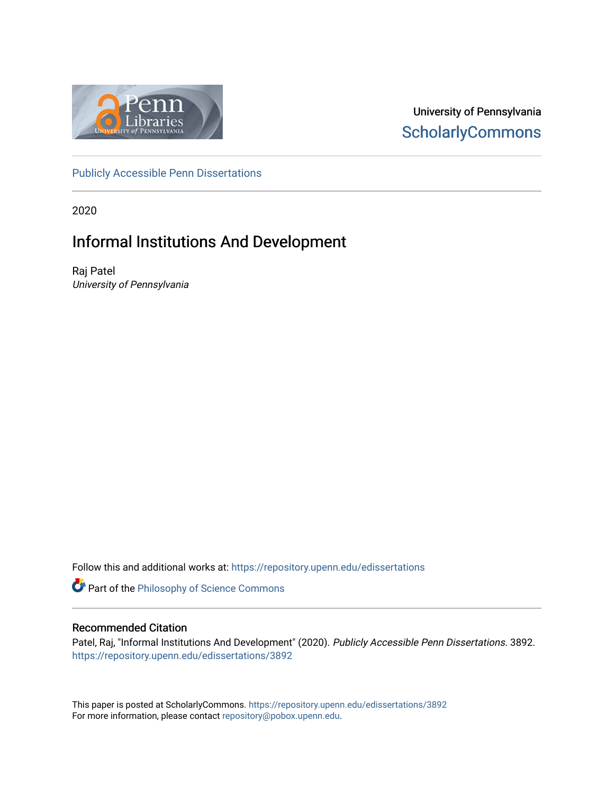

University of Pennsylvania **ScholarlyCommons** 

[Publicly Accessible Penn Dissertations](https://repository.upenn.edu/edissertations)

2020

## Informal Institutions And Development

Raj Patel University of Pennsylvania

Follow this and additional works at: [https://repository.upenn.edu/edissertations](https://repository.upenn.edu/edissertations?utm_source=repository.upenn.edu%2Fedissertations%2F3892&utm_medium=PDF&utm_campaign=PDFCoverPages) 

Part of the [Philosophy of Science Commons](http://network.bepress.com/hgg/discipline/536?utm_source=repository.upenn.edu%2Fedissertations%2F3892&utm_medium=PDF&utm_campaign=PDFCoverPages) 

### Recommended Citation

Patel, Raj, "Informal Institutions And Development" (2020). Publicly Accessible Penn Dissertations. 3892. [https://repository.upenn.edu/edissertations/3892](https://repository.upenn.edu/edissertations/3892?utm_source=repository.upenn.edu%2Fedissertations%2F3892&utm_medium=PDF&utm_campaign=PDFCoverPages) 

This paper is posted at ScholarlyCommons.<https://repository.upenn.edu/edissertations/3892> For more information, please contact [repository@pobox.upenn.edu.](mailto:repository@pobox.upenn.edu)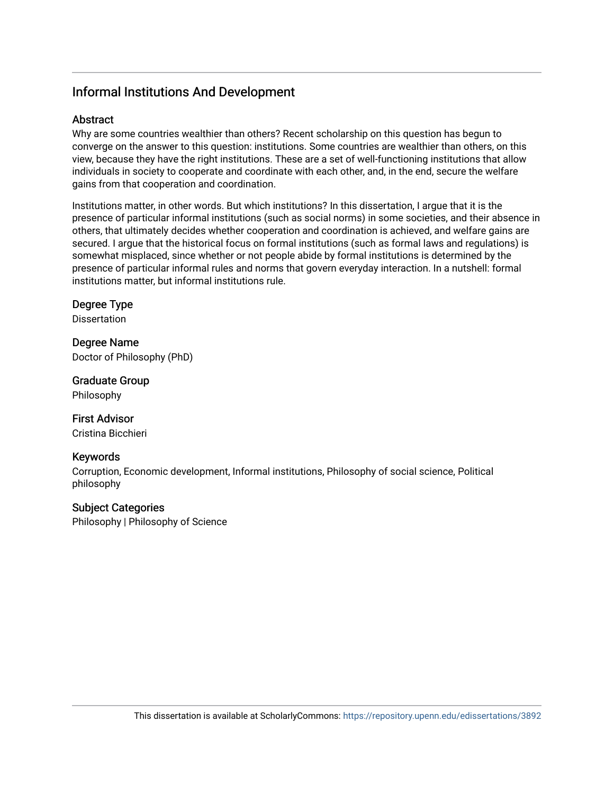### Informal Institutions And Development

### **Abstract**

Why are some countries wealthier than others? Recent scholarship on this question has begun to converge on the answer to this question: institutions. Some countries are wealthier than others, on this view, because they have the right institutions. These are a set of well-functioning institutions that allow individuals in society to cooperate and coordinate with each other, and, in the end, secure the welfare gains from that cooperation and coordination.

Institutions matter, in other words. But which institutions? In this dissertation, I argue that it is the presence of particular informal institutions (such as social norms) in some societies, and their absence in others, that ultimately decides whether cooperation and coordination is achieved, and welfare gains are secured. I argue that the historical focus on formal institutions (such as formal laws and regulations) is somewhat misplaced, since whether or not people abide by formal institutions is determined by the presence of particular informal rules and norms that govern everyday interaction. In a nutshell: formal institutions matter, but informal institutions rule.

### Degree Type

**Dissertation** 

Degree Name Doctor of Philosophy (PhD)

Graduate Group Philosophy

### First Advisor Cristina Bicchieri

### Keywords

Corruption, Economic development, Informal institutions, Philosophy of social science, Political philosophy

Subject Categories Philosophy | Philosophy of Science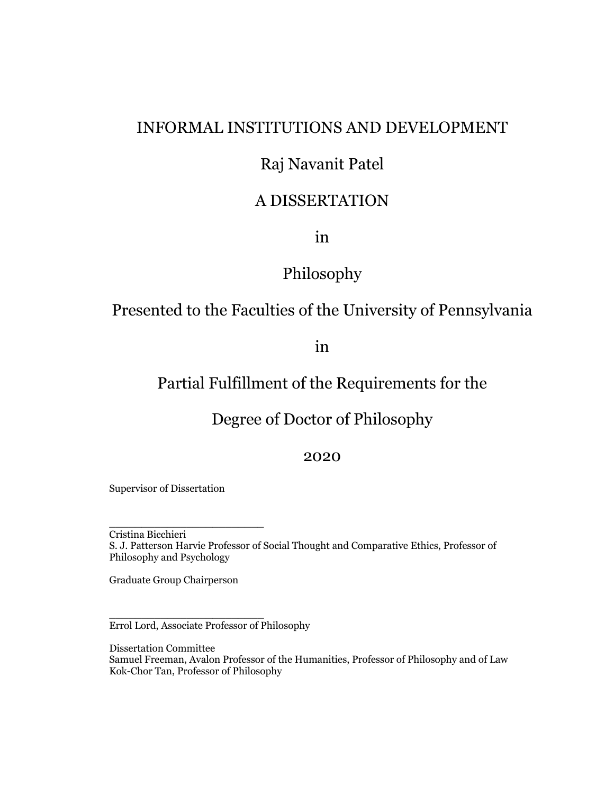## INFORMAL INSTITUTIONS AND DEVELOPMENT

## Raj Navanit Patel

## A DISSERTATION

in

## Philosophy

## Presented to the Faculties of the University of Pennsylvania

in

## Partial Fulfillment of the Requirements for the

## Degree of Doctor of Philosophy

2020

Supervisor of Dissertation

Cristina Bicchieri S. J. Patterson Harvie Professor of Social Thought and Comparative Ethics, Professor of Philosophy and Psychology

Graduate Group Chairperson

\_\_\_\_\_\_\_\_\_\_\_\_\_\_\_\_\_\_\_\_\_\_\_\_

\_\_\_\_\_\_\_\_\_\_\_\_\_\_\_\_\_\_\_\_\_\_\_\_

Errol Lord, Associate Professor of Philosophy

Dissertation Committee Samuel Freeman, Avalon Professor of the Humanities, Professor of Philosophy and of Law Kok-Chor Tan, Professor of Philosophy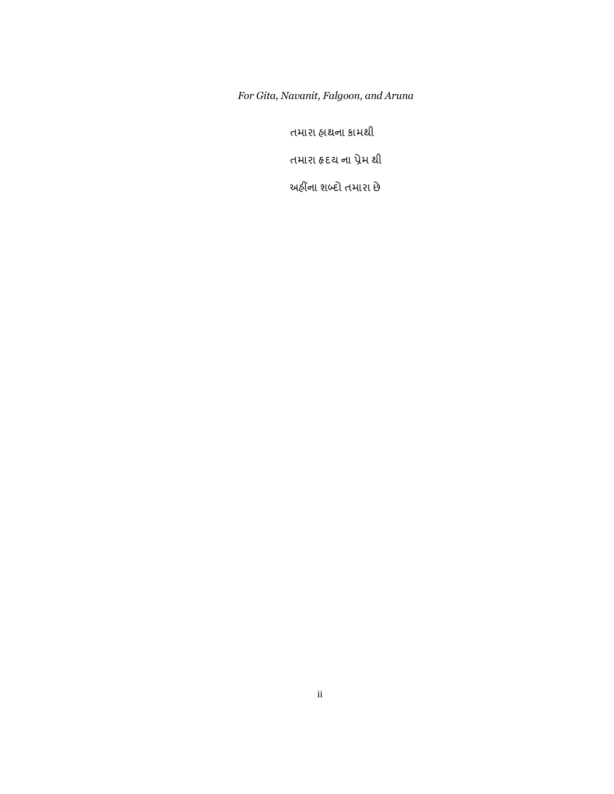*For Gita, Navanit, Falgoon, and Aruna*

તમારા હાથના કામથી

તમારા હૃદય ના પ્રેમ થી

અહીંના શબ્દો તમારા છે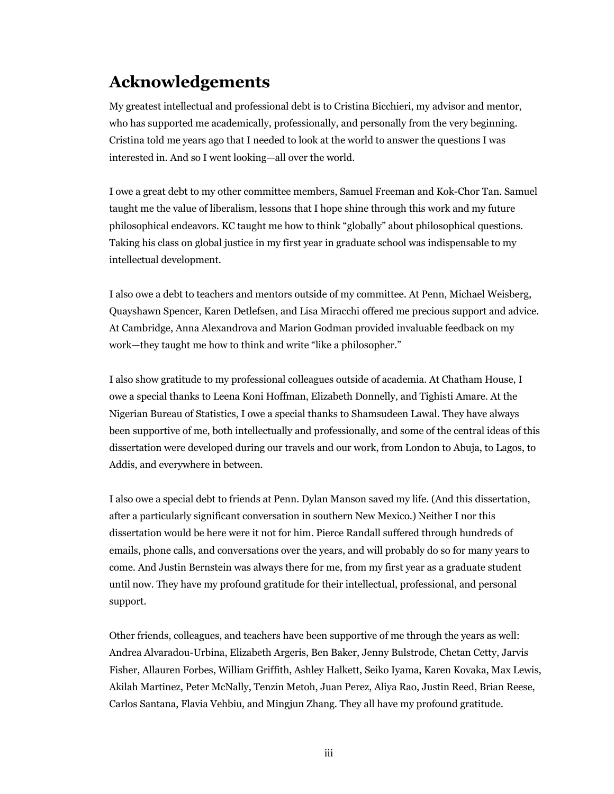# **Acknowledgements**

My greatest intellectual and professional debt is to Cristina Bicchieri, my advisor and mentor, who has supported me academically, professionally, and personally from the very beginning. Cristina told me years ago that I needed to look at the world to answer the questions I was interested in. And so I went looking—all over the world.

I owe a great debt to my other committee members, Samuel Freeman and Kok-Chor Tan. Samuel taught me the value of liberalism, lessons that I hope shine through this work and my future philosophical endeavors. KC taught me how to think "globally" about philosophical questions. Taking his class on global justice in my first year in graduate school was indispensable to my intellectual development.

I also owe a debt to teachers and mentors outside of my committee. At Penn, Michael Weisberg, Quayshawn Spencer, Karen Detlefsen, and Lisa Miracchi offered me precious support and advice. At Cambridge, Anna Alexandrova and Marion Godman provided invaluable feedback on my work—they taught me how to think and write "like a philosopher."

I also show gratitude to my professional colleagues outside of academia. At Chatham House, I owe a special thanks to Leena Koni Hoffman, Elizabeth Donnelly, and Tighisti Amare. At the Nigerian Bureau of Statistics, I owe a special thanks to Shamsudeen Lawal. They have always been supportive of me, both intellectually and professionally, and some of the central ideas of this dissertation were developed during our travels and our work, from London to Abuja, to Lagos, to Addis, and everywhere in between.

I also owe a special debt to friends at Penn. Dylan Manson saved my life. (And this dissertation, after a particularly significant conversation in southern New Mexico.) Neither I nor this dissertation would be here were it not for him. Pierce Randall suffered through hundreds of emails, phone calls, and conversations over the years, and will probably do so for many years to come. And Justin Bernstein was always there for me, from my first year as a graduate student until now. They have my profound gratitude for their intellectual, professional, and personal support.

Other friends, colleagues, and teachers have been supportive of me through the years as well: Andrea Alvaradou-Urbina, Elizabeth Argeris, Ben Baker, Jenny Bulstrode, Chetan Cetty, Jarvis Fisher, Allauren Forbes, William Griffith, Ashley Halkett, Seiko Iyama, Karen Kovaka, Max Lewis, Akilah Martinez, Peter McNally, Tenzin Metoh, Juan Perez, Aliya Rao, Justin Reed, Brian Reese, Carlos Santana, Flavia Vehbiu, and Mingjun Zhang. They all have my profound gratitude.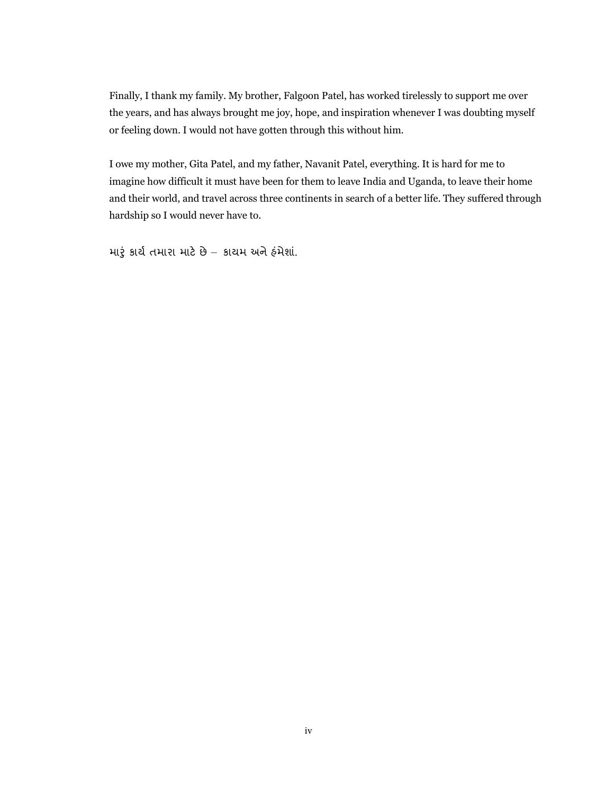Finally, I thank my family. My brother, Falgoon Patel, has worked tirelessly to support me over the years, and has always brought me joy, hope, and inspiration whenever I was doubting myself or feeling down. I would not have gotten through this without him.

I owe my mother, Gita Patel, and my father, Navanit Patel, everything. It is hard for me to imagine how difficult it must have been for them to leave India and Uganda, to leave their home and their world, and travel across three continents in search of a better life. They suffered through hardship so I would never have to.

મારૂં કાર્ય તમારા માટે છે – કાયમ અને હંમેશાં.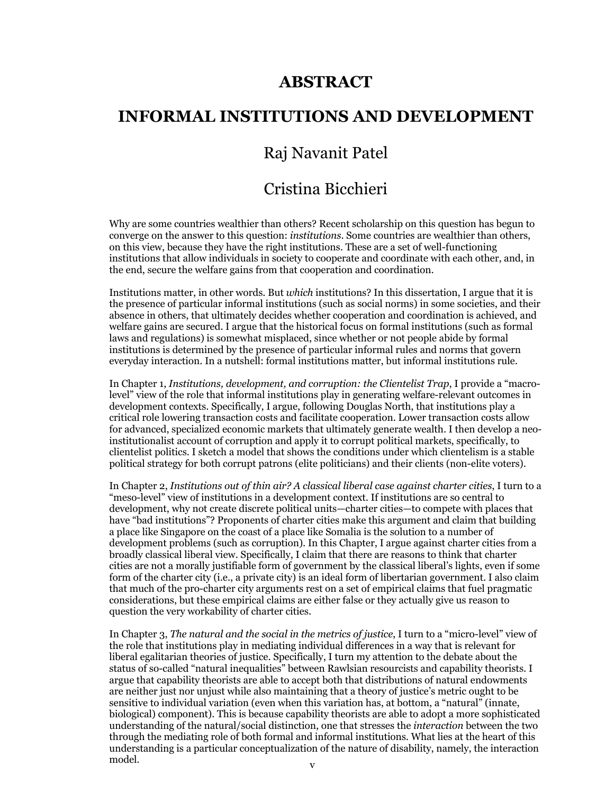## **ABSTRACT**

## **INFORMAL INSTITUTIONS AND DEVELOPMENT**

## Raj Navanit Patel

## Cristina Bicchieri

Why are some countries wealthier than others? Recent scholarship on this question has begun to converge on the answer to this question: *institutions*. Some countries are wealthier than others, on this view, because they have the right institutions. These are a set of well-functioning institutions that allow individuals in society to cooperate and coordinate with each other, and, in the end, secure the welfare gains from that cooperation and coordination.

Institutions matter, in other words. But *which* institutions? In this dissertation, I argue that it is the presence of particular informal institutions (such as social norms) in some societies, and their absence in others, that ultimately decides whether cooperation and coordination is achieved, and welfare gains are secured. I argue that the historical focus on formal institutions (such as formal laws and regulations) is somewhat misplaced, since whether or not people abide by formal institutions is determined by the presence of particular informal rules and norms that govern everyday interaction. In a nutshell: formal institutions matter, but informal institutions rule.

In Chapter 1, *Institutions, development, and corruption: the Clientelist Trap*, I provide a "macrolevel" view of the role that informal institutions play in generating welfare-relevant outcomes in development contexts. Specifically, I argue, following Douglas North, that institutions play a critical role lowering transaction costs and facilitate cooperation. Lower transaction costs allow for advanced, specialized economic markets that ultimately generate wealth. I then develop a neoinstitutionalist account of corruption and apply it to corrupt political markets, specifically, to clientelist politics. I sketch a model that shows the conditions under which clientelism is a stable political strategy for both corrupt patrons (elite politicians) and their clients (non-elite voters).

In Chapter 2, *Institutions out of thin air? A classical liberal case against charter cities*, I turn to a "meso-level" view of institutions in a development context. If institutions are so central to development, why not create discrete political units—charter cities—to compete with places that have "bad institutions"? Proponents of charter cities make this argument and claim that building a place like Singapore on the coast of a place like Somalia is the solution to a number of development problems (such as corruption). In this Chapter, I argue against charter cities from a broadly classical liberal view. Specifically, I claim that there are reasons to think that charter cities are not a morally justifiable form of government by the classical liberal's lights, even if some form of the charter city (i.e., a private city) is an ideal form of libertarian government. I also claim that much of the pro-charter city arguments rest on a set of empirical claims that fuel pragmatic considerations, but these empirical claims are either false or they actually give us reason to question the very workability of charter cities.

In Chapter 3, *The natural and the social in the metrics of justice*, I turn to a "micro-level" view of the role that institutions play in mediating individual differences in a way that is relevant for liberal egalitarian theories of justice. Specifically, I turn my attention to the debate about the status of so-called "natural inequalities" between Rawlsian resourcists and capability theorists. I argue that capability theorists are able to accept both that distributions of natural endowments are neither just nor unjust while also maintaining that a theory of justice's metric ought to be sensitive to individual variation (even when this variation has, at bottom, a "natural" (innate, biological) component). This is because capability theorists are able to adopt a more sophisticated understanding of the natural/social distinction, one that stresses the *interaction* between the two through the mediating role of both formal and informal institutions. What lies at the heart of this understanding is a particular conceptualization of the nature of disability, namely, the interaction model. v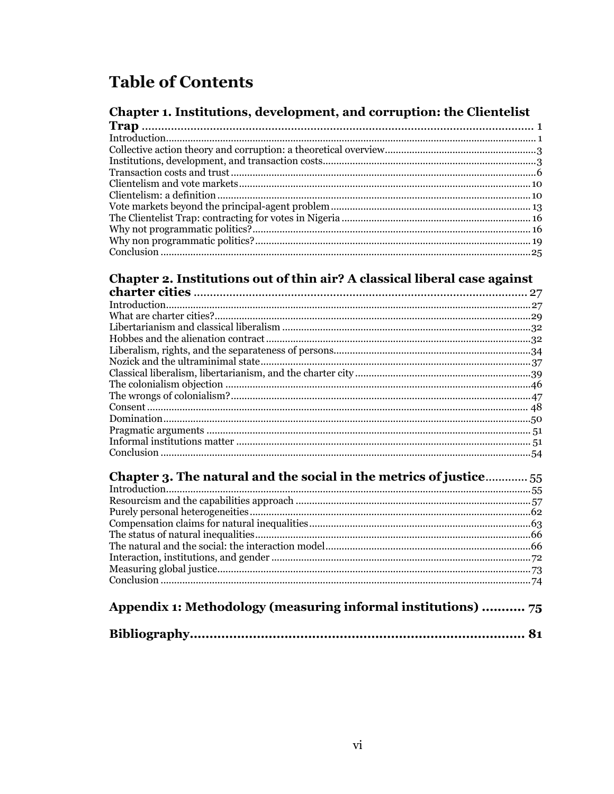# **Table of Contents**

## Chapter 1. Institutions, development, and corruption: the Clientelist

## Chapter 2. Institutions out of thin air? A classical liberal case against

| Chapter 3. The natural and the social in the metrics of justice |  |  |
|-----------------------------------------------------------------|--|--|
|                                                                 |  |  |
|                                                                 |  |  |
|                                                                 |  |  |
|                                                                 |  |  |
|                                                                 |  |  |
|                                                                 |  |  |
|                                                                 |  |  |
|                                                                 |  |  |
|                                                                 |  |  |
|                                                                 |  |  |

# Appendix 1: Methodology (measuring informal institutions) ........... 75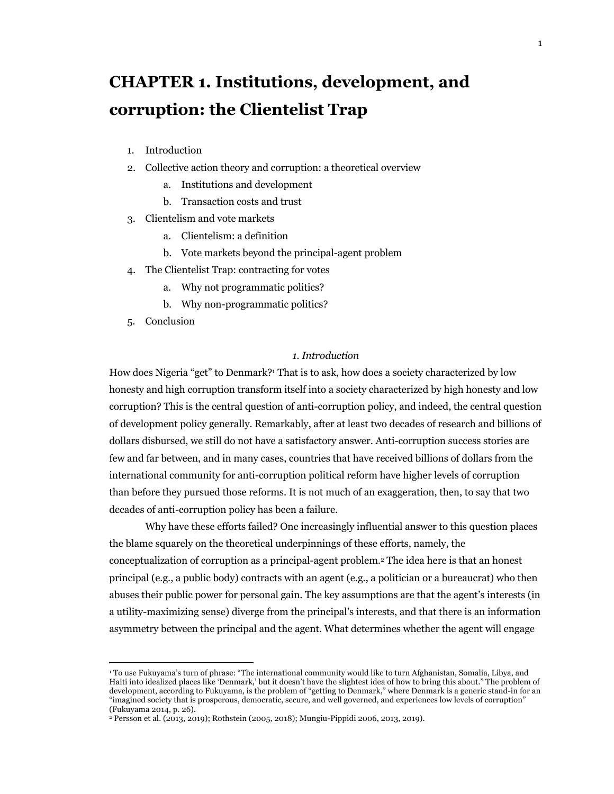# **CHAPTER 1. Institutions, development, and corruption: the Clientelist Trap**

- 1. Introduction
- 2. Collective action theory and corruption: a theoretical overview
	- a. Institutions and development
	- b. Transaction costs and trust
- 3. Clientelism and vote markets
	- a. Clientelism: a definition
	- b. Vote markets beyond the principal-agent problem
- 4. The Clientelist Trap: contracting for votes
	- a. Why not programmatic politics?
	- b. Why non-programmatic politics?
- 5. Conclusion

### *1. Introduction*

How does Nigeria "get" to Denmark?1 That is to ask, how does a society characterized by low honesty and high corruption transform itself into a society characterized by high honesty and low corruption? This is the central question of anti-corruption policy, and indeed, the central question of development policy generally. Remarkably, after at least two decades of research and billions of dollars disbursed, we still do not have a satisfactory answer. Anti-corruption success stories are few and far between, and in many cases, countries that have received billions of dollars from the international community for anti-corruption political reform have higher levels of corruption than before they pursued those reforms. It is not much of an exaggeration, then, to say that two decades of anti-corruption policy has been a failure.

Why have these efforts failed? One increasingly influential answer to this question places the blame squarely on the theoretical underpinnings of these efforts, namely, the conceptualization of corruption as a principal-agent problem.2 The idea here is that an honest principal (e.g., a public body) contracts with an agent (e.g., a politician or a bureaucrat) who then abuses their public power for personal gain. The key assumptions are that the agent's interests (in a utility-maximizing sense) diverge from the principal's interests, and that there is an information asymmetry between the principal and the agent. What determines whether the agent will engage

<sup>1</sup> To use Fukuyama's turn of phrase: "The international community would like to turn Afghanistan, Somalia, Libya, and Haiti into idealized places like 'Denmark,' but it doesn't have the slightest idea of how to bring this about." The problem of development, according to Fukuyama, is the problem of "getting to Denmark," where Denmark is a generic stand-in for an "imagined society that is prosperous, democratic, secure, and well governed, and experiences low levels of corruption" (Fukuyama 2014, p. 26).

<sup>2</sup> Persson et al. (2013, 2019); Rothstein (2005, 2018); Mungiu-Pippidi 2006, 2013, 2019).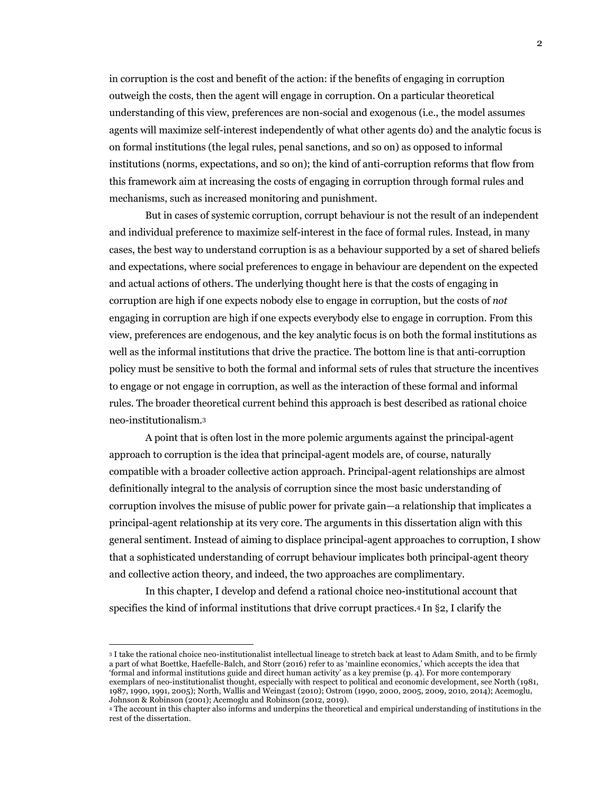in corruption is the cost and benefit of the action: if the benefits of engaging in corruption outweigh the costs, then the agent will engage in corruption. On a particular theoretical understanding of this view, preferences are non-social and exogenous (i.e., the model assumes agents will maximize self-interest independently of what other agents do) and the analytic focus is on formal institutions (the legal rules, penal sanctions, and so on) as opposed to informal institutions (norms, expectations, and so on); the kind of anti-corruption reforms that flow from this framework aim at increasing the costs of engaging in corruption through formal rules and mechanisms, such as increased monitoring and punishment.

But in cases of systemic corruption, corrupt behaviour is not the result of an independent and individual preference to maximize self-interest in the face of formal rules. Instead, in many cases, the best way to understand corruption is as a behaviour supported by a set of shared beliefs and expectations, where social preferences to engage in behaviour are dependent on the expected and actual actions of others. The underlying thought here is that the costs of engaging in corruption are high if one expects nobody else to engage in corruption, but the costs of *not*  engaging in corruption are high if one expects everybody else to engage in corruption. From this view, preferences are endogenous, and the key analytic focus is on both the formal institutions as well as the informal institutions that drive the practice. The bottom line is that anti-corruption policy must be sensitive to both the formal and informal sets of rules that structure the incentives to engage or not engage in corruption, as well as the interaction of these formal and informal rules. The broader theoretical current behind this approach is best described as rational choice neo-institutionalism.3

A point that is often lost in the more polemic arguments against the principal-agent approach to corruption is the idea that principal-agent models are, of course, naturally compatible with a broader collective action approach. Principal-agent relationships are almost definitionally integral to the analysis of corruption since the most basic understanding of corruption involves the misuse of public power for private gain—a relationship that implicates a principal-agent relationship at its very core. The arguments in this dissertation align with this general sentiment. Instead of aiming to displace principal-agent approaches to corruption, I show that a sophisticated understanding of corrupt behaviour implicates both principal-agent theory and collective action theory, and indeed, the two approaches are complimentary.

In this chapter, I develop and defend a rational choice neo-institutional account that specifies the kind of informal institutions that drive corrupt practices.4 In §2, I clarify the

<sup>3</sup> I take the rational choice neo-institutionalist intellectual lineage to stretch back at least to Adam Smith, and to be firmly a part of what Boettke, Haefelle-Balch, and Storr (2016) refer to as 'mainline economics,' which accepts the idea that 'formal and informal institutions guide and direct human activity' as a key premise (p. 4). For more contemporary exemplars of neo-institutionalist thought, especially with respect to political and economic development, see North (1981, 1987, 1990, 1991, 2005); North, Wallis and Weingast (2010); Ostrom (1990, 2000, 2005, 2009, 2010, 2014); Acemoglu,

<sup>&</sup>lt;sup>4</sup> The account in this chapter also informs and underpins the theoretical and empirical understanding of institutions in the rest of the dissertation.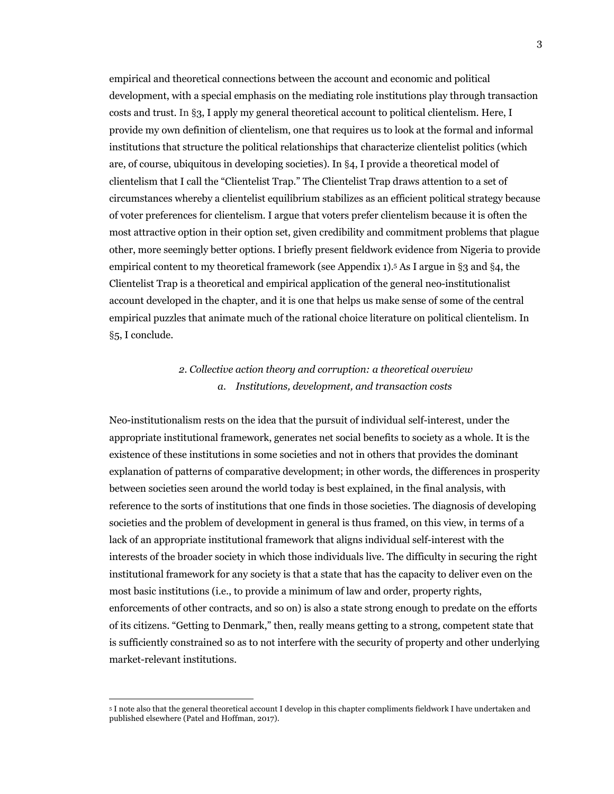empirical and theoretical connections between the account and economic and political development, with a special emphasis on the mediating role institutions play through transaction costs and trust. In §3, I apply my general theoretical account to political clientelism. Here, I provide my own definition of clientelism, one that requires us to look at the formal and informal institutions that structure the political relationships that characterize clientelist politics (which are, of course, ubiquitous in developing societies). In §4, I provide a theoretical model of clientelism that I call the "Clientelist Trap." The Clientelist Trap draws attention to a set of circumstances whereby a clientelist equilibrium stabilizes as an efficient political strategy because of voter preferences for clientelism. I argue that voters prefer clientelism because it is often the most attractive option in their option set, given credibility and commitment problems that plague other, more seemingly better options. I briefly present fieldwork evidence from Nigeria to provide empirical content to my theoretical framework (see Appendix 1).5 As I argue in §3 and §4, the Clientelist Trap is a theoretical and empirical application of the general neo-institutionalist account developed in the chapter, and it is one that helps us make sense of some of the central empirical puzzles that animate much of the rational choice literature on political clientelism. In §5, I conclude.

### *2. Collective action theory and corruption: a theoretical overview a. Institutions, development, and transaction costs*

Neo-institutionalism rests on the idea that the pursuit of individual self-interest, under the appropriate institutional framework, generates net social benefits to society as a whole. It is the existence of these institutions in some societies and not in others that provides the dominant explanation of patterns of comparative development; in other words, the differences in prosperity between societies seen around the world today is best explained, in the final analysis, with reference to the sorts of institutions that one finds in those societies. The diagnosis of developing societies and the problem of development in general is thus framed, on this view, in terms of a lack of an appropriate institutional framework that aligns individual self-interest with the interests of the broader society in which those individuals live. The difficulty in securing the right institutional framework for any society is that a state that has the capacity to deliver even on the most basic institutions (i.e., to provide a minimum of law and order, property rights, enforcements of other contracts, and so on) is also a state strong enough to predate on the efforts of its citizens. "Getting to Denmark," then, really means getting to a strong, competent state that is sufficiently constrained so as to not interfere with the security of property and other underlying market-relevant institutions.

<sup>5</sup> I note also that the general theoretical account I develop in this chapter compliments fieldwork I have undertaken and published elsewhere (Patel and Hoffman, 2017).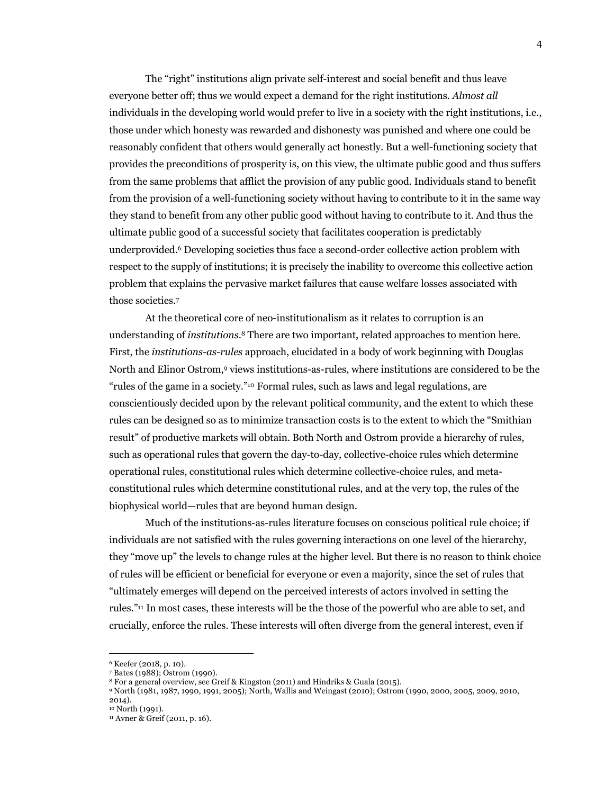The "right" institutions align private self-interest and social benefit and thus leave everyone better off; thus we would expect a demand for the right institutions. *Almost all* individuals in the developing world would prefer to live in a society with the right institutions, i.e., those under which honesty was rewarded and dishonesty was punished and where one could be reasonably confident that others would generally act honestly. But a well-functioning society that provides the preconditions of prosperity is, on this view, the ultimate public good and thus suffers from the same problems that afflict the provision of any public good. Individuals stand to benefit from the provision of a well-functioning society without having to contribute to it in the same way they stand to benefit from any other public good without having to contribute to it. And thus the ultimate public good of a successful society that facilitates cooperation is predictably underprovided.6 Developing societies thus face a second-order collective action problem with respect to the supply of institutions; it is precisely the inability to overcome this collective action problem that explains the pervasive market failures that cause welfare losses associated with those societies.7

At the theoretical core of neo-institutionalism as it relates to corruption is an understanding of *institutions*.8 There are two important, related approaches to mention here. First, the *institutions-as-rules* approach, elucidated in a body of work beginning with Douglas North and Elinor Ostrom,9 views institutions-as-rules, where institutions are considered to be the "rules of the game in a society."10 Formal rules, such as laws and legal regulations, are conscientiously decided upon by the relevant political community, and the extent to which these rules can be designed so as to minimize transaction costs is to the extent to which the "Smithian result" of productive markets will obtain. Both North and Ostrom provide a hierarchy of rules, such as operational rules that govern the day-to-day, collective-choice rules which determine operational rules, constitutional rules which determine collective-choice rules, and metaconstitutional rules which determine constitutional rules, and at the very top, the rules of the biophysical world—rules that are beyond human design.

Much of the institutions-as-rules literature focuses on conscious political rule choice; if individuals are not satisfied with the rules governing interactions on one level of the hierarchy, they "move up" the levels to change rules at the higher level. But there is no reason to think choice of rules will be efficient or beneficial for everyone or even a majority, since the set of rules that "ultimately emerges will depend on the perceived interests of actors involved in setting the rules."11 In most cases, these interests will be the those of the powerful who are able to set, and crucially, enforce the rules. These interests will often diverge from the general interest, even if

<sup>6</sup> Keefer (2018, p. 10).

<sup>7</sup> Bates (1988); Ostrom (1990).

<sup>8</sup> For a general overview, see Greif & Kingston (2011) and Hindriks & Guala (2015).

<sup>9</sup> North (1981, 1987, 1990, 1991, 2005); North, Wallis and Weingast (2010); Ostrom (1990, 2000, 2005, 2009, 2010, 2014).

<sup>&</sup>lt;sup>10</sup> North (1991).<br><sup>11</sup> Avner & Greif (2011, p. 16).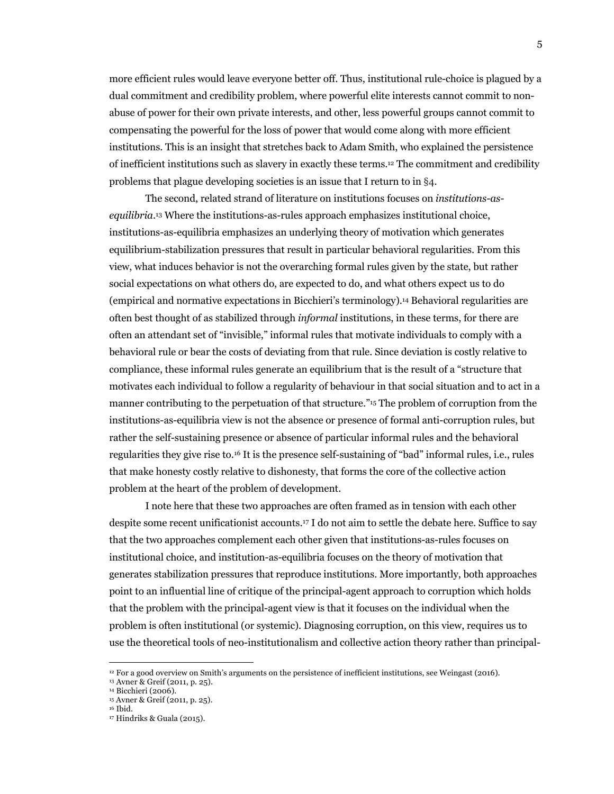more efficient rules would leave everyone better off. Thus, institutional rule-choice is plagued by a dual commitment and credibility problem, where powerful elite interests cannot commit to nonabuse of power for their own private interests, and other, less powerful groups cannot commit to compensating the powerful for the loss of power that would come along with more efficient institutions. This is an insight that stretches back to Adam Smith, who explained the persistence of inefficient institutions such as slavery in exactly these terms.12 The commitment and credibility problems that plague developing societies is an issue that I return to in §4.

The second, related strand of literature on institutions focuses on *institutions-asequilibria*.13 Where the institutions-as-rules approach emphasizes institutional choice, institutions-as-equilibria emphasizes an underlying theory of motivation which generates equilibrium-stabilization pressures that result in particular behavioral regularities. From this view, what induces behavior is not the overarching formal rules given by the state, but rather social expectations on what others do, are expected to do, and what others expect us to do (empirical and normative expectations in Bicchieri's terminology).14 Behavioral regularities are often best thought of as stabilized through *informal* institutions, in these terms, for there are often an attendant set of "invisible," informal rules that motivate individuals to comply with a behavioral rule or bear the costs of deviating from that rule. Since deviation is costly relative to compliance, these informal rules generate an equilibrium that is the result of a "structure that motivates each individual to follow a regularity of behaviour in that social situation and to act in a manner contributing to the perpetuation of that structure."15 The problem of corruption from the institutions-as-equilibria view is not the absence or presence of formal anti-corruption rules, but rather the self-sustaining presence or absence of particular informal rules and the behavioral regularities they give rise to.16 It is the presence self-sustaining of "bad" informal rules, i.e., rules that make honesty costly relative to dishonesty, that forms the core of the collective action problem at the heart of the problem of development.

I note here that these two approaches are often framed as in tension with each other despite some recent unificationist accounts.17 I do not aim to settle the debate here. Suffice to say that the two approaches complement each other given that institutions-as-rules focuses on institutional choice, and institution-as-equilibria focuses on the theory of motivation that generates stabilization pressures that reproduce institutions. More importantly, both approaches point to an influential line of critique of the principal-agent approach to corruption which holds that the problem with the principal-agent view is that it focuses on the individual when the problem is often institutional (or systemic). Diagnosing corruption, on this view, requires us to use the theoretical tools of neo-institutionalism and collective action theory rather than principal-

<sup>12</sup> For a good overview on Smith's arguments on the persistence of inefficient institutions, see Weingast (2016).

<sup>13</sup> Avner & Greif (2011, p. 25). 14 Bicchieri (2006).

<sup>15</sup> Avner & Greif (2011, p. 25).

<sup>16</sup> Ibid.

<sup>17</sup> Hindriks & Guala (2015).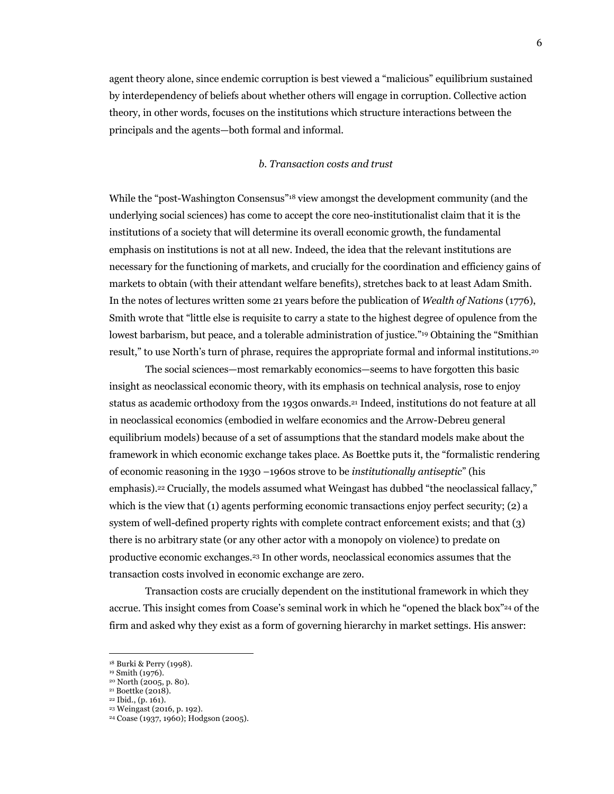agent theory alone, since endemic corruption is best viewed a "malicious" equilibrium sustained by interdependency of beliefs about whether others will engage in corruption. Collective action theory, in other words, focuses on the institutions which structure interactions between the principals and the agents—both formal and informal.

#### *b. Transaction costs and trust*

While the "post-Washington Consensus"18 view amongst the development community (and the underlying social sciences) has come to accept the core neo-institutionalist claim that it is the institutions of a society that will determine its overall economic growth, the fundamental emphasis on institutions is not at all new. Indeed, the idea that the relevant institutions are necessary for the functioning of markets, and crucially for the coordination and efficiency gains of markets to obtain (with their attendant welfare benefits), stretches back to at least Adam Smith. In the notes of lectures written some 21 years before the publication of *Wealth of Nations* (1776), Smith wrote that "little else is requisite to carry a state to the highest degree of opulence from the lowest barbarism, but peace, and a tolerable administration of justice."<sup>19</sup> Obtaining the "Smithian" result," to use North's turn of phrase, requires the appropriate formal and informal institutions.20

The social sciences—most remarkably economics—seems to have forgotten this basic insight as neoclassical economic theory, with its emphasis on technical analysis, rose to enjoy status as academic orthodoxy from the 1930s onwards.21 Indeed, institutions do not feature at all in neoclassical economics (embodied in welfare economics and the Arrow-Debreu general equilibrium models) because of a set of assumptions that the standard models make about the framework in which economic exchange takes place. As Boettke puts it, the "formalistic rendering of economic reasoning in the 1930 –1960s strove to be *institutionally antiseptic*" (his emphasis).22 Crucially, the models assumed what Weingast has dubbed "the neoclassical fallacy," which is the view that (1) agents performing economic transactions enjoy perfect security; (2) a system of well-defined property rights with complete contract enforcement exists; and that (3) there is no arbitrary state (or any other actor with a monopoly on violence) to predate on productive economic exchanges.23 In other words, neoclassical economics assumes that the transaction costs involved in economic exchange are zero.

Transaction costs are crucially dependent on the institutional framework in which they accrue. This insight comes from Coase's seminal work in which he "opened the black box"24 of the firm and asked why they exist as a form of governing hierarchy in market settings. His answer:

<sup>18</sup> Burki & Perry (1998). 19 Smith (1976).

<sup>&</sup>lt;sup>20</sup> North (2005, p. 80).<br><sup>21</sup> Boettke (2018).

<sup>22</sup> Ibid., (p. 161).

<sup>23</sup> Weingast (2016, p. 192). 24 Coase (1937, 1960); Hodgson (2005).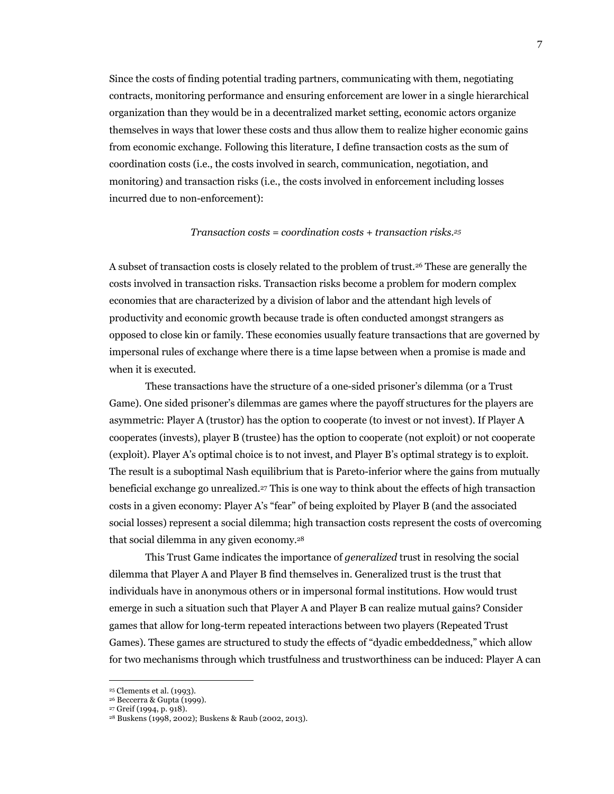Since the costs of finding potential trading partners, communicating with them, negotiating contracts, monitoring performance and ensuring enforcement are lower in a single hierarchical organization than they would be in a decentralized market setting, economic actors organize themselves in ways that lower these costs and thus allow them to realize higher economic gains from economic exchange. Following this literature, I define transaction costs as the sum of coordination costs (i.e., the costs involved in search, communication, negotiation, and monitoring) and transaction risks (i.e., the costs involved in enforcement including losses incurred due to non-enforcement):

#### *Transaction costs = coordination costs + transaction risks.25*

A subset of transaction costs is closely related to the problem of trust.26 These are generally the costs involved in transaction risks. Transaction risks become a problem for modern complex economies that are characterized by a division of labor and the attendant high levels of productivity and economic growth because trade is often conducted amongst strangers as opposed to close kin or family. These economies usually feature transactions that are governed by impersonal rules of exchange where there is a time lapse between when a promise is made and when it is executed.

These transactions have the structure of a one-sided prisoner's dilemma (or a Trust Game). One sided prisoner's dilemmas are games where the payoff structures for the players are asymmetric: Player A (trustor) has the option to cooperate (to invest or not invest). If Player A cooperates (invests), player B (trustee) has the option to cooperate (not exploit) or not cooperate (exploit). Player A's optimal choice is to not invest, and Player B's optimal strategy is to exploit. The result is a suboptimal Nash equilibrium that is Pareto-inferior where the gains from mutually beneficial exchange go unrealized.27 This is one way to think about the effects of high transaction costs in a given economy: Player A's "fear" of being exploited by Player B (and the associated social losses) represent a social dilemma; high transaction costs represent the costs of overcoming that social dilemma in any given economy.28

This Trust Game indicates the importance of *generalized* trust in resolving the social dilemma that Player A and Player B find themselves in. Generalized trust is the trust that individuals have in anonymous others or in impersonal formal institutions. How would trust emerge in such a situation such that Player A and Player B can realize mutual gains? Consider games that allow for long-term repeated interactions between two players (Repeated Trust Games). These games are structured to study the effects of "dyadic embeddedness," which allow for two mechanisms through which trustfulness and trustworthiness can be induced: Player A can

<sup>&</sup>lt;sup>25</sup> Clements et al. (1993).<br><sup>26</sup> Beccerra & Gupta (1999).<br><sup>27</sup> Greif (1994, p. 918).<br><sup>28</sup> Buskens (1998, 2002); Buskens & Raub (2002, 2013).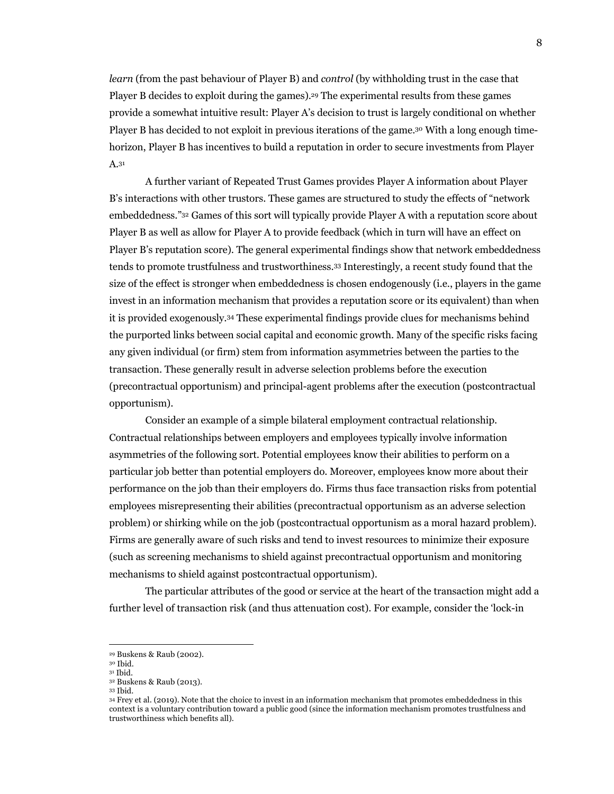*learn* (from the past behaviour of Player B) and *control* (by withholding trust in the case that Player B decides to exploit during the games).29 The experimental results from these games provide a somewhat intuitive result: Player A's decision to trust is largely conditional on whether Player B has decided to not exploit in previous iterations of the game.30 With a long enough timehorizon, Player B has incentives to build a reputation in order to secure investments from Player A.31

A further variant of Repeated Trust Games provides Player A information about Player B's interactions with other trustors. These games are structured to study the effects of "network embeddedness."32 Games of this sort will typically provide Player A with a reputation score about Player B as well as allow for Player A to provide feedback (which in turn will have an effect on Player B's reputation score). The general experimental findings show that network embeddedness tends to promote trustfulness and trustworthiness.33 Interestingly, a recent study found that the size of the effect is stronger when embeddedness is chosen endogenously (i.e., players in the game invest in an information mechanism that provides a reputation score or its equivalent) than when it is provided exogenously.34 These experimental findings provide clues for mechanisms behind the purported links between social capital and economic growth. Many of the specific risks facing any given individual (or firm) stem from information asymmetries between the parties to the transaction. These generally result in adverse selection problems before the execution (precontractual opportunism) and principal-agent problems after the execution (postcontractual opportunism).

Consider an example of a simple bilateral employment contractual relationship. Contractual relationships between employers and employees typically involve information asymmetries of the following sort. Potential employees know their abilities to perform on a particular job better than potential employers do. Moreover, employees know more about their performance on the job than their employers do. Firms thus face transaction risks from potential employees misrepresenting their abilities (precontractual opportunism as an adverse selection problem) or shirking while on the job (postcontractual opportunism as a moral hazard problem). Firms are generally aware of such risks and tend to invest resources to minimize their exposure (such as screening mechanisms to shield against precontractual opportunism and monitoring mechanisms to shield against postcontractual opportunism).

The particular attributes of the good or service at the heart of the transaction might add a further level of transaction risk (and thus attenuation cost). For example, consider the 'lock-in

<sup>&</sup>lt;sup>29</sup> Buskens & Raub (2002).<br><sup>30</sup> Ibid.<br><sup>31</sup> Ibid.

<sup>&</sup>lt;sup>32</sup> Buskens & Raub (2013).<br><sup>33</sup> Ibid.<br><sup>34</sup> Frey et al. (2019). Note that the choice to invest in an information mechanism that promotes embeddedness in this context is a voluntary contribution toward a public good (since the information mechanism promotes trustfulness and trustworthiness which benefits all).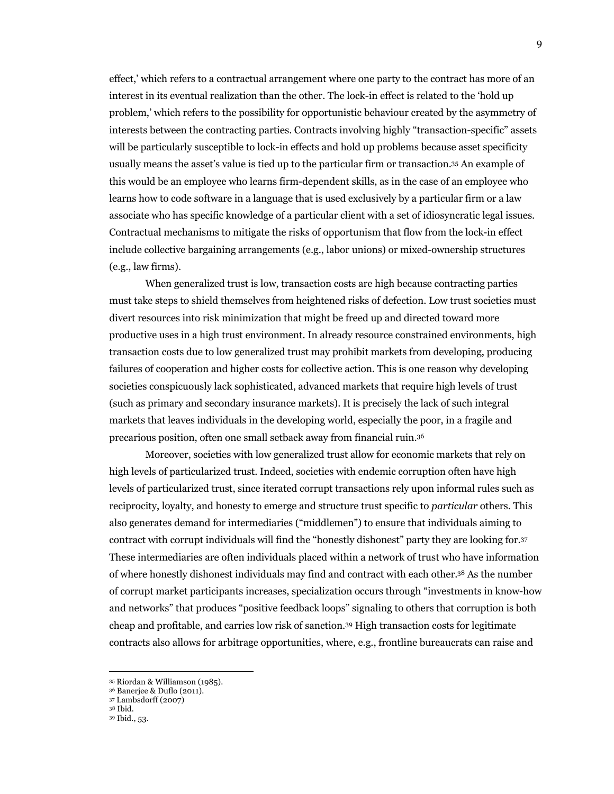effect,' which refers to a contractual arrangement where one party to the contract has more of an interest in its eventual realization than the other. The lock-in effect is related to the 'hold up problem,' which refers to the possibility for opportunistic behaviour created by the asymmetry of interests between the contracting parties. Contracts involving highly "transaction-specific" assets will be particularly susceptible to lock-in effects and hold up problems because asset specificity usually means the asset's value is tied up to the particular firm or transaction.35 An example of this would be an employee who learns firm-dependent skills, as in the case of an employee who learns how to code software in a language that is used exclusively by a particular firm or a law associate who has specific knowledge of a particular client with a set of idiosyncratic legal issues. Contractual mechanisms to mitigate the risks of opportunism that flow from the lock-in effect include collective bargaining arrangements (e.g., labor unions) or mixed-ownership structures (e.g., law firms).

When generalized trust is low, transaction costs are high because contracting parties must take steps to shield themselves from heightened risks of defection. Low trust societies must divert resources into risk minimization that might be freed up and directed toward more productive uses in a high trust environment. In already resource constrained environments, high transaction costs due to low generalized trust may prohibit markets from developing, producing failures of cooperation and higher costs for collective action. This is one reason why developing societies conspicuously lack sophisticated, advanced markets that require high levels of trust (such as primary and secondary insurance markets). It is precisely the lack of such integral markets that leaves individuals in the developing world, especially the poor, in a fragile and precarious position, often one small setback away from financial ruin.36

Moreover, societies with low generalized trust allow for economic markets that rely on high levels of particularized trust. Indeed, societies with endemic corruption often have high levels of particularized trust, since iterated corrupt transactions rely upon informal rules such as reciprocity, loyalty, and honesty to emerge and structure trust specific to *particular* others. This also generates demand for intermediaries ("middlemen") to ensure that individuals aiming to contract with corrupt individuals will find the "honestly dishonest" party they are looking for.37 These intermediaries are often individuals placed within a network of trust who have information of where honestly dishonest individuals may find and contract with each other.38 As the number of corrupt market participants increases, specialization occurs through "investments in know-how and networks" that produces "positive feedback loops" signaling to others that corruption is both cheap and profitable, and carries low risk of sanction.39 High transaction costs for legitimate contracts also allows for arbitrage opportunities, where, e.g., frontline bureaucrats can raise and

<sup>35</sup> Riordan & Williamson (1985). 36 Banerjee & Duflo (2011). 37 Lambsdorff (2007)

<sup>38</sup> Ibid. 39 Ibid., 53.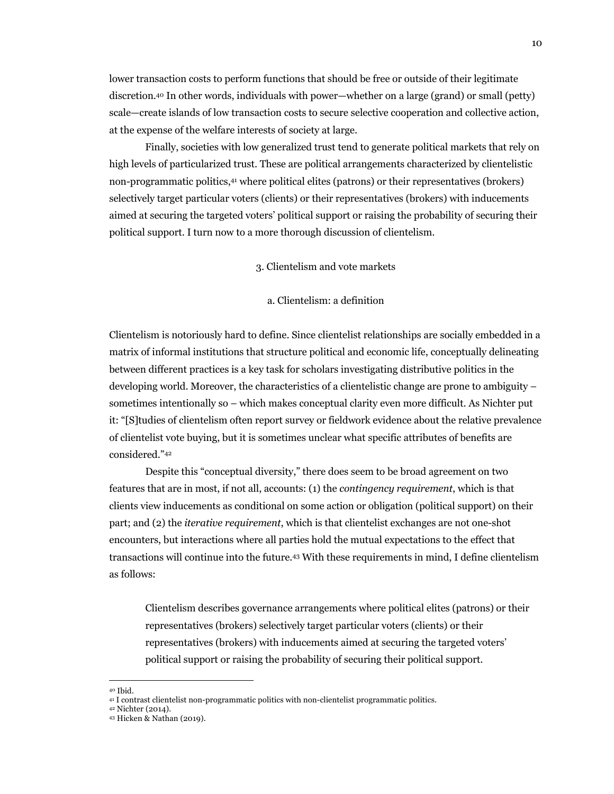lower transaction costs to perform functions that should be free or outside of their legitimate discretion.40 In other words, individuals with power—whether on a large (grand) or small (petty) scale—create islands of low transaction costs to secure selective cooperation and collective action, at the expense of the welfare interests of society at large.

Finally, societies with low generalized trust tend to generate political markets that rely on high levels of particularized trust. These are political arrangements characterized by clientelistic non-programmatic politics,41 where political elites (patrons) or their representatives (brokers) selectively target particular voters (clients) or their representatives (brokers) with inducements aimed at securing the targeted voters' political support or raising the probability of securing their political support. I turn now to a more thorough discussion of clientelism.

3. Clientelism and vote markets

#### a. Clientelism: a definition

Clientelism is notoriously hard to define. Since clientelist relationships are socially embedded in a matrix of informal institutions that structure political and economic life, conceptually delineating between different practices is a key task for scholars investigating distributive politics in the developing world. Moreover, the characteristics of a clientelistic change are prone to ambiguity – sometimes intentionally so – which makes conceptual clarity even more difficult. As Nichter put it: "[S]tudies of clientelism often report survey or fieldwork evidence about the relative prevalence of clientelist vote buying, but it is sometimes unclear what specific attributes of benefits are considered."42

Despite this "conceptual diversity," there does seem to be broad agreement on two features that are in most, if not all, accounts: (1) the *contingency requirement*, which is that clients view inducements as conditional on some action or obligation (political support) on their part; and (2) the *iterative requirement*, which is that clientelist exchanges are not one-shot encounters, but interactions where all parties hold the mutual expectations to the effect that transactions will continue into the future.43 With these requirements in mind, I define clientelism as follows:

Clientelism describes governance arrangements where political elites (patrons) or their representatives (brokers) selectively target particular voters (clients) or their representatives (brokers) with inducements aimed at securing the targeted voters' political support or raising the probability of securing their political support.

<sup>&</sup>lt;sup>40</sup> Ibid.<br><sup>41</sup> I contrast clientelist non-programmatic politics with non-clientelist programmatic politics.<br><sup>42</sup> Nichter (2014).<br><sup>43</sup> Hicken & Nathan (2019).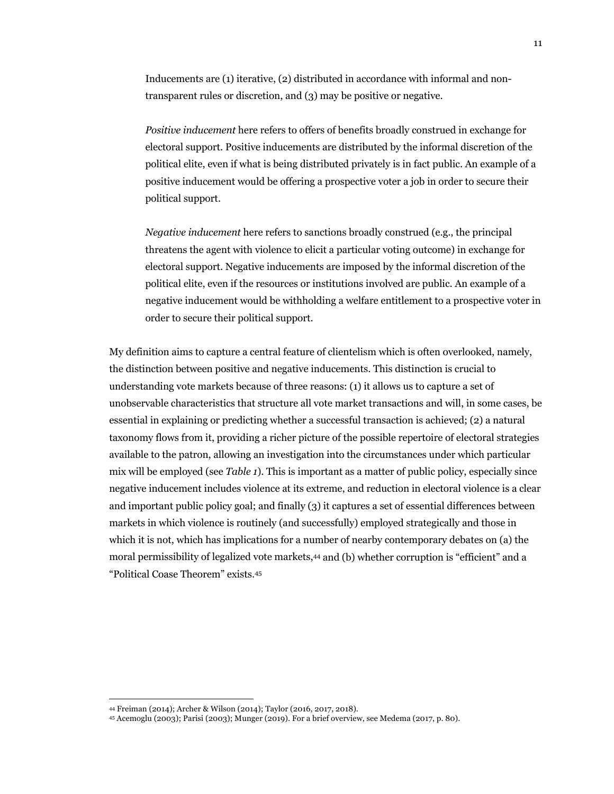Inducements are (1) iterative, (2) distributed in accordance with informal and nontransparent rules or discretion, and (3) may be positive or negative.

*Positive inducement* here refers to offers of benefits broadly construed in exchange for electoral support. Positive inducements are distributed by the informal discretion of the political elite, even if what is being distributed privately is in fact public. An example of a positive inducement would be offering a prospective voter a job in order to secure their political support.

*Negative inducement* here refers to sanctions broadly construed (e.g., the principal threatens the agent with violence to elicit a particular voting outcome) in exchange for electoral support. Negative inducements are imposed by the informal discretion of the political elite, even if the resources or institutions involved are public. An example of a negative inducement would be withholding a welfare entitlement to a prospective voter in order to secure their political support.

My definition aims to capture a central feature of clientelism which is often overlooked, namely, the distinction between positive and negative inducements. This distinction is crucial to understanding vote markets because of three reasons: (1) it allows us to capture a set of unobservable characteristics that structure all vote market transactions and will, in some cases, be essential in explaining or predicting whether a successful transaction is achieved; (2) a natural taxonomy flows from it, providing a richer picture of the possible repertoire of electoral strategies available to the patron, allowing an investigation into the circumstances under which particular mix will be employed (see *Table 1*). This is important as a matter of public policy, especially since negative inducement includes violence at its extreme, and reduction in electoral violence is a clear and important public policy goal; and finally (3) it captures a set of essential differences between markets in which violence is routinely (and successfully) employed strategically and those in which it is not, which has implications for a number of nearby contemporary debates on (a) the moral permissibility of legalized vote markets,44 and (b) whether corruption is "efficient" and a "Political Coase Theorem" exists.45

<sup>44</sup> Freiman (2014); Archer & Wilson (2014); Taylor (2016, 2017, 2018).

<sup>45</sup> Acemoglu (2003); Parisi (2003); Munger (2019). For a brief overview, see Medema (2017, p. 80).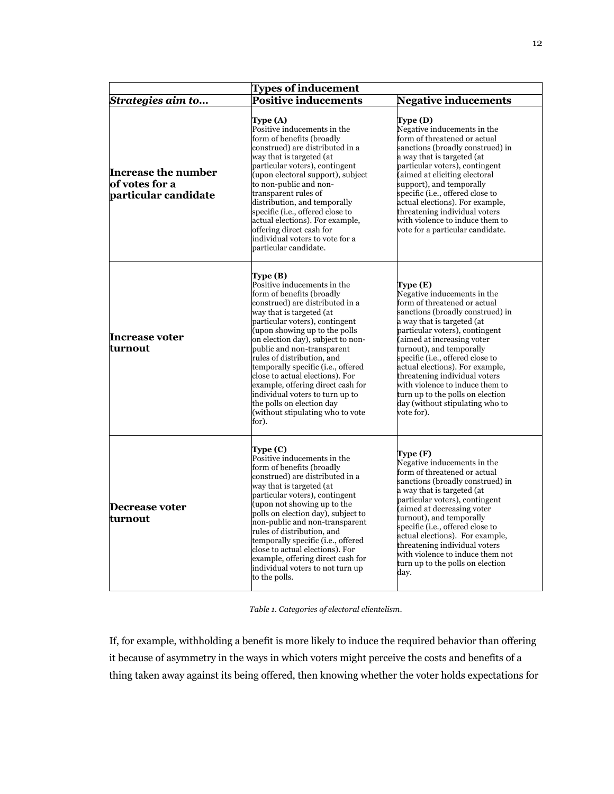| <b>Types of inducement</b>                                    |                                                                                                                                                                                                                                                                                                                                                                                                                                                                                                                                    |                                                                                                                                                                                                                                                                                                                                                                                                                                                                       |  |
|---------------------------------------------------------------|------------------------------------------------------------------------------------------------------------------------------------------------------------------------------------------------------------------------------------------------------------------------------------------------------------------------------------------------------------------------------------------------------------------------------------------------------------------------------------------------------------------------------------|-----------------------------------------------------------------------------------------------------------------------------------------------------------------------------------------------------------------------------------------------------------------------------------------------------------------------------------------------------------------------------------------------------------------------------------------------------------------------|--|
| Strategies aim to                                             | <b>Positive inducements</b>                                                                                                                                                                                                                                                                                                                                                                                                                                                                                                        | <b>Negative inducements</b>                                                                                                                                                                                                                                                                                                                                                                                                                                           |  |
| Increase the number<br>of votes for a<br>particular candidate | Type (A)<br>Positive inducements in the<br>form of benefits (broadly<br>construed) are distributed in a<br>way that is targeted (at<br>particular voters), contingent<br>(upon electoral support), subject<br>to non-public and non-<br>transparent rules of<br>distribution, and temporally<br>specific (i.e., offered close to<br>actual elections). For example,<br>offering direct cash for<br>individual voters to vote for a<br>particular candidate.                                                                        | Type (D)<br>Negative inducements in the<br>form of threatened or actual<br>sanctions (broadly construed) in<br>a way that is targeted (at<br>particular voters), contingent<br>(aimed at eliciting electoral<br>support), and temporally<br>specific (i.e., offered close to<br>actual elections). For example,<br>threatening individual voters<br>with violence to induce them to<br>vote for a particular candidate.                                               |  |
| <b>Increase voter</b><br>turnout                              | Type (B)<br>Positive inducements in the<br>form of benefits (broadly<br>construed) are distributed in a<br>way that is targeted (at<br>particular voters), contingent<br>(upon showing up to the polls<br>on election day), subject to non-<br>public and non-transparent<br>rules of distribution, and<br>temporally specific (i.e., offered<br>close to actual elections). For<br>example, offering direct cash for<br>individual voters to turn up to<br>the polls on election day<br>(without stipulating who to vote<br>for). | Type (E)<br>Negative inducements in the<br>form of threatened or actual<br>sanctions (broadly construed) in<br>a way that is targeted (at<br>particular voters), contingent<br>(aimed at increasing voter<br>turnout), and temporally<br>specific (i.e., offered close to<br>actual elections). For example,<br>threatening individual voters<br>with violence to induce them to<br>turn up to the polls on election<br>day (without stipulating who to<br>vote for). |  |
| Decrease voter<br>lturnout                                    | Type (C)<br>Positive inducements in the<br>form of benefits (broadly<br>construed) are distributed in a<br>way that is targeted (at<br>particular voters), contingent<br>(upon not showing up to the<br>polls on election day), subject to<br>non-public and non-transparent<br>rules of distribution, and<br>temporally specific (i.e., offered<br>close to actual elections). For<br>example, offering direct cash for<br>individual voters to not turn up<br>to the polls.                                                      | Type (F)<br>Negative inducements in the<br>form of threatened or actual<br>sanctions (broadly construed) in<br>a way that is targeted (at<br>particular voters), contingent<br>(aimed at decreasing voter<br>turnout), and temporally<br>specific (i.e., offered close to<br>actual elections). For example,<br>threatening individual voters<br>with violence to induce them not<br>turn up to the polls on election<br>day.                                         |  |

*Table 1. Categories of electoral clientelism*.

If, for example, withholding a benefit is more likely to induce the required behavior than offering it because of asymmetry in the ways in which voters might perceive the costs and benefits of a thing taken away against its being offered, then knowing whether the voter holds expectations for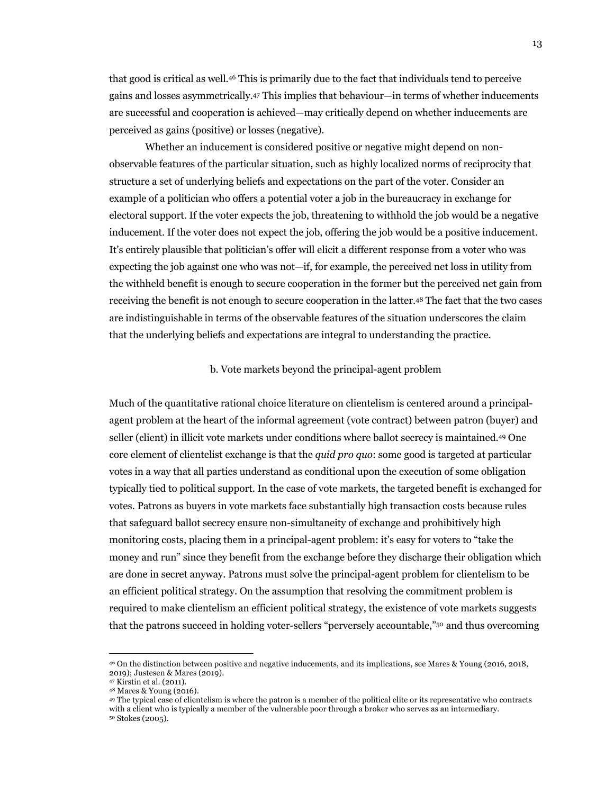that good is critical as well.46 This is primarily due to the fact that individuals tend to perceive gains and losses asymmetrically.47 This implies that behaviour—in terms of whether inducements are successful and cooperation is achieved—may critically depend on whether inducements are perceived as gains (positive) or losses (negative).

Whether an inducement is considered positive or negative might depend on nonobservable features of the particular situation, such as highly localized norms of reciprocity that structure a set of underlying beliefs and expectations on the part of the voter. Consider an example of a politician who offers a potential voter a job in the bureaucracy in exchange for electoral support. If the voter expects the job, threatening to withhold the job would be a negative inducement. If the voter does not expect the job, offering the job would be a positive inducement. It's entirely plausible that politician's offer will elicit a different response from a voter who was expecting the job against one who was not—if, for example, the perceived net loss in utility from the withheld benefit is enough to secure cooperation in the former but the perceived net gain from receiving the benefit is not enough to secure cooperation in the latter.48 The fact that the two cases are indistinguishable in terms of the observable features of the situation underscores the claim that the underlying beliefs and expectations are integral to understanding the practice.

### b. Vote markets beyond the principal-agent problem

Much of the quantitative rational choice literature on clientelism is centered around a principalagent problem at the heart of the informal agreement (vote contract) between patron (buyer) and seller (client) in illicit vote markets under conditions where ballot secrecy is maintained.49 One core element of clientelist exchange is that the *quid pro quo*: some good is targeted at particular votes in a way that all parties understand as conditional upon the execution of some obligation typically tied to political support. In the case of vote markets, the targeted benefit is exchanged for votes. Patrons as buyers in vote markets face substantially high transaction costs because rules that safeguard ballot secrecy ensure non-simultaneity of exchange and prohibitively high monitoring costs, placing them in a principal-agent problem: it's easy for voters to "take the money and run" since they benefit from the exchange before they discharge their obligation which are done in secret anyway. Patrons must solve the principal-agent problem for clientelism to be an efficient political strategy. On the assumption that resolving the commitment problem is required to make clientelism an efficient political strategy, the existence of vote markets suggests that the patrons succeed in holding voter-sellers "perversely accountable,"50 and thus overcoming

<sup>46</sup> On the distinction between positive and negative inducements, and its implications, see Mares & Young (2016, 2018, 2019); Justesen & Mares (2019).

<sup>48</sup> Mares & Young (2016).<br>49 The typical case of clientelism is where the patron is a member of the political elite or its representative who contracts with a client who is typically a member of the vulnerable poor through a broker who serves as an intermediary. <sup>50</sup> Stokes (2005).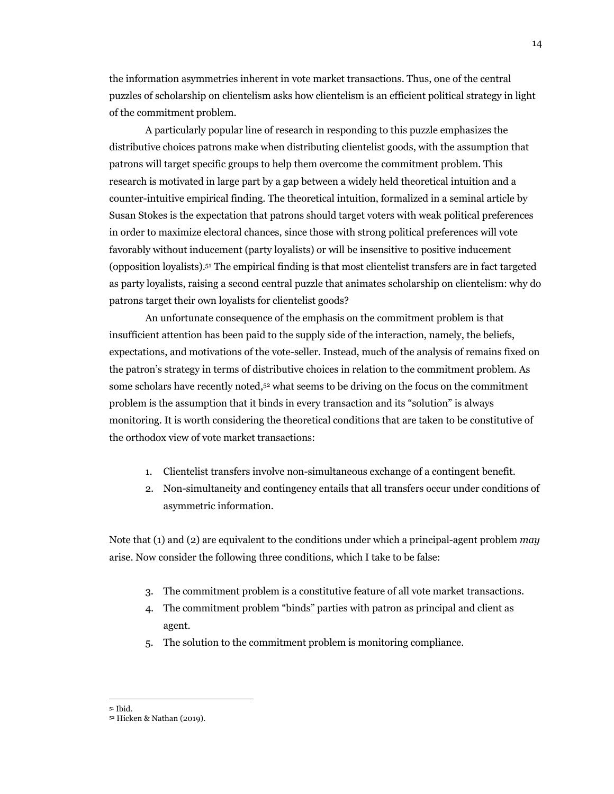the information asymmetries inherent in vote market transactions. Thus, one of the central puzzles of scholarship on clientelism asks how clientelism is an efficient political strategy in light of the commitment problem.

A particularly popular line of research in responding to this puzzle emphasizes the distributive choices patrons make when distributing clientelist goods, with the assumption that patrons will target specific groups to help them overcome the commitment problem. This research is motivated in large part by a gap between a widely held theoretical intuition and a counter-intuitive empirical finding. The theoretical intuition, formalized in a seminal article by Susan Stokes is the expectation that patrons should target voters with weak political preferences in order to maximize electoral chances, since those with strong political preferences will vote favorably without inducement (party loyalists) or will be insensitive to positive inducement (opposition loyalists).51 The empirical finding is that most clientelist transfers are in fact targeted as party loyalists, raising a second central puzzle that animates scholarship on clientelism: why do patrons target their own loyalists for clientelist goods?

An unfortunate consequence of the emphasis on the commitment problem is that insufficient attention has been paid to the supply side of the interaction, namely, the beliefs, expectations, and motivations of the vote-seller. Instead, much of the analysis of remains fixed on the patron's strategy in terms of distributive choices in relation to the commitment problem. As some scholars have recently noted,52 what seems to be driving on the focus on the commitment problem is the assumption that it binds in every transaction and its "solution" is always monitoring. It is worth considering the theoretical conditions that are taken to be constitutive of the orthodox view of vote market transactions:

- 1. Clientelist transfers involve non-simultaneous exchange of a contingent benefit.
- 2. Non-simultaneity and contingency entails that all transfers occur under conditions of asymmetric information.

Note that (1) and (2) are equivalent to the conditions under which a principal-agent problem *may*  arise. Now consider the following three conditions, which I take to be false:

- 3. The commitment problem is a constitutive feature of all vote market transactions.
- 4. The commitment problem "binds" parties with patron as principal and client as agent.
- 5. The solution to the commitment problem is monitoring compliance.

<sup>51</sup> Ibid.

<sup>52</sup> Hicken & Nathan (2019).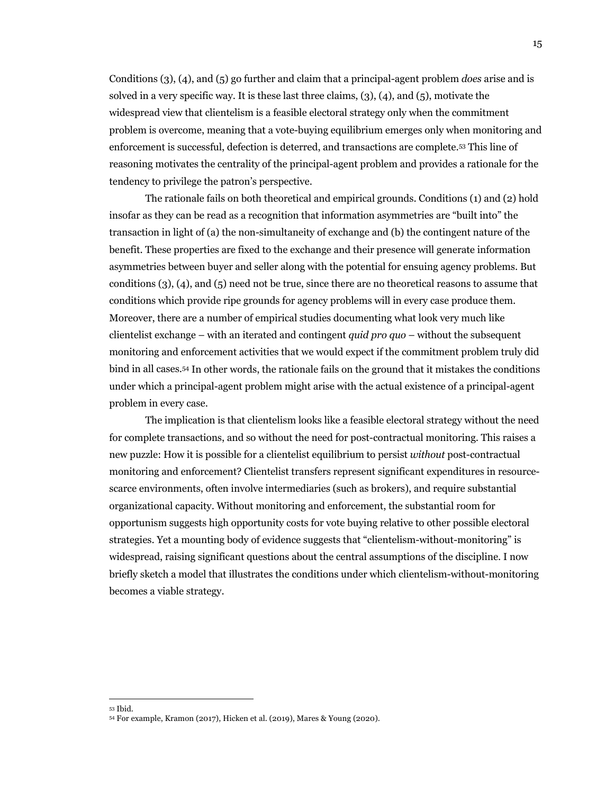Conditions (3), (4), and (5) go further and claim that a principal-agent problem *does* arise and is solved in a very specific way. It is these last three claims, (3), (4), and (5), motivate the widespread view that clientelism is a feasible electoral strategy only when the commitment problem is overcome, meaning that a vote-buying equilibrium emerges only when monitoring and enforcement is successful, defection is deterred, and transactions are complete.53 This line of reasoning motivates the centrality of the principal-agent problem and provides a rationale for the tendency to privilege the patron's perspective.

The rationale fails on both theoretical and empirical grounds. Conditions (1) and (2) hold insofar as they can be read as a recognition that information asymmetries are "built into" the transaction in light of (a) the non-simultaneity of exchange and (b) the contingent nature of the benefit. These properties are fixed to the exchange and their presence will generate information asymmetries between buyer and seller along with the potential for ensuing agency problems. But conditions (3), (4), and (5) need not be true, since there are no theoretical reasons to assume that conditions which provide ripe grounds for agency problems will in every case produce them. Moreover, there are a number of empirical studies documenting what look very much like clientelist exchange – with an iterated and contingent *quid pro quo* – without the subsequent monitoring and enforcement activities that we would expect if the commitment problem truly did bind in all cases.54 In other words, the rationale fails on the ground that it mistakes the conditions under which a principal-agent problem might arise with the actual existence of a principal-agent problem in every case.

The implication is that clientelism looks like a feasible electoral strategy without the need for complete transactions, and so without the need for post-contractual monitoring. This raises a new puzzle: How it is possible for a clientelist equilibrium to persist *without* post-contractual monitoring and enforcement? Clientelist transfers represent significant expenditures in resourcescarce environments, often involve intermediaries (such as brokers), and require substantial organizational capacity. Without monitoring and enforcement, the substantial room for opportunism suggests high opportunity costs for vote buying relative to other possible electoral strategies. Yet a mounting body of evidence suggests that "clientelism-without-monitoring" is widespread, raising significant questions about the central assumptions of the discipline. I now briefly sketch a model that illustrates the conditions under which clientelism-without-monitoring becomes a viable strategy.

<sup>53</sup> Ibid. 54 For example, Kramon (2017), Hicken et al. (2019), Mares & Young (2020).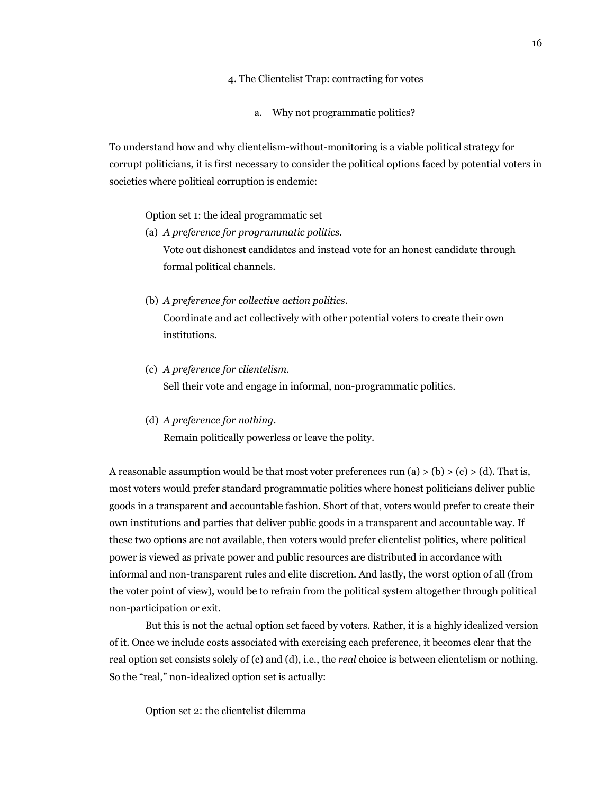- 4. The Clientelist Trap: contracting for votes
	- a. Why not programmatic politics?

To understand how and why clientelism-without-monitoring is a viable political strategy for corrupt politicians, it is first necessary to consider the political options faced by potential voters in societies where political corruption is endemic:

Option set 1: the ideal programmatic set

- (a) *A preference for programmatic politics.* Vote out dishonest candidates and instead vote for an honest candidate through formal political channels.
- (b) *A preference for collective action politics*. Coordinate and act collectively with other potential voters to create their own institutions.
- (c) *A preference for clientelism.*  Sell their vote and engage in informal, non-programmatic politics.
- (d) *A preference for nothing.*

Remain politically powerless or leave the polity.

A reasonable assumption would be that most voter preferences run (a)  $>$  (b)  $>$  (c)  $>$  (d). That is, most voters would prefer standard programmatic politics where honest politicians deliver public goods in a transparent and accountable fashion. Short of that, voters would prefer to create their own institutions and parties that deliver public goods in a transparent and accountable way. If these two options are not available, then voters would prefer clientelist politics, where political power is viewed as private power and public resources are distributed in accordance with informal and non-transparent rules and elite discretion. And lastly, the worst option of all (from the voter point of view), would be to refrain from the political system altogether through political non-participation or exit.

But this is not the actual option set faced by voters. Rather, it is a highly idealized version of it. Once we include costs associated with exercising each preference, it becomes clear that the real option set consists solely of (c) and (d), i.e., the *real* choice is between clientelism or nothing. So the "real," non-idealized option set is actually:

Option set 2: the clientelist dilemma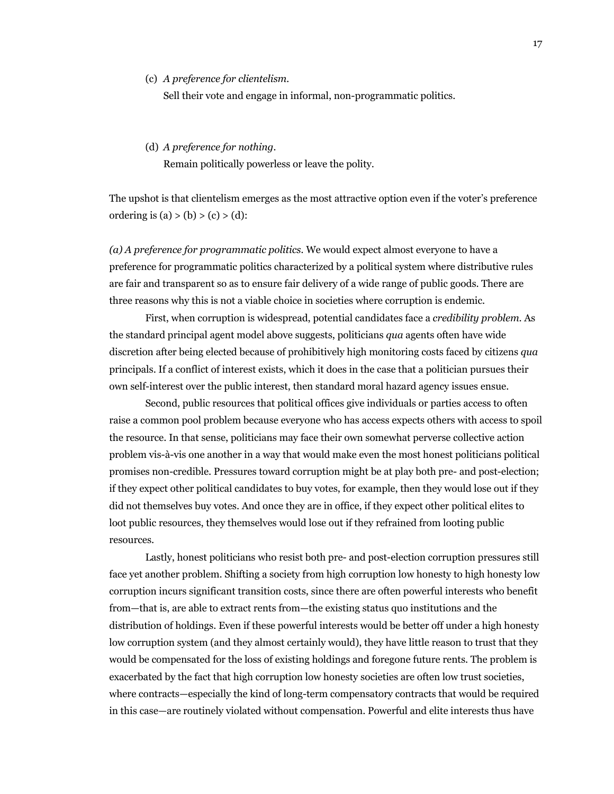(c) *A preference for clientelism.* 

Sell their vote and engage in informal, non-programmatic politics.

#### (d) *A preference for nothing.*

Remain politically powerless or leave the polity.

The upshot is that clientelism emerges as the most attractive option even if the voter's preference ordering is (a) > (b) > (c) > (d):

*(a) A preference for programmatic politics.* We would expect almost everyone to have a preference for programmatic politics characterized by a political system where distributive rules are fair and transparent so as to ensure fair delivery of a wide range of public goods. There are three reasons why this is not a viable choice in societies where corruption is endemic.

First, when corruption is widespread, potential candidates face a *credibility problem*. As the standard principal agent model above suggests, politicians *qua* agents often have wide discretion after being elected because of prohibitively high monitoring costs faced by citizens *qua*  principals. If a conflict of interest exists, which it does in the case that a politician pursues their own self-interest over the public interest, then standard moral hazard agency issues ensue.

Second, public resources that political offices give individuals or parties access to often raise a common pool problem because everyone who has access expects others with access to spoil the resource. In that sense, politicians may face their own somewhat perverse collective action problem vis-à-vis one another in a way that would make even the most honest politicians political promises non-credible. Pressures toward corruption might be at play both pre- and post-election; if they expect other political candidates to buy votes, for example, then they would lose out if they did not themselves buy votes. And once they are in office, if they expect other political elites to loot public resources, they themselves would lose out if they refrained from looting public resources.

Lastly, honest politicians who resist both pre- and post-election corruption pressures still face yet another problem. Shifting a society from high corruption low honesty to high honesty low corruption incurs significant transition costs, since there are often powerful interests who benefit from—that is, are able to extract rents from—the existing status quo institutions and the distribution of holdings. Even if these powerful interests would be better off under a high honesty low corruption system (and they almost certainly would), they have little reason to trust that they would be compensated for the loss of existing holdings and foregone future rents. The problem is exacerbated by the fact that high corruption low honesty societies are often low trust societies, where contracts—especially the kind of long-term compensatory contracts that would be required in this case—are routinely violated without compensation. Powerful and elite interests thus have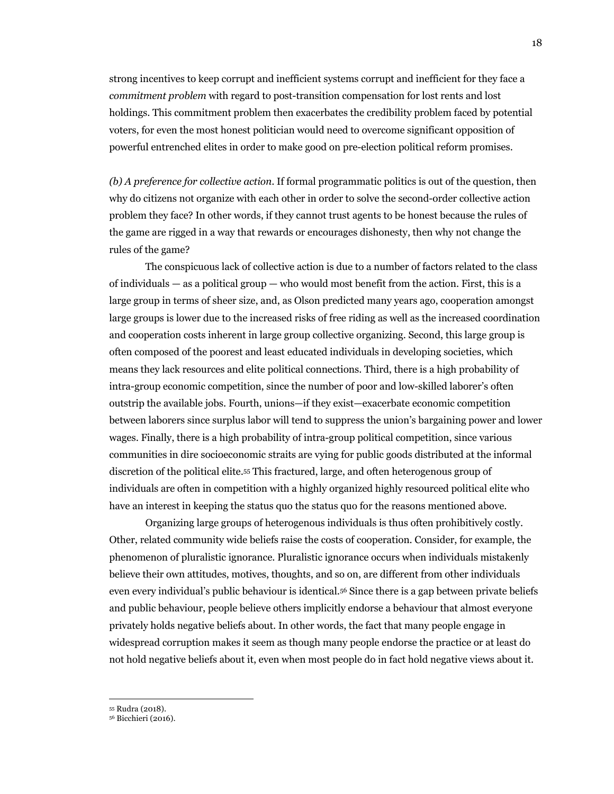strong incentives to keep corrupt and inefficient systems corrupt and inefficient for they face a *commitment problem* with regard to post-transition compensation for lost rents and lost holdings. This commitment problem then exacerbates the credibility problem faced by potential voters, for even the most honest politician would need to overcome significant opposition of powerful entrenched elites in order to make good on pre-election political reform promises.

*(b) A preference for collective action*. If formal programmatic politics is out of the question, then why do citizens not organize with each other in order to solve the second-order collective action problem they face? In other words, if they cannot trust agents to be honest because the rules of the game are rigged in a way that rewards or encourages dishonesty, then why not change the rules of the game?

The conspicuous lack of collective action is due to a number of factors related to the class of individuals  $-$  as a political group  $-$  who would most benefit from the action. First, this is a large group in terms of sheer size, and, as Olson predicted many years ago, cooperation amongst large groups is lower due to the increased risks of free riding as well as the increased coordination and cooperation costs inherent in large group collective organizing. Second, this large group is often composed of the poorest and least educated individuals in developing societies, which means they lack resources and elite political connections. Third, there is a high probability of intra-group economic competition, since the number of poor and low-skilled laborer's often outstrip the available jobs. Fourth, unions—if they exist—exacerbate economic competition between laborers since surplus labor will tend to suppress the union's bargaining power and lower wages. Finally, there is a high probability of intra-group political competition, since various communities in dire socioeconomic straits are vying for public goods distributed at the informal discretion of the political elite.55 This fractured, large, and often heterogenous group of individuals are often in competition with a highly organized highly resourced political elite who have an interest in keeping the status quo the status quo for the reasons mentioned above.

Organizing large groups of heterogenous individuals is thus often prohibitively costly. Other, related community wide beliefs raise the costs of cooperation. Consider, for example, the phenomenon of pluralistic ignorance. Pluralistic ignorance occurs when individuals mistakenly believe their own attitudes, motives, thoughts, and so on, are different from other individuals even every individual's public behaviour is identical.56 Since there is a gap between private beliefs and public behaviour, people believe others implicitly endorse a behaviour that almost everyone privately holds negative beliefs about. In other words, the fact that many people engage in widespread corruption makes it seem as though many people endorse the practice or at least do not hold negative beliefs about it, even when most people do in fact hold negative views about it.

<sup>55</sup> Rudra (2018). 56 Bicchieri (2016).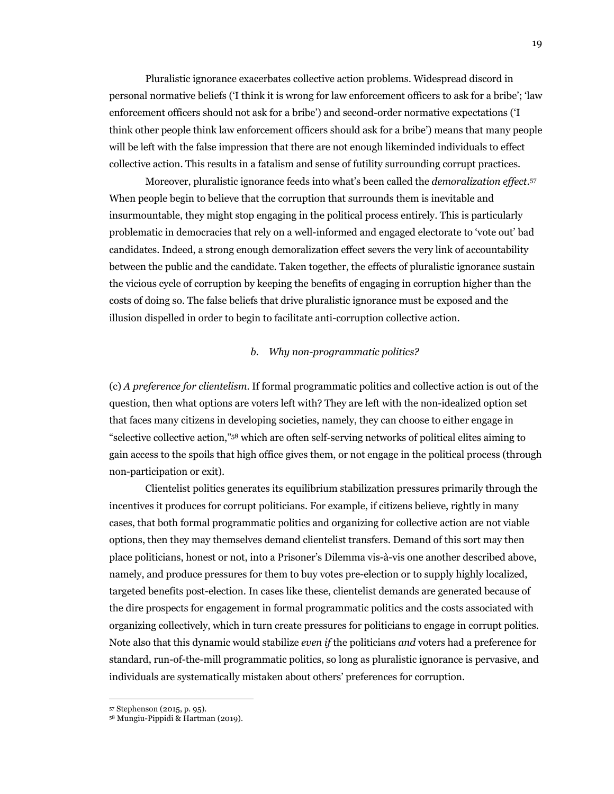Pluralistic ignorance exacerbates collective action problems. Widespread discord in personal normative beliefs ('I think it is wrong for law enforcement officers to ask for a bribe'; 'law enforcement officers should not ask for a bribe') and second-order normative expectations ('I think other people think law enforcement officers should ask for a bribe') means that many people will be left with the false impression that there are not enough likeminded individuals to effect collective action. This results in a fatalism and sense of futility surrounding corrupt practices.

Moreover, pluralistic ignorance feeds into what's been called the *demoralization effect*.57 When people begin to believe that the corruption that surrounds them is inevitable and insurmountable, they might stop engaging in the political process entirely. This is particularly problematic in democracies that rely on a well-informed and engaged electorate to 'vote out' bad candidates. Indeed, a strong enough demoralization effect severs the very link of accountability between the public and the candidate. Taken together, the effects of pluralistic ignorance sustain the vicious cycle of corruption by keeping the benefits of engaging in corruption higher than the costs of doing so. The false beliefs that drive pluralistic ignorance must be exposed and the illusion dispelled in order to begin to facilitate anti-corruption collective action.

### *b. Why non-programmatic politics?*

(c) *A preference for clientelism*. If formal programmatic politics and collective action is out of the question, then what options are voters left with? They are left with the non-idealized option set that faces many citizens in developing societies, namely, they can choose to either engage in "selective collective action,"58 which are often self-serving networks of political elites aiming to gain access to the spoils that high office gives them, or not engage in the political process (through non-participation or exit).

Clientelist politics generates its equilibrium stabilization pressures primarily through the incentives it produces for corrupt politicians. For example, if citizens believe, rightly in many cases, that both formal programmatic politics and organizing for collective action are not viable options, then they may themselves demand clientelist transfers. Demand of this sort may then place politicians, honest or not, into a Prisoner's Dilemma vis-à-vis one another described above, namely, and produce pressures for them to buy votes pre-election or to supply highly localized, targeted benefits post-election. In cases like these, clientelist demands are generated because of the dire prospects for engagement in formal programmatic politics and the costs associated with organizing collectively, which in turn create pressures for politicians to engage in corrupt politics. Note also that this dynamic would stabilize *even if* the politicians *and* voters had a preference for standard, run-of-the-mill programmatic politics, so long as pluralistic ignorance is pervasive, and individuals are systematically mistaken about others' preferences for corruption.

<sup>57</sup> Stephenson (2015, p. 95).

<sup>58</sup> Mungiu-Pippidi & Hartman (2019).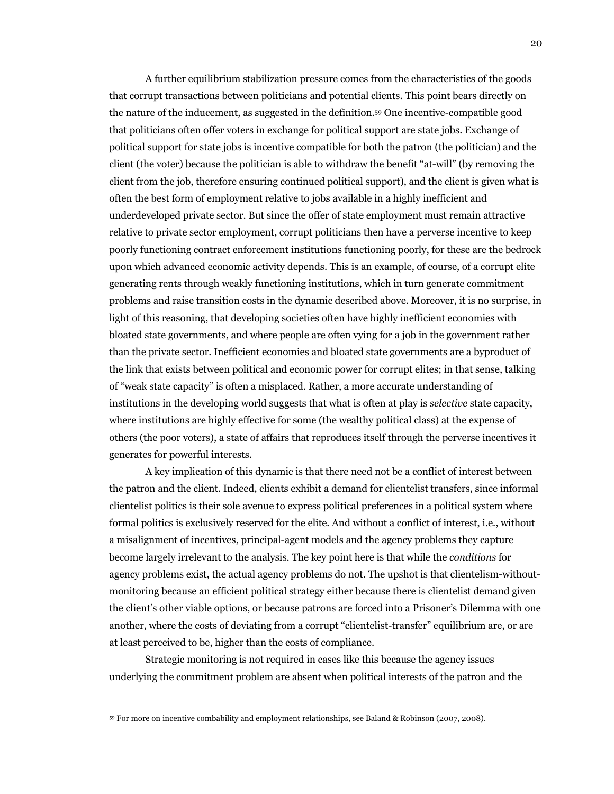A further equilibrium stabilization pressure comes from the characteristics of the goods that corrupt transactions between politicians and potential clients. This point bears directly on the nature of the inducement, as suggested in the definition.59 One incentive-compatible good that politicians often offer voters in exchange for political support are state jobs. Exchange of political support for state jobs is incentive compatible for both the patron (the politician) and the client (the voter) because the politician is able to withdraw the benefit "at-will" (by removing the client from the job, therefore ensuring continued political support), and the client is given what is often the best form of employment relative to jobs available in a highly inefficient and underdeveloped private sector. But since the offer of state employment must remain attractive relative to private sector employment, corrupt politicians then have a perverse incentive to keep poorly functioning contract enforcement institutions functioning poorly, for these are the bedrock upon which advanced economic activity depends. This is an example, of course, of a corrupt elite generating rents through weakly functioning institutions, which in turn generate commitment problems and raise transition costs in the dynamic described above. Moreover, it is no surprise, in light of this reasoning, that developing societies often have highly inefficient economies with bloated state governments, and where people are often vying for a job in the government rather than the private sector. Inefficient economies and bloated state governments are a byproduct of the link that exists between political and economic power for corrupt elites; in that sense, talking of "weak state capacity" is often a misplaced. Rather, a more accurate understanding of institutions in the developing world suggests that what is often at play is *selective* state capacity, where institutions are highly effective for some (the wealthy political class) at the expense of others (the poor voters), a state of affairs that reproduces itself through the perverse incentives it generates for powerful interests.

A key implication of this dynamic is that there need not be a conflict of interest between the patron and the client. Indeed, clients exhibit a demand for clientelist transfers, since informal clientelist politics is their sole avenue to express political preferences in a political system where formal politics is exclusively reserved for the elite. And without a conflict of interest, i.e., without a misalignment of incentives, principal-agent models and the agency problems they capture become largely irrelevant to the analysis. The key point here is that while the *conditions* for agency problems exist, the actual agency problems do not. The upshot is that clientelism-withoutmonitoring because an efficient political strategy either because there is clientelist demand given the client's other viable options, or because patrons are forced into a Prisoner's Dilemma with one another, where the costs of deviating from a corrupt "clientelist-transfer" equilibrium are, or are at least perceived to be, higher than the costs of compliance.

Strategic monitoring is not required in cases like this because the agency issues underlying the commitment problem are absent when political interests of the patron and the

<sup>59</sup> For more on incentive combability and employment relationships, see Baland & Robinson (2007, 2008).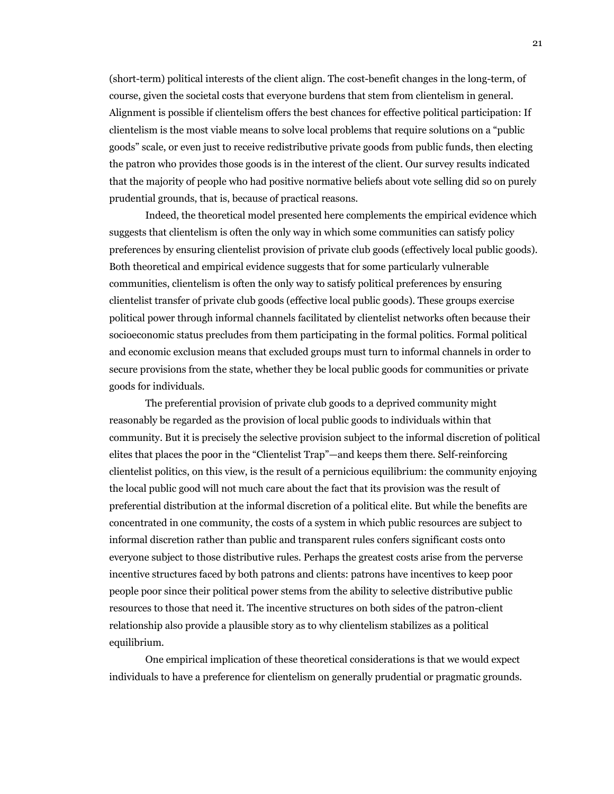(short-term) political interests of the client align. The cost-benefit changes in the long-term, of course, given the societal costs that everyone burdens that stem from clientelism in general. Alignment is possible if clientelism offers the best chances for effective political participation: If clientelism is the most viable means to solve local problems that require solutions on a "public goods" scale, or even just to receive redistributive private goods from public funds, then electing the patron who provides those goods is in the interest of the client. Our survey results indicated that the majority of people who had positive normative beliefs about vote selling did so on purely prudential grounds, that is, because of practical reasons.

Indeed, the theoretical model presented here complements the empirical evidence which suggests that clientelism is often the only way in which some communities can satisfy policy preferences by ensuring clientelist provision of private club goods (effectively local public goods). Both theoretical and empirical evidence suggests that for some particularly vulnerable communities, clientelism is often the only way to satisfy political preferences by ensuring clientelist transfer of private club goods (effective local public goods). These groups exercise political power through informal channels facilitated by clientelist networks often because their socioeconomic status precludes from them participating in the formal politics. Formal political and economic exclusion means that excluded groups must turn to informal channels in order to secure provisions from the state, whether they be local public goods for communities or private goods for individuals.

The preferential provision of private club goods to a deprived community might reasonably be regarded as the provision of local public goods to individuals within that community. But it is precisely the selective provision subject to the informal discretion of political elites that places the poor in the "Clientelist Trap"—and keeps them there. Self-reinforcing clientelist politics, on this view, is the result of a pernicious equilibrium: the community enjoying the local public good will not much care about the fact that its provision was the result of preferential distribution at the informal discretion of a political elite. But while the benefits are concentrated in one community, the costs of a system in which public resources are subject to informal discretion rather than public and transparent rules confers significant costs onto everyone subject to those distributive rules. Perhaps the greatest costs arise from the perverse incentive structures faced by both patrons and clients: patrons have incentives to keep poor people poor since their political power stems from the ability to selective distributive public resources to those that need it. The incentive structures on both sides of the patron-client relationship also provide a plausible story as to why clientelism stabilizes as a political equilibrium.

One empirical implication of these theoretical considerations is that we would expect individuals to have a preference for clientelism on generally prudential or pragmatic grounds.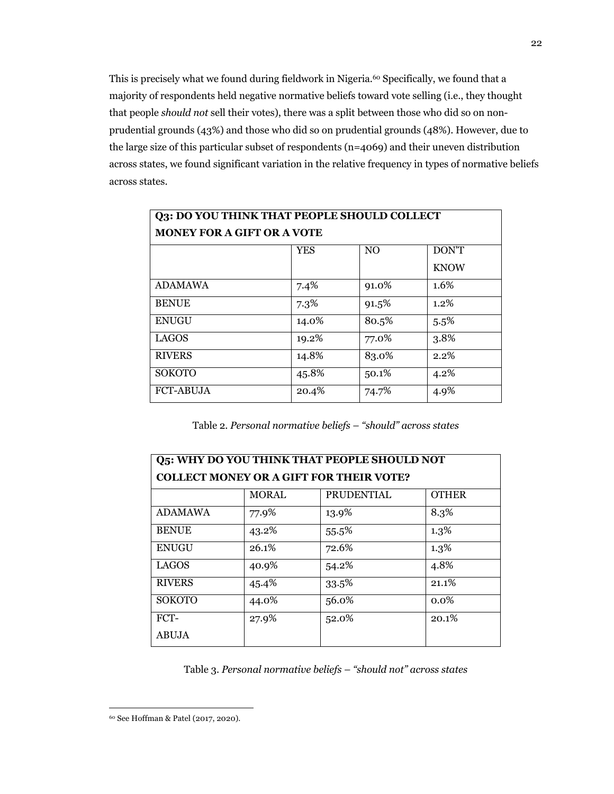This is precisely what we found during fieldwork in Nigeria.<sup>60</sup> Specifically, we found that a majority of respondents held negative normative beliefs toward vote selling (i.e., they thought that people *should not* sell their votes), there was a split between those who did so on nonprudential grounds (43%) and those who did so on prudential grounds (48%). However, due to the large size of this particular subset of respondents (n=4069) and their uneven distribution across states, we found significant variation in the relative frequency in types of normative beliefs across states.

| Q3: DO YOU THINK THAT PEOPLE SHOULD COLLECT |            |                |             |
|---------------------------------------------|------------|----------------|-------------|
| <b>MONEY FOR A GIFT OR A VOTE</b>           |            |                |             |
|                                             | <b>YES</b> | N <sub>O</sub> | DON'T       |
|                                             |            |                | <b>KNOW</b> |
| <b>ADAMAWA</b>                              | 7.4%       | 91.0%          | 1.6%        |
| <b>BENUE</b>                                | 7.3%       | 91.5%          | $1.2\%$     |
| <b>ENUGU</b>                                | 14.0%      | 80.5%          | 5.5%        |
| <b>LAGOS</b>                                | 19.2%      | 77.0%          | 3.8%        |
| <b>RIVERS</b>                               | 14.8%      | 83.0%          | 2.2%        |
| <b>SOKOTO</b>                               | 45.8%      | 50.1%          | 4.2%        |
| <b>FCT-ABUJA</b>                            | 20.4%      | 74.7%          | 4.9%        |

Table 2. *Personal normative beliefs – "should" across states*

| <b>Q5: WHY DO YOU THINK THAT PEOPLE SHOULD NOT</b> |              |                   |              |
|----------------------------------------------------|--------------|-------------------|--------------|
| <b>COLLECT MONEY OR A GIFT FOR THEIR VOTE?</b>     |              |                   |              |
|                                                    | <b>MORAL</b> | <b>PRUDENTIAL</b> | <b>OTHER</b> |
| <b>ADAMAWA</b>                                     | 77.9%        | 13.9%             | 8.3%         |
| <b>BENUE</b>                                       | 43.2%        | 55.5%             | 1.3%         |
| <b>ENUGU</b>                                       | 26.1%        | 72.6%             | $1.3\%$      |
| <b>LAGOS</b>                                       | 40.9%        | 54.2%             | 4.8%         |
| <b>RIVERS</b>                                      | 45.4%        | 33.5%             | 21.1%        |
| <b>SOKOTO</b>                                      | 44.0%        | 56.0%             | $0.0\%$      |
| FCT-                                               | 27.9%        | 52.0%             | 20.1%        |
| <b>ABUJA</b>                                       |              |                   |              |

Table 3. *Personal normative beliefs – "should not" across states*

<sup>60</sup> See Hoffman & Patel (2017, 2020).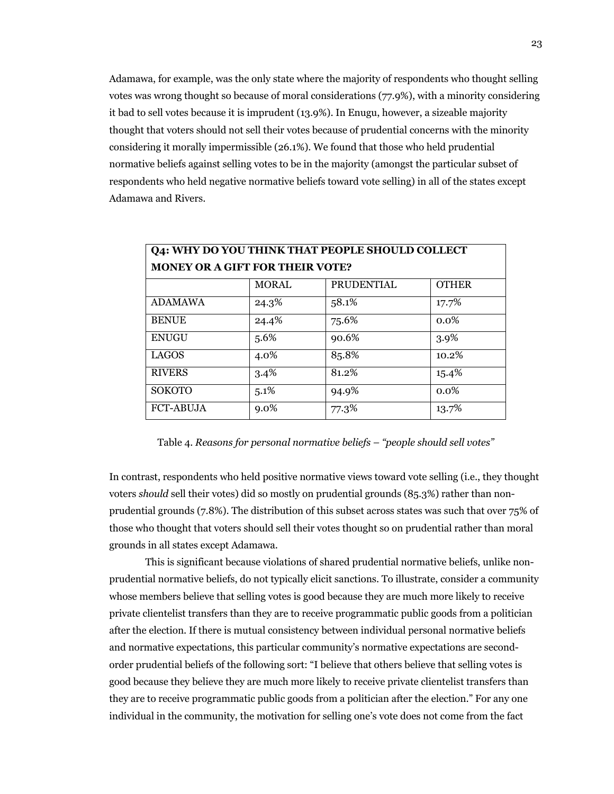Adamawa, for example, was the only state where the majority of respondents who thought selling votes was wrong thought so because of moral considerations (77.9%), with a minority considering it bad to sell votes because it is imprudent (13.9%). In Enugu, however, a sizeable majority thought that voters should not sell their votes because of prudential concerns with the minority considering it morally impermissible (26.1%). We found that those who held prudential normative beliefs against selling votes to be in the majority (amongst the particular subset of respondents who held negative normative beliefs toward vote selling) in all of the states except Adamawa and Rivers.

| Q4: WHY DO YOU THINK THAT PEOPLE SHOULD COLLECT |              |                   |              |
|-------------------------------------------------|--------------|-------------------|--------------|
| <b>MONEY OR A GIFT FOR THEIR VOTE?</b>          |              |                   |              |
|                                                 | <b>MORAL</b> | <b>PRUDENTIAL</b> | <b>OTHER</b> |
| <b>ADAMAWA</b>                                  | 24.3%        | 58.1%             | 17.7%        |
| <b>BENUE</b>                                    | 24.4%        | 75.6%             | $0.0\%$      |
| <b>ENUGU</b>                                    | 5.6%         | 90.6%             | 3.9%         |
| <b>LAGOS</b>                                    | 4.0%         | 85.8%             | 10.2%        |
| <b>RIVERS</b>                                   | 3.4%         | 81.2%             | 15.4%        |
| <b>SOKOTO</b>                                   | 5.1%         | 94.9%             | $0.0\%$      |
| <b>FCT-ABUJA</b>                                | $9.0\%$      | 77.3%             | 13.7%        |

Table 4. *Reasons for personal normative beliefs – "people should sell votes"*

In contrast, respondents who held positive normative views toward vote selling (i.e., they thought voters *should* sell their votes) did so mostly on prudential grounds (85.3%) rather than nonprudential grounds (7.8%). The distribution of this subset across states was such that over 75% of those who thought that voters should sell their votes thought so on prudential rather than moral grounds in all states except Adamawa.

This is significant because violations of shared prudential normative beliefs, unlike nonprudential normative beliefs, do not typically elicit sanctions. To illustrate, consider a community whose members believe that selling votes is good because they are much more likely to receive private clientelist transfers than they are to receive programmatic public goods from a politician after the election. If there is mutual consistency between individual personal normative beliefs and normative expectations, this particular community's normative expectations are secondorder prudential beliefs of the following sort: "I believe that others believe that selling votes is good because they believe they are much more likely to receive private clientelist transfers than they are to receive programmatic public goods from a politician after the election." For any one individual in the community, the motivation for selling one's vote does not come from the fact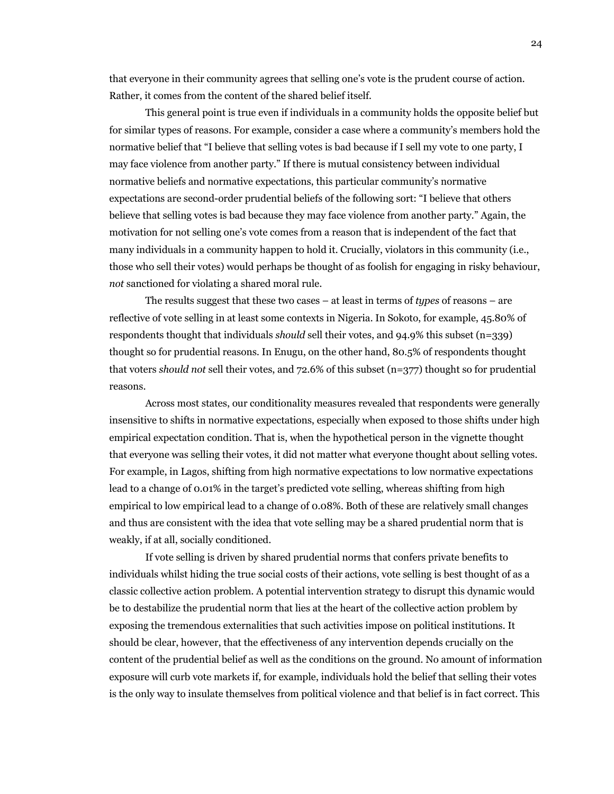that everyone in their community agrees that selling one's vote is the prudent course of action. Rather, it comes from the content of the shared belief itself.

This general point is true even if individuals in a community holds the opposite belief but for similar types of reasons. For example, consider a case where a community's members hold the normative belief that "I believe that selling votes is bad because if I sell my vote to one party, I may face violence from another party." If there is mutual consistency between individual normative beliefs and normative expectations, this particular community's normative expectations are second-order prudential beliefs of the following sort: "I believe that others believe that selling votes is bad because they may face violence from another party." Again, the motivation for not selling one's vote comes from a reason that is independent of the fact that many individuals in a community happen to hold it. Crucially, violators in this community (i.e., those who sell their votes) would perhaps be thought of as foolish for engaging in risky behaviour, *not* sanctioned for violating a shared moral rule.

The results suggest that these two cases – at least in terms of *types* of reasons – are reflective of vote selling in at least some contexts in Nigeria. In Sokoto, for example, 45.80% of respondents thought that individuals *should* sell their votes, and 94.9% this subset (n=339) thought so for prudential reasons. In Enugu, on the other hand, 80.5% of respondents thought that voters *should not* sell their votes, and 72.6% of this subset (n=377) thought so for prudential reasons.

Across most states, our conditionality measures revealed that respondents were generally insensitive to shifts in normative expectations, especially when exposed to those shifts under high empirical expectation condition. That is, when the hypothetical person in the vignette thought that everyone was selling their votes, it did not matter what everyone thought about selling votes. For example, in Lagos, shifting from high normative expectations to low normative expectations lead to a change of 0.01% in the target's predicted vote selling, whereas shifting from high empirical to low empirical lead to a change of 0.08%. Both of these are relatively small changes and thus are consistent with the idea that vote selling may be a shared prudential norm that is weakly, if at all, socially conditioned.

If vote selling is driven by shared prudential norms that confers private benefits to individuals whilst hiding the true social costs of their actions, vote selling is best thought of as a classic collective action problem. A potential intervention strategy to disrupt this dynamic would be to destabilize the prudential norm that lies at the heart of the collective action problem by exposing the tremendous externalities that such activities impose on political institutions. It should be clear, however, that the effectiveness of any intervention depends crucially on the content of the prudential belief as well as the conditions on the ground. No amount of information exposure will curb vote markets if, for example, individuals hold the belief that selling their votes is the only way to insulate themselves from political violence and that belief is in fact correct. This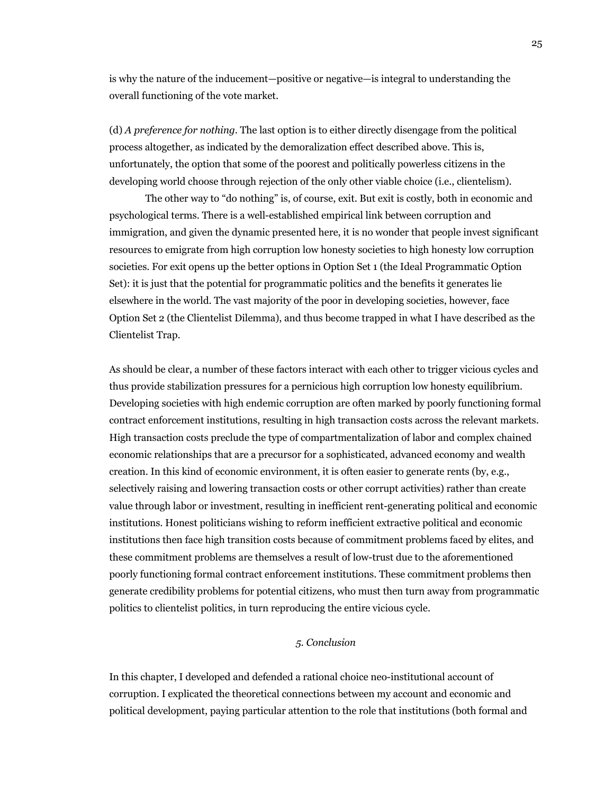is why the nature of the inducement—positive or negative—is integral to understanding the overall functioning of the vote market.

(d) *A preference for nothing*. The last option is to either directly disengage from the political process altogether, as indicated by the demoralization effect described above. This is, unfortunately, the option that some of the poorest and politically powerless citizens in the developing world choose through rejection of the only other viable choice (i.e., clientelism).

The other way to "do nothing" is, of course, exit. But exit is costly, both in economic and psychological terms. There is a well-established empirical link between corruption and immigration, and given the dynamic presented here, it is no wonder that people invest significant resources to emigrate from high corruption low honesty societies to high honesty low corruption societies. For exit opens up the better options in Option Set 1 (the Ideal Programmatic Option Set): it is just that the potential for programmatic politics and the benefits it generates lie elsewhere in the world. The vast majority of the poor in developing societies, however, face Option Set 2 (the Clientelist Dilemma), and thus become trapped in what I have described as the Clientelist Trap.

As should be clear, a number of these factors interact with each other to trigger vicious cycles and thus provide stabilization pressures for a pernicious high corruption low honesty equilibrium. Developing societies with high endemic corruption are often marked by poorly functioning formal contract enforcement institutions, resulting in high transaction costs across the relevant markets. High transaction costs preclude the type of compartmentalization of labor and complex chained economic relationships that are a precursor for a sophisticated, advanced economy and wealth creation. In this kind of economic environment, it is often easier to generate rents (by, e.g., selectively raising and lowering transaction costs or other corrupt activities) rather than create value through labor or investment, resulting in inefficient rent-generating political and economic institutions. Honest politicians wishing to reform inefficient extractive political and economic institutions then face high transition costs because of commitment problems faced by elites, and these commitment problems are themselves a result of low-trust due to the aforementioned poorly functioning formal contract enforcement institutions. These commitment problems then generate credibility problems for potential citizens, who must then turn away from programmatic politics to clientelist politics, in turn reproducing the entire vicious cycle.

### *5. Conclusion*

In this chapter, I developed and defended a rational choice neo-institutional account of corruption. I explicated the theoretical connections between my account and economic and political development, paying particular attention to the role that institutions (both formal and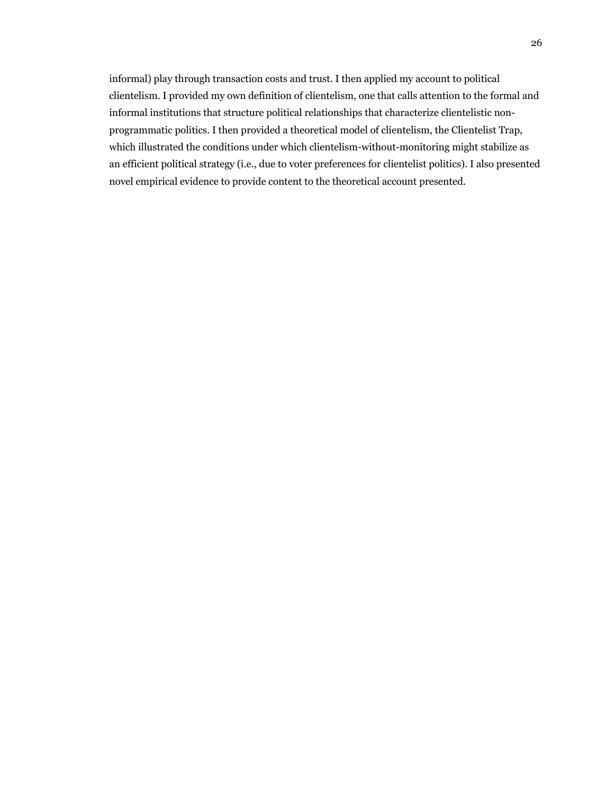informal) play through transaction costs and trust. I then applied my account to political clientelism. I provided my own definition of clientelism, one that calls attention to the formal and informal institutions that structure political relationships that characterize clientelistic nonprogrammatic politics. I then provided a theoretical model of clientelism, the Clientelist Trap, which illustrated the conditions under which clientelism-without-monitoring might stabilize as an efficient political strategy (i.e., due to voter preferences for clientelist politics). I also presented novel empirical evidence to provide content to the theoretical account presented.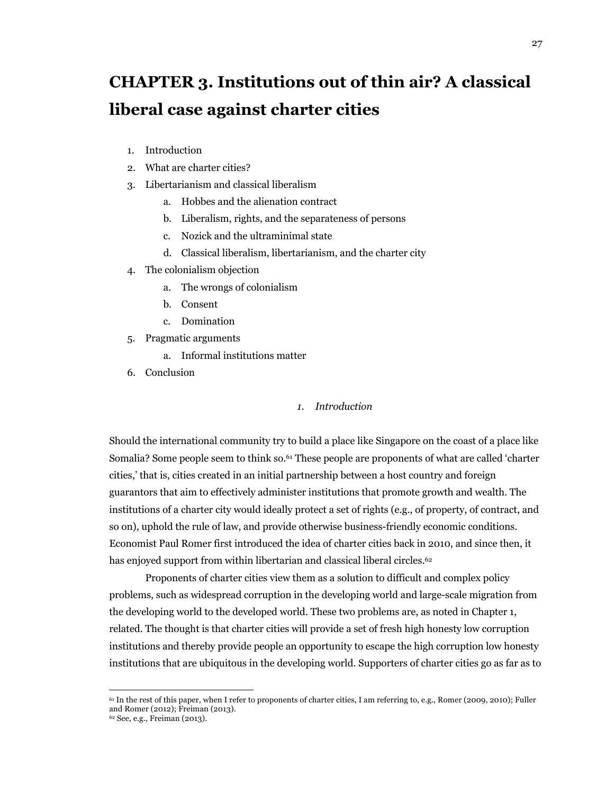# **CHAPTER 3. Institutions out of thin air? A classical liberal case against charter cities**

- 1. Introduction
- 2. What are charter cities?
- 3. Libertarianism and classical liberalism
	- a. Hobbes and the alienation contract
	- b. Liberalism, rights, and the separateness of persons
	- c. Nozick and the ultraminimal state
	- d. Classical liberalism, libertarianism, and the charter city
- 4. The colonialism objection
	- a. The wrongs of colonialism
	- b. Consent
	- c. Domination
- 5. Pragmatic arguments
	- a. Informal institutions matter
- 6. Conclusion

### *1. Introduction*

Should the international community try to build a place like Singapore on the coast of a place like Somalia? Some people seem to think so.61 These people are proponents of what are called 'charter cities,' that is, cities created in an initial partnership between a host country and foreign guarantors that aim to effectively administer institutions that promote growth and wealth. The institutions of a charter city would ideally protect a set of rights (e.g., of property, of contract, and so on), uphold the rule of law, and provide otherwise business-friendly economic conditions. Economist Paul Romer first introduced the idea of charter cities back in 2010, and since then, it has enjoyed support from within libertarian and classical liberal circles.<sup>62</sup>

Proponents of charter cities view them as a solution to difficult and complex policy problems, such as widespread corruption in the developing world and large-scale migration from the developing world to the developed world. These two problems are, as noted in Chapter 1, related. The thought is that charter cities will provide a set of fresh high honesty low corruption institutions and thereby provide people an opportunity to escape the high corruption low honesty institutions that are ubiquitous in the developing world. Supporters of charter cities go as far as to

<sup>61</sup> In the rest of this paper, when I refer to proponents of charter cities, I am referring to, e.g., Romer (2009, 2010); Fuller and Romer (2012); Freiman (2013).

<sup>62</sup> See, e.g., Freiman (2013).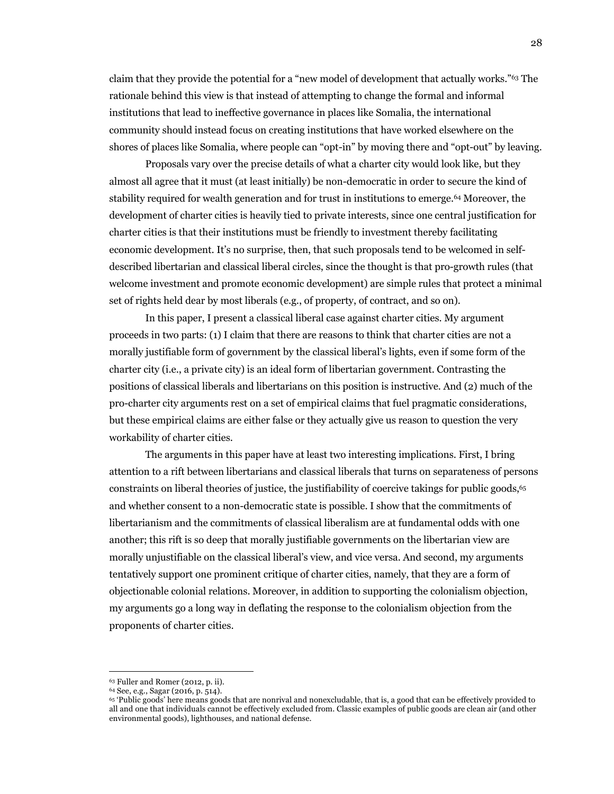claim that they provide the potential for a "new model of development that actually works."63 The rationale behind this view is that instead of attempting to change the formal and informal institutions that lead to ineffective governance in places like Somalia, the international community should instead focus on creating institutions that have worked elsewhere on the shores of places like Somalia, where people can "opt-in" by moving there and "opt-out" by leaving.

Proposals vary over the precise details of what a charter city would look like, but they almost all agree that it must (at least initially) be non-democratic in order to secure the kind of stability required for wealth generation and for trust in institutions to emerge.64 Moreover, the development of charter cities is heavily tied to private interests, since one central justification for charter cities is that their institutions must be friendly to investment thereby facilitating economic development. It's no surprise, then, that such proposals tend to be welcomed in selfdescribed libertarian and classical liberal circles, since the thought is that pro-growth rules (that welcome investment and promote economic development) are simple rules that protect a minimal set of rights held dear by most liberals (e.g., of property, of contract, and so on).

In this paper, I present a classical liberal case against charter cities. My argument proceeds in two parts: (1) I claim that there are reasons to think that charter cities are not a morally justifiable form of government by the classical liberal's lights, even if some form of the charter city (i.e., a private city) is an ideal form of libertarian government. Contrasting the positions of classical liberals and libertarians on this position is instructive. And (2) much of the pro-charter city arguments rest on a set of empirical claims that fuel pragmatic considerations, but these empirical claims are either false or they actually give us reason to question the very workability of charter cities.

The arguments in this paper have at least two interesting implications. First, I bring attention to a rift between libertarians and classical liberals that turns on separateness of persons constraints on liberal theories of justice, the justifiability of coercive takings for public goods,<sup>65</sup> and whether consent to a non-democratic state is possible. I show that the commitments of libertarianism and the commitments of classical liberalism are at fundamental odds with one another; this rift is so deep that morally justifiable governments on the libertarian view are morally unjustifiable on the classical liberal's view, and vice versa. And second, my arguments tentatively support one prominent critique of charter cities, namely, that they are a form of objectionable colonial relations. Moreover, in addition to supporting the colonialism objection, my arguments go a long way in deflating the response to the colonialism objection from the proponents of charter cities.

<sup>&</sup>lt;sup>63</sup> Fuller and Romer (2012, p. ii).<br><sup>64</sup> See, e.g., Sagar (2016, p. 514).<br><sup>65</sup> 'Public goods' here means goods that are nonrival and nonexcludable, that is, a good that can be effectively provided to all and one that individuals cannot be effectively excluded from. Classic examples of public goods are clean air (and other environmental goods), lighthouses, and national defense.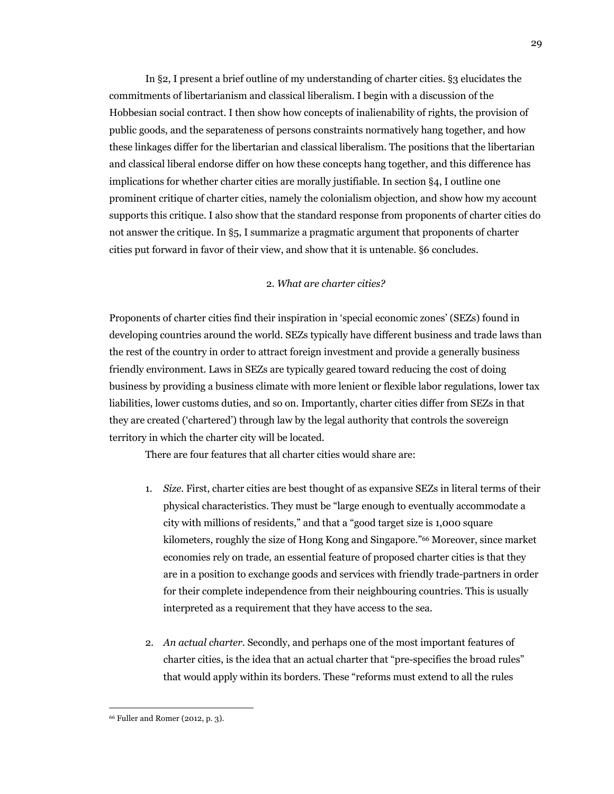In §2, I present a brief outline of my understanding of charter cities. §3 elucidates the commitments of libertarianism and classical liberalism. I begin with a discussion of the Hobbesian social contract. I then show how concepts of inalienability of rights, the provision of public goods, and the separateness of persons constraints normatively hang together, and how these linkages differ for the libertarian and classical liberalism. The positions that the libertarian and classical liberal endorse differ on how these concepts hang together, and this difference has implications for whether charter cities are morally justifiable. In section §4, I outline one prominent critique of charter cities, namely the colonialism objection, and show how my account supports this critique. I also show that the standard response from proponents of charter cities do not answer the critique. In §5, I summarize a pragmatic argument that proponents of charter cities put forward in favor of their view, and show that it is untenable. §6 concludes.

#### 2. *What are charter cities?*

Proponents of charter cities find their inspiration in 'special economic zones' (SEZs) found in developing countries around the world. SEZs typically have different business and trade laws than the rest of the country in order to attract foreign investment and provide a generally business friendly environment. Laws in SEZs are typically geared toward reducing the cost of doing business by providing a business climate with more lenient or flexible labor regulations, lower tax liabilities, lower customs duties, and so on. Importantly, charter cities differ from SEZs in that they are created ('chartered') through law by the legal authority that controls the sovereign territory in which the charter city will be located.

There are four features that all charter cities would share are:

- 1. *Size*. First, charter cities are best thought of as expansive SEZs in literal terms of their physical characteristics. They must be "large enough to eventually accommodate a city with millions of residents," and that a "good target size is 1,000 square kilometers, roughly the size of Hong Kong and Singapore."66 Moreover, since market economies rely on trade, an essential feature of proposed charter cities is that they are in a position to exchange goods and services with friendly trade-partners in order for their complete independence from their neighbouring countries. This is usually interpreted as a requirement that they have access to the sea.
- 2. *An actual charter.* Secondly, and perhaps one of the most important features of charter cities, is the idea that an actual charter that "pre-specifies the broad rules" that would apply within its borders. These "reforms must extend to all the rules

<sup>66</sup> Fuller and Romer (2012, p. 3).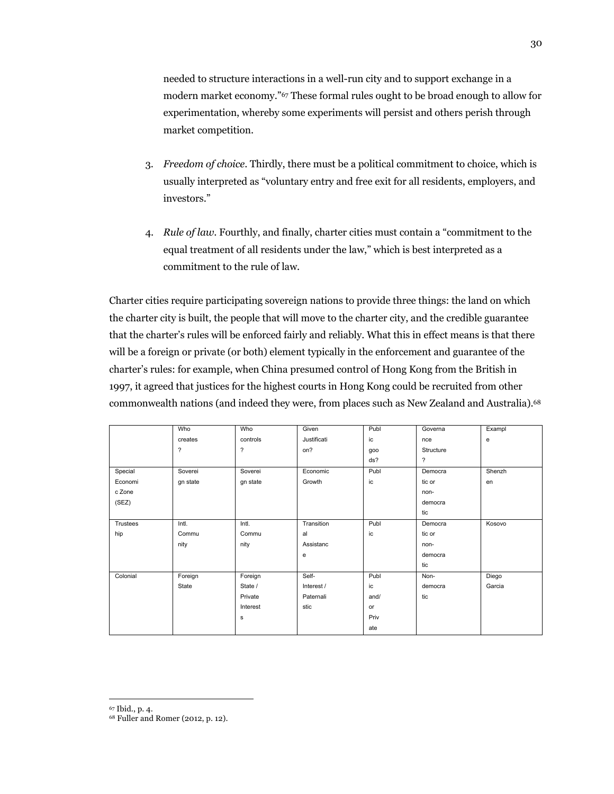needed to structure interactions in a well-run city and to support exchange in a modern market economy."67 These formal rules ought to be broad enough to allow for experimentation, whereby some experiments will persist and others perish through market competition.

- 3. *Freedom of choice*. Thirdly, there must be a political commitment to choice, which is usually interpreted as "voluntary entry and free exit for all residents, employers, and investors."
- 4. *Rule of law*. Fourthly, and finally, charter cities must contain a "commitment to the equal treatment of all residents under the law," which is best interpreted as a commitment to the rule of law.

Charter cities require participating sovereign nations to provide three things: the land on which the charter city is built, the people that will move to the charter city, and the credible guarantee that the charter's rules will be enforced fairly and reliably. What this in effect means is that there will be a foreign or private (or both) element typically in the enforcement and guarantee of the charter's rules: for example, when China presumed control of Hong Kong from the British in 1997, it agreed that justices for the highest courts in Hong Kong could be recruited from other commonwealth nations (and indeed they were, from places such as New Zealand and Australia).68

|          | Who            | Who                      | Given       | Publ | Governa                  | Exampl       |
|----------|----------------|--------------------------|-------------|------|--------------------------|--------------|
|          | creates        | controls                 | Justificati | ic   | nce                      | $\mathbf{e}$ |
|          | $\overline{?}$ | $\overline{\phantom{a}}$ | on?         | goo  | Structure                |              |
|          |                |                          |             | ds?  | $\overline{\phantom{a}}$ |              |
| Special  | Soverei        | Soverei                  | Economic    | Publ | Democra                  | Shenzh       |
| Economi  | gn state       | gn state                 | Growth      | ic   | tic or                   | en           |
| c Zone   |                |                          |             |      | non-                     |              |
| (SEZ)    |                |                          |             |      | democra                  |              |
|          |                |                          |             |      | tic                      |              |
| Trustees | Intl.          | Intl.                    | Transition  | Publ | Democra                  | Kosovo       |
| hip      | Commu          | Commu                    | al          | ic   | tic or                   |              |
|          | nity           | nity                     | Assistanc   |      | non-                     |              |
|          |                |                          | e           |      | democra                  |              |
|          |                |                          |             |      | tic                      |              |
| Colonial | Foreign        | Foreign                  | Self-       | Publ | Non-                     | Diego        |
|          | State          | State /                  | Interest /  | ic   | democra                  | Garcia       |
|          |                | Private                  | Paternali   | and/ | tic                      |              |
|          |                | Interest                 | stic        | or   |                          |              |
|          |                | $\mathbf s$              |             | Priv |                          |              |
|          |                |                          |             | ate  |                          |              |

<sup>67</sup> Ibid., p. 4. 68 Fuller and Romer (2012, p. 12).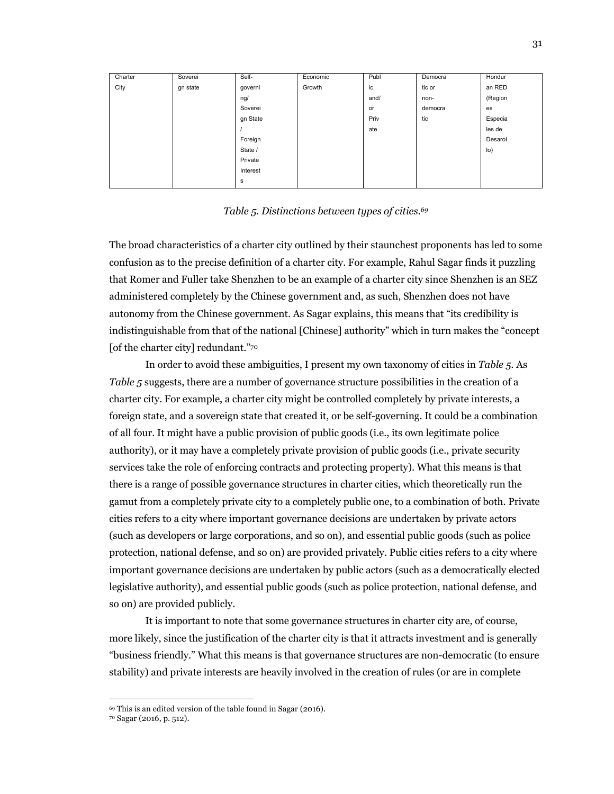| Charter | Soverei  | Self-    | Economic | Publ | Democra | Hondur              |
|---------|----------|----------|----------|------|---------|---------------------|
| City    | gn state | governi  | Growth   | ic   | tic or  | an RED              |
|         |          | ng/      |          | and/ | non-    | (Region             |
|         |          | Soverei  |          | or   | democra | es                  |
|         |          | gn State |          | Priv | tic     | Especia             |
|         |          |          |          | ate  |         | les de              |
|         |          | Foreign  |          |      |         | Desarol             |
|         |          | State /  |          |      |         | $\vert$ o $\rangle$ |
|         |          | Private  |          |      |         |                     |
|         |          | Interest |          |      |         |                     |
|         |          | s        |          |      |         |                     |

#### *Table 5. Distinctions between types of cities.69*

The broad characteristics of a charter city outlined by their staunchest proponents has led to some confusion as to the precise definition of a charter city. For example, Rahul Sagar finds it puzzling that Romer and Fuller take Shenzhen to be an example of a charter city since Shenzhen is an SEZ administered completely by the Chinese government and, as such, Shenzhen does not have autonomy from the Chinese government. As Sagar explains, this means that "its credibility is indistinguishable from that of the national [Chinese] authority" which in turn makes the "concept [of the charter city] redundant."70

In order to avoid these ambiguities, I present my own taxonomy of cities in *Table 5.* As *Table 5* suggests, there are a number of governance structure possibilities in the creation of a charter city. For example, a charter city might be controlled completely by private interests, a foreign state, and a sovereign state that created it, or be self-governing. It could be a combination of all four. It might have a public provision of public goods (i.e., its own legitimate police authority), or it may have a completely private provision of public goods (i.e., private security services take the role of enforcing contracts and protecting property). What this means is that there is a range of possible governance structures in charter cities, which theoretically run the gamut from a completely private city to a completely public one, to a combination of both. Private cities refers to a city where important governance decisions are undertaken by private actors (such as developers or large corporations, and so on), and essential public goods (such as police protection, national defense, and so on) are provided privately. Public cities refers to a city where important governance decisions are undertaken by public actors (such as a democratically elected legislative authority), and essential public goods (such as police protection, national defense, and so on) are provided publicly.

It is important to note that some governance structures in charter city are, of course, more likely, since the justification of the charter city is that it attracts investment and is generally "business friendly." What this means is that governance structures are non-democratic (to ensure stability) and private interests are heavily involved in the creation of rules (or are in complete

<sup>69</sup> This is an edited version of the table found in Sagar (2016).

<sup>70</sup> Sagar (2016, p. 512).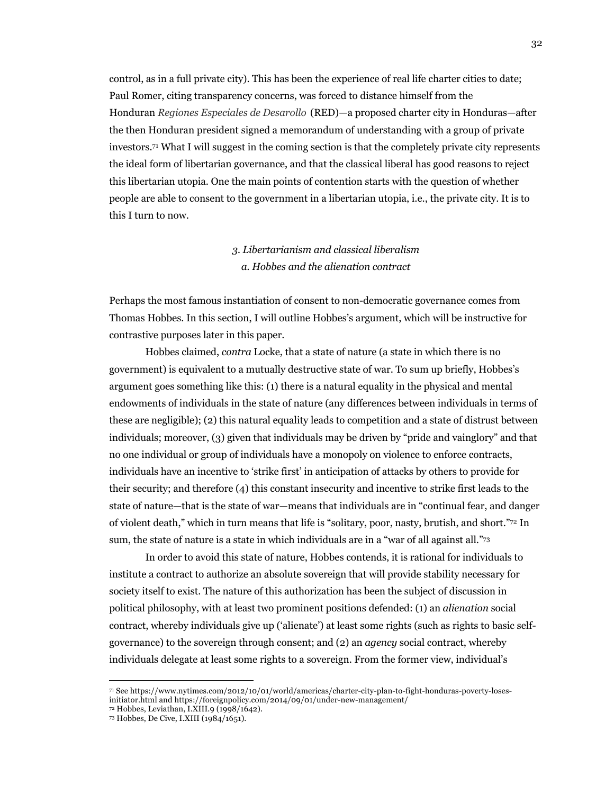control, as in a full private city). This has been the experience of real life charter cities to date; Paul Romer, citing transparency concerns, was forced to distance himself from the Honduran *Regiones Especiales de Desarollo* (RED)—a proposed charter city in Honduras—after the then Honduran president signed a memorandum of understanding with a group of private investors.71 What I will suggest in the coming section is that the completely private city represents the ideal form of libertarian governance, and that the classical liberal has good reasons to reject this libertarian utopia. One the main points of contention starts with the question of whether people are able to consent to the government in a libertarian utopia, i.e., the private city. It is to this I turn to now.

# *3. Libertarianism and classical liberalism a. Hobbes and the alienation contract*

Perhaps the most famous instantiation of consent to non-democratic governance comes from Thomas Hobbes. In this section, I will outline Hobbes's argument, which will be instructive for contrastive purposes later in this paper.

Hobbes claimed, *contra* Locke, that a state of nature (a state in which there is no government) is equivalent to a mutually destructive state of war. To sum up briefly, Hobbes's argument goes something like this: (1) there is a natural equality in the physical and mental endowments of individuals in the state of nature (any differences between individuals in terms of these are negligible); (2) this natural equality leads to competition and a state of distrust between individuals; moreover, (3) given that individuals may be driven by "pride and vainglory" and that no one individual or group of individuals have a monopoly on violence to enforce contracts, individuals have an incentive to 'strike first' in anticipation of attacks by others to provide for their security; and therefore (4) this constant insecurity and incentive to strike first leads to the state of nature—that is the state of war—means that individuals are in "continual fear, and danger of violent death," which in turn means that life is "solitary, poor, nasty, brutish, and short."72 In sum, the state of nature is a state in which individuals are in a "war of all against all."73

In order to avoid this state of nature, Hobbes contends, it is rational for individuals to institute a contract to authorize an absolute sovereign that will provide stability necessary for society itself to exist. The nature of this authorization has been the subject of discussion in political philosophy, with at least two prominent positions defended: (1) an *alienation* social contract, whereby individuals give up ('alienate') at least some rights (such as rights to basic selfgovernance) to the sovereign through consent; and (2) an *agency* social contract, whereby individuals delegate at least some rights to a sovereign. From the former view, individual's

<sup>71</sup> See https://www.nytimes.com/2012/10/01/world/americas/charter-city-plan-to-fight-honduras-poverty-losesinitiator.html and https://foreignpolicy.com/2014/09/01/under-new-management/

<sup>72</sup> Hobbes, Leviathan, I.XIII.9 (1998/1642). 73 Hobbes, De Cive, I.XIII (1984/1651).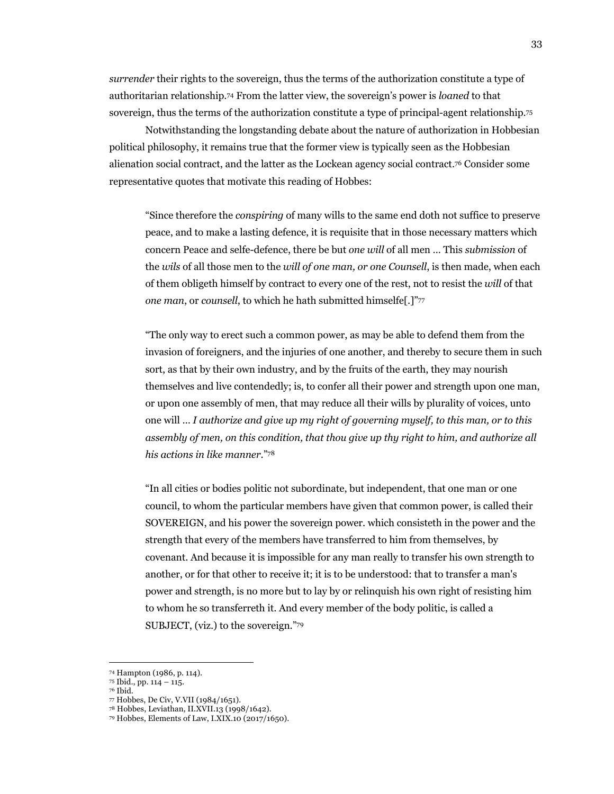*surrender* their rights to the sovereign, thus the terms of the authorization constitute a type of authoritarian relationship.74 From the latter view, the sovereign's power is *loaned* to that sovereign, thus the terms of the authorization constitute a type of principal-agent relationship.75

Notwithstanding the longstanding debate about the nature of authorization in Hobbesian political philosophy, it remains true that the former view is typically seen as the Hobbesian alienation social contract, and the latter as the Lockean agency social contract.76 Consider some representative quotes that motivate this reading of Hobbes:

"Since therefore the *conspiring* of many wills to the same end doth not suffice to preserve peace, and to make a lasting defence, it is requisite that in those necessary matters which concern Peace and selfe-defence, there be but *one will* of all men … This *submission* of the *wils* of all those men to the *will of one man, or one Counsell*, is then made, when each of them obligeth himself by contract to every one of the rest, not to resist the *will* of that *one man*, or *counsell*, to which he hath submitted himselfe[.]"77

"The only way to erect such a common power, as may be able to defend them from the invasion of foreigners, and the injuries of one another, and thereby to secure them in such sort, as that by their own industry, and by the fruits of the earth, they may nourish themselves and live contendedly; is, to confer all their power and strength upon one man, or upon one assembly of men, that may reduce all their wills by plurality of voices, unto one will … *I authorize and give up my right of governing myself, to this man, or to this assembly of men, on this condition, that thou give up thy right to him, and authorize all his actions in like manner*."78

"In all cities or bodies politic not subordinate, but independent, that one man or one council, to whom the particular members have given that common power, is called their SOVEREIGN, and his power the sovereign power. which consisteth in the power and the strength that every of the members have transferred to him from themselves, by covenant. And because it is impossible for any man really to transfer his own strength to another, or for that other to receive it; it is to be understood: that to transfer a man's power and strength, is no more but to lay by or relinquish his own right of resisting him to whom he so transferreth it. And every member of the body politic, is called a SUBJECT, (viz.) to the sovereign."79

<sup>74</sup> Hampton (1986, p. 114). 75 Ibid., pp. 114 – 115. 76 Ibid. 77 Hobbes, De Civ, V.VII (1984/1651).

<sup>78</sup> Hobbes, Leviathan, II.XVII.13 (1998/1642).

<sup>79</sup> Hobbes, Elements of Law, I.XIX.10 (2017/1650).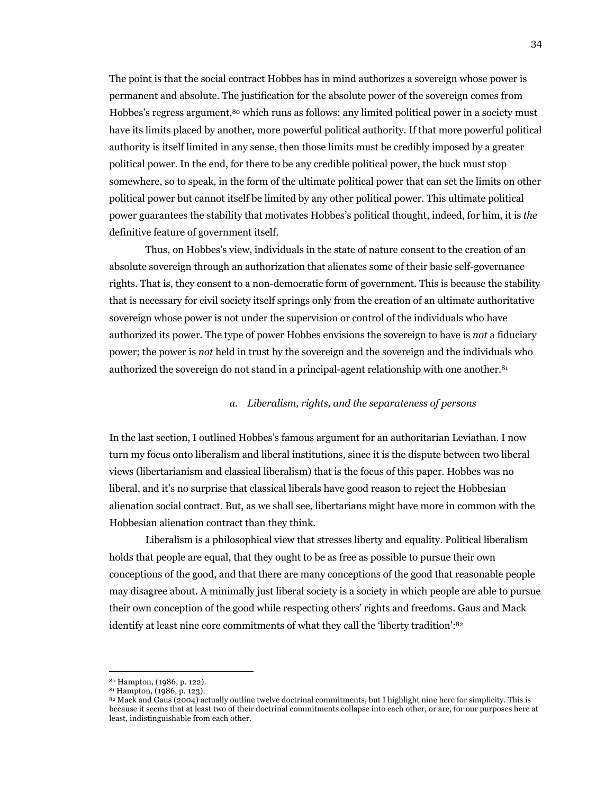The point is that the social contract Hobbes has in mind authorizes a sovereign whose power is permanent and absolute. The justification for the absolute power of the sovereign comes from Hobbes's regress argument,<sup>80</sup> which runs as follows: any limited political power in a society must have its limits placed by another, more powerful political authority. If that more powerful political authority is itself limited in any sense, then those limits must be credibly imposed by a greater political power. In the end, for there to be any credible political power, the buck must stop somewhere, so to speak, in the form of the ultimate political power that can set the limits on other political power but cannot itself be limited by any other political power. This ultimate political power guarantees the stability that motivates Hobbes's political thought, indeed, for him, it is *the* definitive feature of government itself.

Thus, on Hobbes's view, individuals in the state of nature consent to the creation of an absolute sovereign through an authorization that alienates some of their basic self-governance rights. That is, they consent to a non-democratic form of government. This is because the stability that is necessary for civil society itself springs only from the creation of an ultimate authoritative sovereign whose power is not under the supervision or control of the individuals who have authorized its power. The type of power Hobbes envisions the sovereign to have is *not* a fiduciary power; the power is *not* held in trust by the sovereign and the sovereign and the individuals who authorized the sovereign do not stand in a principal-agent relationship with one another.<sup>81</sup>

# *a. Liberalism, rights, and the separateness of persons*

In the last section, I outlined Hobbes's famous argument for an authoritarian Leviathan. I now turn my focus onto liberalism and liberal institutions, since it is the dispute between two liberal views (libertarianism and classical liberalism) that is the focus of this paper. Hobbes was no liberal, and it's no surprise that classical liberals have good reason to reject the Hobbesian alienation social contract. But, as we shall see, libertarians might have more in common with the Hobbesian alienation contract than they think.

Liberalism is a philosophical view that stresses liberty and equality. Political liberalism holds that people are equal, that they ought to be as free as possible to pursue their own conceptions of the good, and that there are many conceptions of the good that reasonable people may disagree about. A minimally just liberal society is a society in which people are able to pursue their own conception of the good while respecting others' rights and freedoms. Gaus and Mack identify at least nine core commitments of what they call the 'liberty tradition':82

<sup>&</sup>lt;sup>80</sup> Hampton, (1986, p. 122).<br><sup>81</sup> Hampton, (1986, p. 123).

<sup>82</sup> Mack and Gaus (2004) actually outline twelve doctrinal commitments, but I highlight nine here for simplicity. This is because it seems that at least two of their doctrinal commitments collapse into each other, or are, for our purposes here at least, indistinguishable from each other.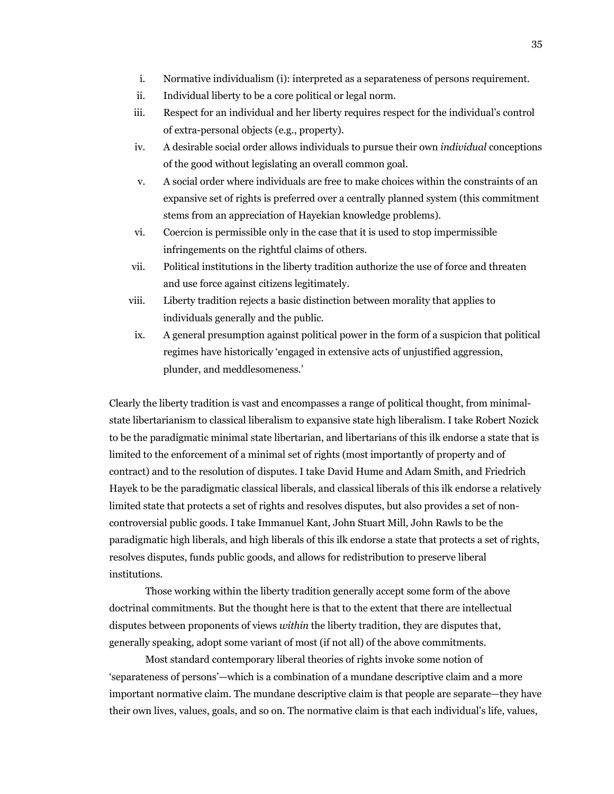- i. Normative individualism (i): interpreted as a separateness of persons requirement.
- ii. Individual liberty to be a core political or legal norm.
- iii. Respect for an individual and her liberty requires respect for the individual's control of extra-personal objects (e.g., property).
- iv. A desirable social order allows individuals to pursue their own *individual* conceptions of the good without legislating an overall common goal.
- v. A social order where individuals are free to make choices within the constraints of an expansive set of rights is preferred over a centrally planned system (this commitment stems from an appreciation of Hayekian knowledge problems).
- vi. Coercion is permissible only in the case that it is used to stop impermissible infringements on the rightful claims of others.
- vii. Political institutions in the liberty tradition authorize the use of force and threaten and use force against citizens legitimately.
- viii. Liberty tradition rejects a basic distinction between morality that applies to individuals generally and the public.
- ix. A general presumption against political power in the form of a suspicion that political regimes have historically 'engaged in extensive acts of unjustified aggression, plunder, and meddlesomeness.'

Clearly the liberty tradition is vast and encompasses a range of political thought, from minimalstate libertarianism to classical liberalism to expansive state high liberalism. I take Robert Nozick to be the paradigmatic minimal state libertarian, and libertarians of this ilk endorse a state that is limited to the enforcement of a minimal set of rights (most importantly of property and of contract) and to the resolution of disputes. I take David Hume and Adam Smith, and Friedrich Hayek to be the paradigmatic classical liberals, and classical liberals of this ilk endorse a relatively limited state that protects a set of rights and resolves disputes, but also provides a set of noncontroversial public goods. I take Immanuel Kant, John Stuart Mill, John Rawls to be the paradigmatic high liberals, and high liberals of this ilk endorse a state that protects a set of rights, resolves disputes, funds public goods, and allows for redistribution to preserve liberal institutions.

Those working within the liberty tradition generally accept some form of the above doctrinal commitments. But the thought here is that to the extent that there are intellectual disputes between proponents of views *within* the liberty tradition, they are disputes that, generally speaking, adopt some variant of most (if not all) of the above commitments.

Most standard contemporary liberal theories of rights invoke some notion of 'separateness of persons'—which is a combination of a mundane descriptive claim and a more important normative claim. The mundane descriptive claim is that people are separate—they have their own lives, values, goals, and so on. The normative claim is that each individual's life, values,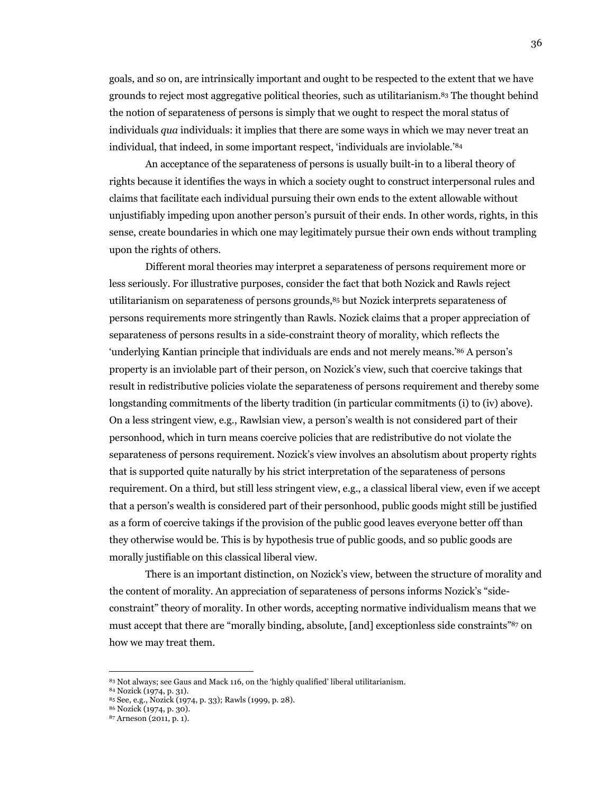goals, and so on, are intrinsically important and ought to be respected to the extent that we have grounds to reject most aggregative political theories, such as utilitarianism.83 The thought behind the notion of separateness of persons is simply that we ought to respect the moral status of individuals *qua* individuals: it implies that there are some ways in which we may never treat an individual, that indeed, in some important respect, 'individuals are inviolable.'84

An acceptance of the separateness of persons is usually built-in to a liberal theory of rights because it identifies the ways in which a society ought to construct interpersonal rules and claims that facilitate each individual pursuing their own ends to the extent allowable without unjustifiably impeding upon another person's pursuit of their ends. In other words, rights, in this sense, create boundaries in which one may legitimately pursue their own ends without trampling upon the rights of others.

Different moral theories may interpret a separateness of persons requirement more or less seriously. For illustrative purposes, consider the fact that both Nozick and Rawls reject utilitarianism on separateness of persons grounds,85 but Nozick interprets separateness of persons requirements more stringently than Rawls. Nozick claims that a proper appreciation of separateness of persons results in a side-constraint theory of morality, which reflects the 'underlying Kantian principle that individuals are ends and not merely means.'86 A person's property is an inviolable part of their person, on Nozick's view, such that coercive takings that result in redistributive policies violate the separateness of persons requirement and thereby some longstanding commitments of the liberty tradition (in particular commitments (i) to (iv) above). On a less stringent view, e.g., Rawlsian view, a person's wealth is not considered part of their personhood, which in turn means coercive policies that are redistributive do not violate the separateness of persons requirement. Nozick's view involves an absolutism about property rights that is supported quite naturally by his strict interpretation of the separateness of persons requirement. On a third, but still less stringent view, e.g., a classical liberal view, even if we accept that a person's wealth is considered part of their personhood, public goods might still be justified as a form of coercive takings if the provision of the public good leaves everyone better off than they otherwise would be. This is by hypothesis true of public goods, and so public goods are morally justifiable on this classical liberal view.

There is an important distinction, on Nozick's view, between the structure of morality and the content of morality. An appreciation of separateness of persons informs Nozick's "sideconstraint" theory of morality. In other words, accepting normative individualism means that we must accept that there are "morally binding, absolute, [and] exceptionless side constraints"87 on how we may treat them.

<sup>&</sup>lt;sup>83</sup> Not always; see Gaus and Mack 116, on the 'highly qualified' liberal utilitarianism.<br><sup>84</sup> Nozick (1974, p. 31).<br><sup>85</sup> See, e.g., Nozick (1974, p. 33); Rawls (1999, p. 28).<br><sup>86</sup> Nozick (1974, p. 30).<br><sup>87</sup> Arneson (2011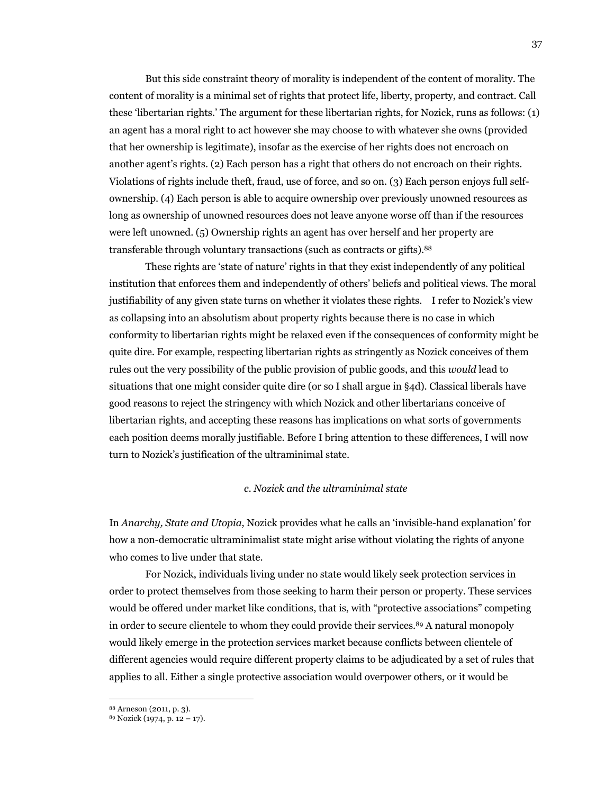But this side constraint theory of morality is independent of the content of morality. The content of morality is a minimal set of rights that protect life, liberty, property, and contract. Call these 'libertarian rights.' The argument for these libertarian rights, for Nozick, runs as follows: (1) an agent has a moral right to act however she may choose to with whatever she owns (provided that her ownership is legitimate), insofar as the exercise of her rights does not encroach on another agent's rights. (2) Each person has a right that others do not encroach on their rights. Violations of rights include theft, fraud, use of force, and so on. (3) Each person enjoys full selfownership. (4) Each person is able to acquire ownership over previously unowned resources as long as ownership of unowned resources does not leave anyone worse off than if the resources were left unowned. (5) Ownership rights an agent has over herself and her property are transferable through voluntary transactions (such as contracts or gifts).88

These rights are 'state of nature' rights in that they exist independently of any political institution that enforces them and independently of others' beliefs and political views. The moral justifiability of any given state turns on whether it violates these rights. I refer to Nozick's view as collapsing into an absolutism about property rights because there is no case in which conformity to libertarian rights might be relaxed even if the consequences of conformity might be quite dire. For example, respecting libertarian rights as stringently as Nozick conceives of them rules out the very possibility of the public provision of public goods, and this *would* lead to situations that one might consider quite dire (or so I shall argue in §4d). Classical liberals have good reasons to reject the stringency with which Nozick and other libertarians conceive of libertarian rights, and accepting these reasons has implications on what sorts of governments each position deems morally justifiable. Before I bring attention to these differences, I will now turn to Nozick's justification of the ultraminimal state.

#### *c. Nozick and the ultraminimal state*

In *Anarchy, State and Utopia*, Nozick provides what he calls an 'invisible-hand explanation' for how a non-democratic ultraminimalist state might arise without violating the rights of anyone who comes to live under that state.

For Nozick, individuals living under no state would likely seek protection services in order to protect themselves from those seeking to harm their person or property. These services would be offered under market like conditions, that is, with "protective associations" competing in order to secure clientele to whom they could provide their services.89 A natural monopoly would likely emerge in the protection services market because conflicts between clientele of different agencies would require different property claims to be adjudicated by a set of rules that applies to all. Either a single protective association would overpower others, or it would be

<sup>&</sup>lt;sup>88</sup> Arneson (2011, p. 3).<br><sup>89</sup> Nozick (1974, p. 12 – 17).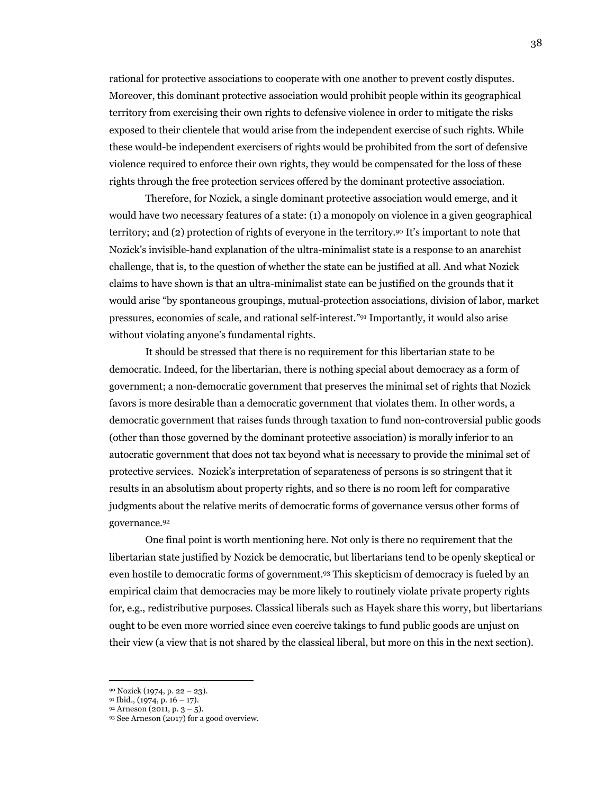rational for protective associations to cooperate with one another to prevent costly disputes. Moreover, this dominant protective association would prohibit people within its geographical territory from exercising their own rights to defensive violence in order to mitigate the risks exposed to their clientele that would arise from the independent exercise of such rights. While these would-be independent exercisers of rights would be prohibited from the sort of defensive violence required to enforce their own rights, they would be compensated for the loss of these rights through the free protection services offered by the dominant protective association.

Therefore, for Nozick, a single dominant protective association would emerge, and it would have two necessary features of a state: (1) a monopoly on violence in a given geographical territory; and (2) protection of rights of everyone in the territory.90 It's important to note that Nozick's invisible-hand explanation of the ultra-minimalist state is a response to an anarchist challenge, that is, to the question of whether the state can be justified at all. And what Nozick claims to have shown is that an ultra-minimalist state can be justified on the grounds that it would arise "by spontaneous groupings, mutual-protection associations, division of labor, market pressures, economies of scale, and rational self-interest."91 Importantly, it would also arise without violating anyone's fundamental rights.

It should be stressed that there is no requirement for this libertarian state to be democratic. Indeed, for the libertarian, there is nothing special about democracy as a form of government; a non-democratic government that preserves the minimal set of rights that Nozick favors is more desirable than a democratic government that violates them. In other words, a democratic government that raises funds through taxation to fund non-controversial public goods (other than those governed by the dominant protective association) is morally inferior to an autocratic government that does not tax beyond what is necessary to provide the minimal set of protective services. Nozick's interpretation of separateness of persons is so stringent that it results in an absolutism about property rights, and so there is no room left for comparative judgments about the relative merits of democratic forms of governance versus other forms of governance.92

One final point is worth mentioning here. Not only is there no requirement that the libertarian state justified by Nozick be democratic, but libertarians tend to be openly skeptical or even hostile to democratic forms of government.93 This skepticism of democracy is fueled by an empirical claim that democracies may be more likely to routinely violate private property rights for, e.g., redistributive purposes. Classical liberals such as Hayek share this worry, but libertarians ought to be even more worried since even coercive takings to fund public goods are unjust on their view (a view that is not shared by the classical liberal, but more on this in the next section).

<sup>90</sup> Nozick (1974, p. 22 – 23).<br>91 Ibid., (1974, p. 16 – 17).<br>92 Arneson (2011, p. 3 – 5).<br>93 See Arneson (2017) for a good overview.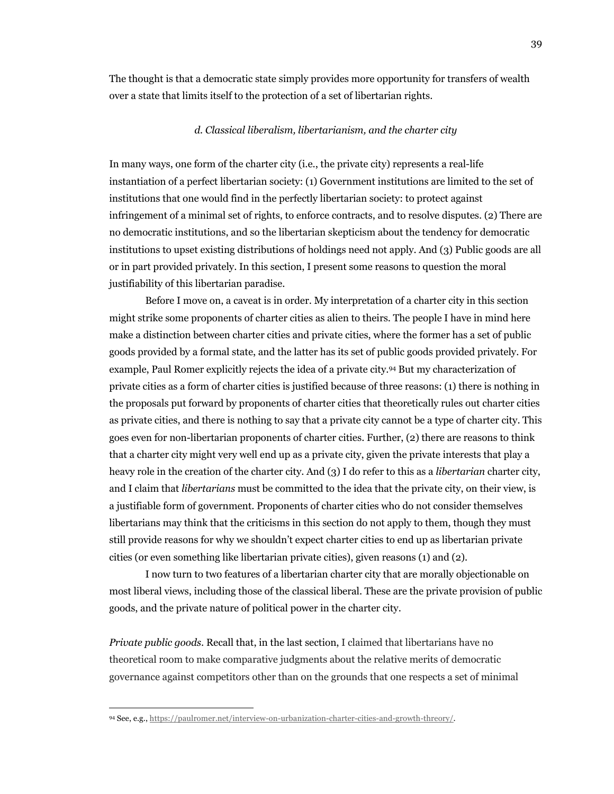The thought is that a democratic state simply provides more opportunity for transfers of wealth over a state that limits itself to the protection of a set of libertarian rights.

#### *d. Classical liberalism, libertarianism, and the charter city*

In many ways, one form of the charter city (i.e., the private city) represents a real-life instantiation of a perfect libertarian society: (1) Government institutions are limited to the set of institutions that one would find in the perfectly libertarian society: to protect against infringement of a minimal set of rights, to enforce contracts, and to resolve disputes. (2) There are no democratic institutions, and so the libertarian skepticism about the tendency for democratic institutions to upset existing distributions of holdings need not apply. And (3) Public goods are all or in part provided privately. In this section, I present some reasons to question the moral justifiability of this libertarian paradise.

Before I move on, a caveat is in order. My interpretation of a charter city in this section might strike some proponents of charter cities as alien to theirs. The people I have in mind here make a distinction between charter cities and private cities, where the former has a set of public goods provided by a formal state, and the latter has its set of public goods provided privately. For example, Paul Romer explicitly rejects the idea of a private city.94 But my characterization of private cities as a form of charter cities is justified because of three reasons: (1) there is nothing in the proposals put forward by proponents of charter cities that theoretically rules out charter cities as private cities, and there is nothing to say that a private city cannot be a type of charter city. This goes even for non-libertarian proponents of charter cities. Further, (2) there are reasons to think that a charter city might very well end up as a private city, given the private interests that play a heavy role in the creation of the charter city. And (3) I do refer to this as a *libertarian* charter city, and I claim that *libertarians* must be committed to the idea that the private city, on their view, is a justifiable form of government. Proponents of charter cities who do not consider themselves libertarians may think that the criticisms in this section do not apply to them, though they must still provide reasons for why we shouldn't expect charter cities to end up as libertarian private cities (or even something like libertarian private cities), given reasons (1) and (2).

I now turn to two features of a libertarian charter city that are morally objectionable on most liberal views, including those of the classical liberal. These are the private provision of public goods, and the private nature of political power in the charter city.

*Private public goods*. Recall that, in the last section, I claimed that libertarians have no theoretical room to make comparative judgments about the relative merits of democratic governance against competitors other than on the grounds that one respects a set of minimal

<sup>94</sup> See, e.g., https://paulromer.net/interview-on-urbanization-charter-cities-and-growth-threory/.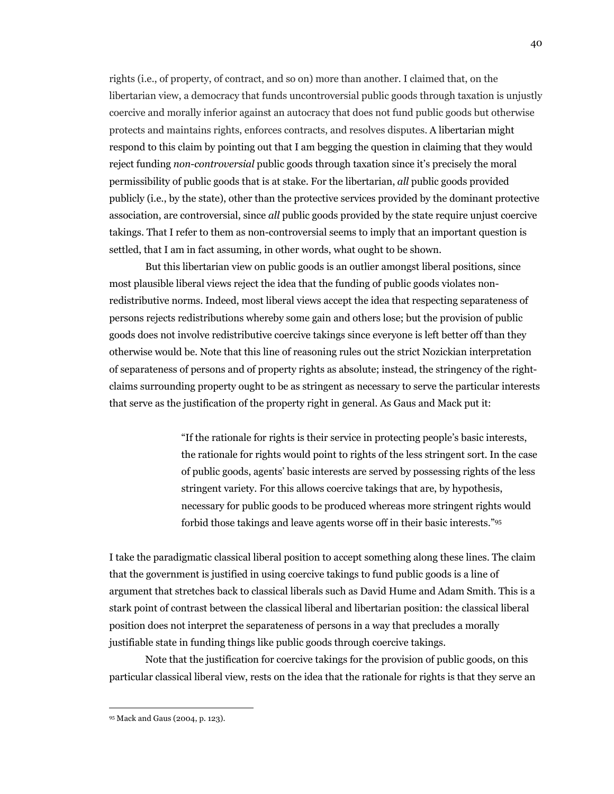rights (i.e., of property, of contract, and so on) more than another. I claimed that, on the libertarian view, a democracy that funds uncontroversial public goods through taxation is unjustly coercive and morally inferior against an autocracy that does not fund public goods but otherwise protects and maintains rights, enforces contracts, and resolves disputes. A libertarian might respond to this claim by pointing out that I am begging the question in claiming that they would reject funding *non-controversial* public goods through taxation since it's precisely the moral permissibility of public goods that is at stake. For the libertarian, *all* public goods provided publicly (i.e., by the state), other than the protective services provided by the dominant protective association, are controversial, since *all* public goods provided by the state require unjust coercive takings. That I refer to them as non-controversial seems to imply that an important question is settled, that I am in fact assuming, in other words, what ought to be shown.

But this libertarian view on public goods is an outlier amongst liberal positions, since most plausible liberal views reject the idea that the funding of public goods violates nonredistributive norms. Indeed, most liberal views accept the idea that respecting separateness of persons rejects redistributions whereby some gain and others lose; but the provision of public goods does not involve redistributive coercive takings since everyone is left better off than they otherwise would be. Note that this line of reasoning rules out the strict Nozickian interpretation of separateness of persons and of property rights as absolute; instead, the stringency of the rightclaims surrounding property ought to be as stringent as necessary to serve the particular interests that serve as the justification of the property right in general. As Gaus and Mack put it:

> "If the rationale for rights is their service in protecting people's basic interests, the rationale for rights would point to rights of the less stringent sort. In the case of public goods, agents' basic interests are served by possessing rights of the less stringent variety. For this allows coercive takings that are, by hypothesis, necessary for public goods to be produced whereas more stringent rights would forbid those takings and leave agents worse off in their basic interests."95

I take the paradigmatic classical liberal position to accept something along these lines. The claim that the government is justified in using coercive takings to fund public goods is a line of argument that stretches back to classical liberals such as David Hume and Adam Smith. This is a stark point of contrast between the classical liberal and libertarian position: the classical liberal position does not interpret the separateness of persons in a way that precludes a morally justifiable state in funding things like public goods through coercive takings.

Note that the justification for coercive takings for the provision of public goods, on this particular classical liberal view, rests on the idea that the rationale for rights is that they serve an

<sup>95</sup> Mack and Gaus (2004, p. 123).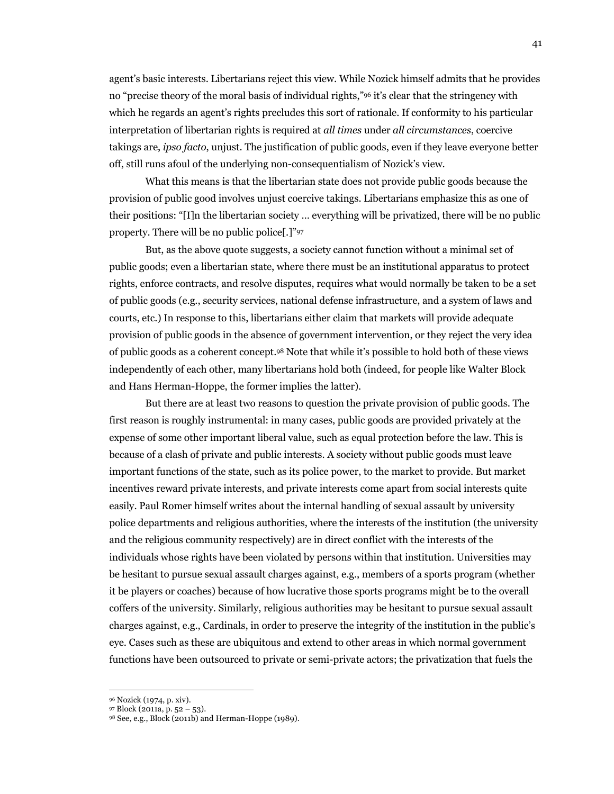agent's basic interests. Libertarians reject this view. While Nozick himself admits that he provides no "precise theory of the moral basis of individual rights,"96 it's clear that the stringency with which he regards an agent's rights precludes this sort of rationale. If conformity to his particular interpretation of libertarian rights is required at *all times* under *all circumstances*, coercive takings are, *ipso facto*, unjust. The justification of public goods, even if they leave everyone better off, still runs afoul of the underlying non-consequentialism of Nozick's view.

What this means is that the libertarian state does not provide public goods because the provision of public good involves unjust coercive takings. Libertarians emphasize this as one of their positions: "[I]n the libertarian society … everything will be privatized, there will be no public property. There will be no public police[.]"97

But, as the above quote suggests, a society cannot function without a minimal set of public goods; even a libertarian state, where there must be an institutional apparatus to protect rights, enforce contracts, and resolve disputes, requires what would normally be taken to be a set of public goods (e.g., security services, national defense infrastructure, and a system of laws and courts, etc.) In response to this, libertarians either claim that markets will provide adequate provision of public goods in the absence of government intervention, or they reject the very idea of public goods as a coherent concept.98 Note that while it's possible to hold both of these views independently of each other, many libertarians hold both (indeed, for people like Walter Block and Hans Herman-Hoppe, the former implies the latter).

But there are at least two reasons to question the private provision of public goods. The first reason is roughly instrumental: in many cases, public goods are provided privately at the expense of some other important liberal value, such as equal protection before the law. This is because of a clash of private and public interests. A society without public goods must leave important functions of the state, such as its police power, to the market to provide. But market incentives reward private interests, and private interests come apart from social interests quite easily. Paul Romer himself writes about the internal handling of sexual assault by university police departments and religious authorities, where the interests of the institution (the university and the religious community respectively) are in direct conflict with the interests of the individuals whose rights have been violated by persons within that institution. Universities may be hesitant to pursue sexual assault charges against, e.g., members of a sports program (whether it be players or coaches) because of how lucrative those sports programs might be to the overall coffers of the university. Similarly, religious authorities may be hesitant to pursue sexual assault charges against, e.g., Cardinals, in order to preserve the integrity of the institution in the public's eye. Cases such as these are ubiquitous and extend to other areas in which normal government functions have been outsourced to private or semi-private actors; the privatization that fuels the

<sup>96</sup> Nozick (1974, p. xiv). 97 Block (2011a, p. 52 – 53). 98 See, e.g., Block (2011b) and Herman-Hoppe (1989).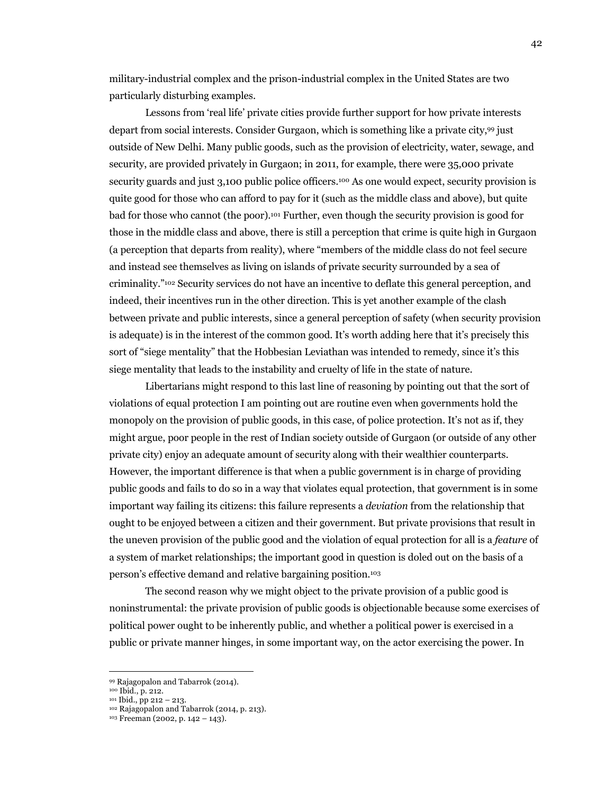military-industrial complex and the prison-industrial complex in the United States are two particularly disturbing examples.

Lessons from 'real life' private cities provide further support for how private interests depart from social interests. Consider Gurgaon, which is something like a private city,99 just outside of New Delhi. Many public goods, such as the provision of electricity, water, sewage, and security, are provided privately in Gurgaon; in 2011, for example, there were 35,000 private security guards and just 3,100 public police officers.<sup>100</sup> As one would expect, security provision is quite good for those who can afford to pay for it (such as the middle class and above), but quite bad for those who cannot (the poor).101 Further, even though the security provision is good for those in the middle class and above, there is still a perception that crime is quite high in Gurgaon (a perception that departs from reality), where "members of the middle class do not feel secure and instead see themselves as living on islands of private security surrounded by a sea of criminality."102 Security services do not have an incentive to deflate this general perception, and indeed, their incentives run in the other direction. This is yet another example of the clash between private and public interests, since a general perception of safety (when security provision is adequate) is in the interest of the common good. It's worth adding here that it's precisely this sort of "siege mentality" that the Hobbesian Leviathan was intended to remedy, since it's this siege mentality that leads to the instability and cruelty of life in the state of nature.

Libertarians might respond to this last line of reasoning by pointing out that the sort of violations of equal protection I am pointing out are routine even when governments hold the monopoly on the provision of public goods, in this case, of police protection. It's not as if, they might argue, poor people in the rest of Indian society outside of Gurgaon (or outside of any other private city) enjoy an adequate amount of security along with their wealthier counterparts. However, the important difference is that when a public government is in charge of providing public goods and fails to do so in a way that violates equal protection, that government is in some important way failing its citizens: this failure represents a *deviation* from the relationship that ought to be enjoyed between a citizen and their government. But private provisions that result in the uneven provision of the public good and the violation of equal protection for all is a *feature* of a system of market relationships; the important good in question is doled out on the basis of a person's effective demand and relative bargaining position.103

The second reason why we might object to the private provision of a public good is noninstrumental: the private provision of public goods is objectionable because some exercises of political power ought to be inherently public, and whether a political power is exercised in a public or private manner hinges, in some important way, on the actor exercising the power. In

<sup>99</sup> Rajagopalon and Tabarrok (2014).<br><sup>100</sup> Ibid., p. 212.<br><sup>101</sup> Ibid., pp 212 – 213.<br><sup>102</sup> Rajagopalon and Tabarrok (2014, p. 213).

<sup>103</sup> Freeman (2002, p. 142 – 143).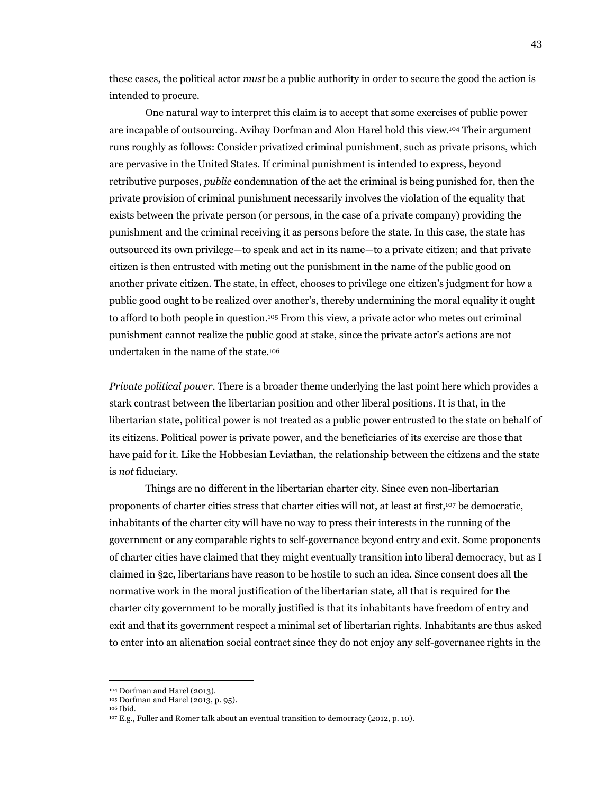these cases, the political actor *must* be a public authority in order to secure the good the action is intended to procure.

One natural way to interpret this claim is to accept that some exercises of public power are incapable of outsourcing. Avihay Dorfman and Alon Harel hold this view.104 Their argument runs roughly as follows: Consider privatized criminal punishment, such as private prisons, which are pervasive in the United States. If criminal punishment is intended to express, beyond retributive purposes, *public* condemnation of the act the criminal is being punished for, then the private provision of criminal punishment necessarily involves the violation of the equality that exists between the private person (or persons, in the case of a private company) providing the punishment and the criminal receiving it as persons before the state. In this case, the state has outsourced its own privilege—to speak and act in its name—to a private citizen; and that private citizen is then entrusted with meting out the punishment in the name of the public good on another private citizen. The state, in effect, chooses to privilege one citizen's judgment for how a public good ought to be realized over another's, thereby undermining the moral equality it ought to afford to both people in question.105 From this view, a private actor who metes out criminal punishment cannot realize the public good at stake, since the private actor's actions are not undertaken in the name of the state.106

*Private political power*. There is a broader theme underlying the last point here which provides a stark contrast between the libertarian position and other liberal positions. It is that, in the libertarian state, political power is not treated as a public power entrusted to the state on behalf of its citizens. Political power is private power, and the beneficiaries of its exercise are those that have paid for it. Like the Hobbesian Leviathan, the relationship between the citizens and the state is *not* fiduciary.

Things are no different in the libertarian charter city. Since even non-libertarian proponents of charter cities stress that charter cities will not, at least at first,107 be democratic, inhabitants of the charter city will have no way to press their interests in the running of the government or any comparable rights to self-governance beyond entry and exit. Some proponents of charter cities have claimed that they might eventually transition into liberal democracy, but as I claimed in §2c, libertarians have reason to be hostile to such an idea. Since consent does all the normative work in the moral justification of the libertarian state, all that is required for the charter city government to be morally justified is that its inhabitants have freedom of entry and exit and that its government respect a minimal set of libertarian rights. Inhabitants are thus asked to enter into an alienation social contract since they do not enjoy any self-governance rights in the

<sup>&</sup>lt;sup>104</sup> Dorfman and Harel (2013).<br><sup>105</sup> Dorfman and Harel (2013, p. 95).<br><sup>106</sup> Ibid. <sup>107</sup> E.g., Fuller and Romer talk about an eventual transition to democracy (2012, p. 10).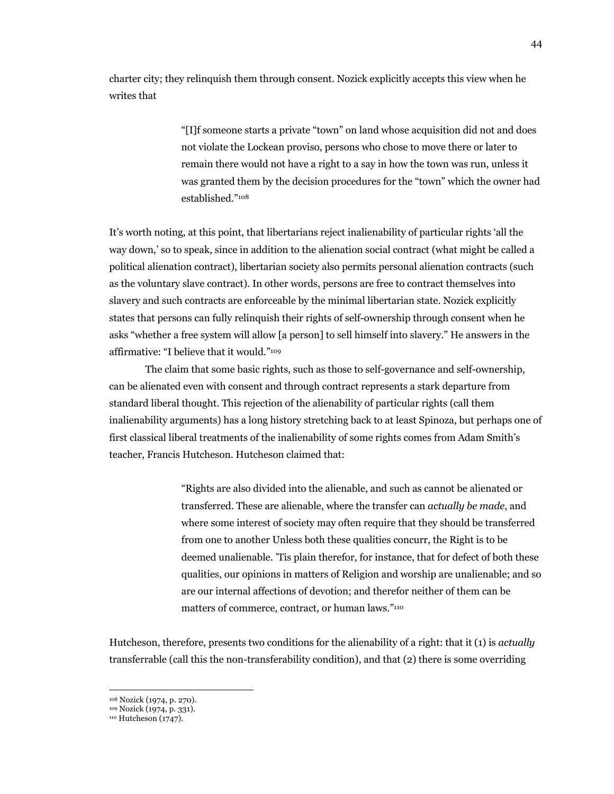charter city; they relinquish them through consent. Nozick explicitly accepts this view when he writes that

> "[I]f someone starts a private "town" on land whose acquisition did not and does not violate the Lockean proviso, persons who chose to move there or later to remain there would not have a right to a say in how the town was run, unless it was granted them by the decision procedures for the "town" which the owner had established."108

It's worth noting, at this point, that libertarians reject inalienability of particular rights 'all the way down,' so to speak, since in addition to the alienation social contract (what might be called a political alienation contract), libertarian society also permits personal alienation contracts (such as the voluntary slave contract). In other words, persons are free to contract themselves into slavery and such contracts are enforceable by the minimal libertarian state. Nozick explicitly states that persons can fully relinquish their rights of self-ownership through consent when he asks "whether a free system will allow [a person] to sell himself into slavery." He answers in the affirmative: "I believe that it would."109

The claim that some basic rights, such as those to self-governance and self-ownership, can be alienated even with consent and through contract represents a stark departure from standard liberal thought. This rejection of the alienability of particular rights (call them inalienability arguments) has a long history stretching back to at least Spinoza, but perhaps one of first classical liberal treatments of the inalienability of some rights comes from Adam Smith's teacher, Francis Hutcheson. Hutcheson claimed that:

> "Rights are also divided into the alienable, and such as cannot be alienated or transferred. These are alienable, where the transfer can *actually be made*, and where some interest of society may often require that they should be transferred from one to another Unless both these qualities concurr, the Right is to be deemed unalienable. 'Tis plain therefor, for instance, that for defect of both these qualities, our opinions in matters of Religion and worship are unalienable; and so are our internal affections of devotion; and therefor neither of them can be matters of commerce, contract, or human laws."110

Hutcheson, therefore, presents two conditions for the alienability of a right: that it (1) is *actually*  transferrable (call this the non-transferability condition), and that (2) there is some overriding

<sup>108</sup> Nozick (1974, p. 270). 109 Nozick (1974, p. 331). 110 Hutcheson (1747).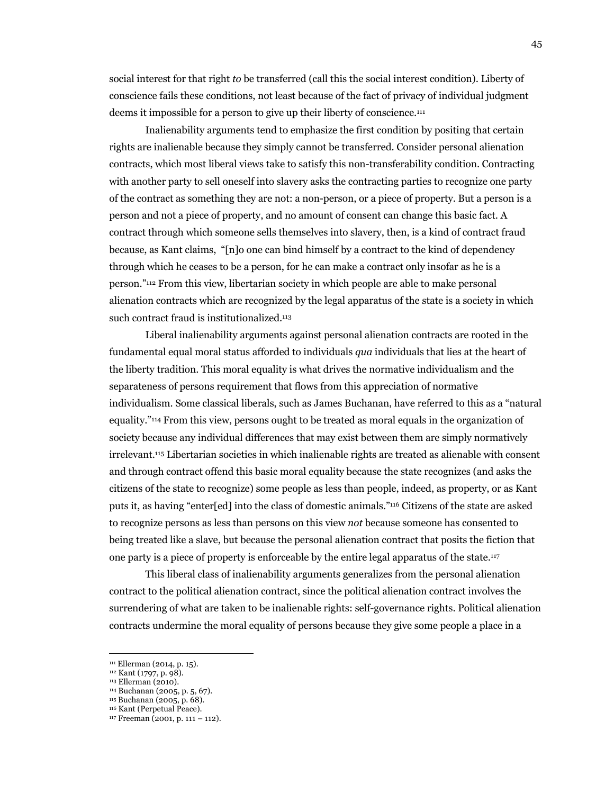social interest for that right *to* be transferred (call this the social interest condition). Liberty of conscience fails these conditions, not least because of the fact of privacy of individual judgment deems it impossible for a person to give up their liberty of conscience.111

Inalienability arguments tend to emphasize the first condition by positing that certain rights are inalienable because they simply cannot be transferred. Consider personal alienation contracts, which most liberal views take to satisfy this non-transferability condition. Contracting with another party to sell oneself into slavery asks the contracting parties to recognize one party of the contract as something they are not: a non-person, or a piece of property. But a person is a person and not a piece of property, and no amount of consent can change this basic fact. A contract through which someone sells themselves into slavery, then, is a kind of contract fraud because, as Kant claims, "[n]o one can bind himself by a contract to the kind of dependency through which he ceases to be a person, for he can make a contract only insofar as he is a person."112 From this view, libertarian society in which people are able to make personal alienation contracts which are recognized by the legal apparatus of the state is a society in which such contract fraud is institutionalized.<sup>113</sup>

Liberal inalienability arguments against personal alienation contracts are rooted in the fundamental equal moral status afforded to individuals *qua* individuals that lies at the heart of the liberty tradition. This moral equality is what drives the normative individualism and the separateness of persons requirement that flows from this appreciation of normative individualism. Some classical liberals, such as James Buchanan, have referred to this as a "natural equality."114 From this view, persons ought to be treated as moral equals in the organization of society because any individual differences that may exist between them are simply normatively irrelevant.115 Libertarian societies in which inalienable rights are treated as alienable with consent and through contract offend this basic moral equality because the state recognizes (and asks the citizens of the state to recognize) some people as less than people, indeed, as property, or as Kant puts it, as having "enter[ed] into the class of domestic animals."116 Citizens of the state are asked to recognize persons as less than persons on this view *not* because someone has consented to being treated like a slave, but because the personal alienation contract that posits the fiction that one party is a piece of property is enforceable by the entire legal apparatus of the state.117

This liberal class of inalienability arguments generalizes from the personal alienation contract to the political alienation contract, since the political alienation contract involves the surrendering of what are taken to be inalienable rights: self-governance rights. Political alienation contracts undermine the moral equality of persons because they give some people a place in a

<sup>111</sup> Ellerman (2014, p. 15).<br>
112 Kant (1797, p. 98).<br>
113 Ellerman (2010).<br>
114 Buchanan (2005, p. 5, 67).<br>
115 Buchanan (2005, p. 68).<br>
115 Buchanan (2001, p. 111 – 112).<br>
117 Freeman (2001, p. 111 – 112).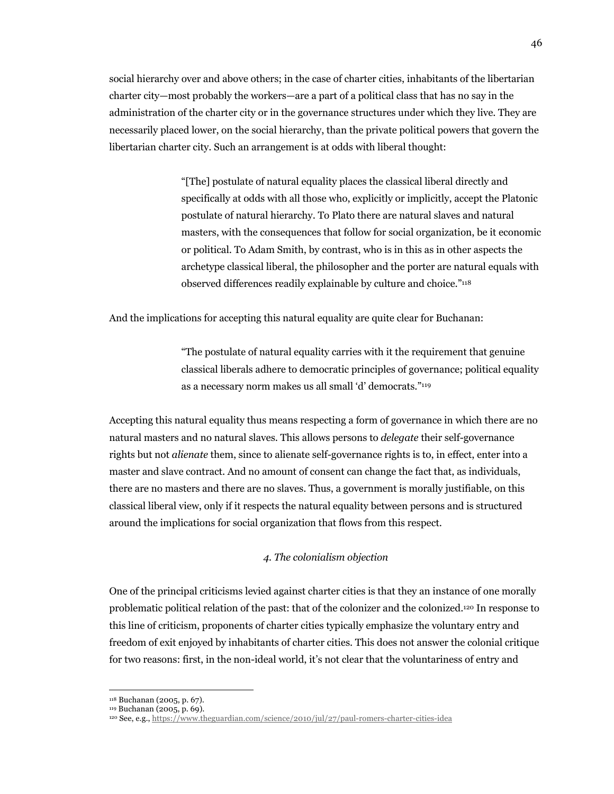social hierarchy over and above others; in the case of charter cities, inhabitants of the libertarian charter city—most probably the workers—are a part of a political class that has no say in the administration of the charter city or in the governance structures under which they live. They are necessarily placed lower, on the social hierarchy, than the private political powers that govern the libertarian charter city. Such an arrangement is at odds with liberal thought:

> "[The] postulate of natural equality places the classical liberal directly and specifically at odds with all those who, explicitly or implicitly, accept the Platonic postulate of natural hierarchy. To Plato there are natural slaves and natural masters, with the consequences that follow for social organization, be it economic or political. To Adam Smith, by contrast, who is in this as in other aspects the archetype classical liberal, the philosopher and the porter are natural equals with observed differences readily explainable by culture and choice."118

And the implications for accepting this natural equality are quite clear for Buchanan:

"The postulate of natural equality carries with it the requirement that genuine classical liberals adhere to democratic principles of governance; political equality as a necessary norm makes us all small 'd' democrats."119

Accepting this natural equality thus means respecting a form of governance in which there are no natural masters and no natural slaves. This allows persons to *delegate* their self-governance rights but not *alienate* them, since to alienate self-governance rights is to, in effect, enter into a master and slave contract. And no amount of consent can change the fact that, as individuals, there are no masters and there are no slaves. Thus, a government is morally justifiable, on this classical liberal view, only if it respects the natural equality between persons and is structured around the implications for social organization that flows from this respect.

# *4. The colonialism objection*

One of the principal criticisms levied against charter cities is that they an instance of one morally problematic political relation of the past: that of the colonizer and the colonized.120 In response to this line of criticism, proponents of charter cities typically emphasize the voluntary entry and freedom of exit enjoyed by inhabitants of charter cities. This does not answer the colonial critique for two reasons: first, in the non-ideal world, it's not clear that the voluntariness of entry and

<sup>118</sup> Buchanan (2005, p. 67). 119 Buchanan (2005, p. 69). 120 See, e.g., https://www.theguardian.com/science/2010/jul/27/paul-romers-charter-cities-idea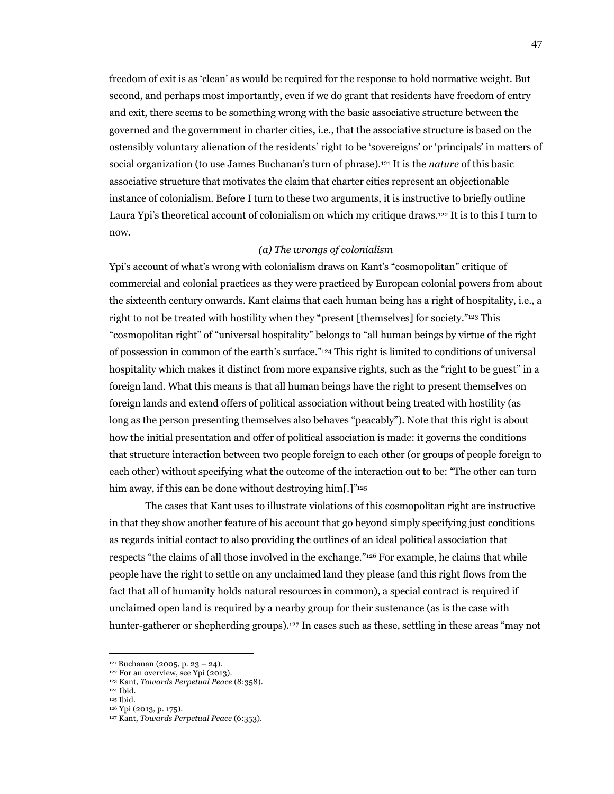freedom of exit is as 'clean' as would be required for the response to hold normative weight. But second, and perhaps most importantly, even if we do grant that residents have freedom of entry and exit, there seems to be something wrong with the basic associative structure between the governed and the government in charter cities, i.e., that the associative structure is based on the ostensibly voluntary alienation of the residents' right to be 'sovereigns' or 'principals' in matters of social organization (to use James Buchanan's turn of phrase).121 It is the *nature* of this basic associative structure that motivates the claim that charter cities represent an objectionable instance of colonialism. Before I turn to these two arguments, it is instructive to briefly outline Laura Ypi's theoretical account of colonialism on which my critique draws.122 It is to this I turn to now.

## *(a) The wrongs of colonialism*

Ypi's account of what's wrong with colonialism draws on Kant's "cosmopolitan" critique of commercial and colonial practices as they were practiced by European colonial powers from about the sixteenth century onwards. Kant claims that each human being has a right of hospitality, i.e., a right to not be treated with hostility when they "present [themselves] for society."123 This "cosmopolitan right" of "universal hospitality" belongs to "all human beings by virtue of the right of possession in common of the earth's surface."124 This right is limited to conditions of universal hospitality which makes it distinct from more expansive rights, such as the "right to be guest" in a foreign land. What this means is that all human beings have the right to present themselves on foreign lands and extend offers of political association without being treated with hostility (as long as the person presenting themselves also behaves "peacably"). Note that this right is about how the initial presentation and offer of political association is made: it governs the conditions that structure interaction between two people foreign to each other (or groups of people foreign to each other) without specifying what the outcome of the interaction out to be: "The other can turn him away, if this can be done without destroying him[.]"<sup>125</sup>

The cases that Kant uses to illustrate violations of this cosmopolitan right are instructive in that they show another feature of his account that go beyond simply specifying just conditions as regards initial contact to also providing the outlines of an ideal political association that respects "the claims of all those involved in the exchange."126 For example, he claims that while people have the right to settle on any unclaimed land they please (and this right flows from the fact that all of humanity holds natural resources in common), a special contract is required if unclaimed open land is required by a nearby group for their sustenance (as is the case with hunter-gatherer or shepherding groups).<sup>127</sup> In cases such as these, settling in these areas "may not

<sup>121</sup> Buchanan (2005, p. 23 – 24). 122 For an overview, see Ypi (2013). 123 Kant, *Towards Perpetual Peace* (8:358).

 $\,^{\rm 124}$  Ibid.<br> $^{\rm 125}$  Ibid.

<sup>125</sup> Ibid. 126 Ypi (2013, p. 175). 127 Kant, *Towards Perpetual Peace* (6:353).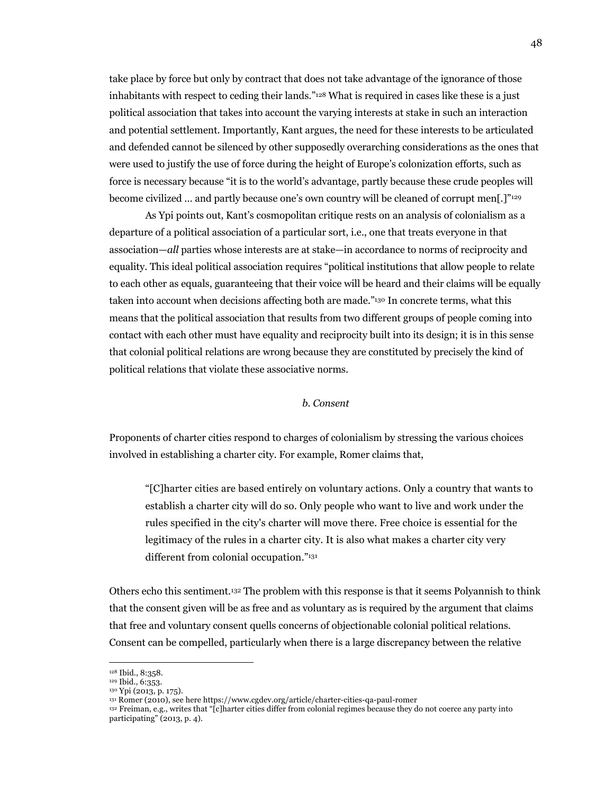take place by force but only by contract that does not take advantage of the ignorance of those inhabitants with respect to ceding their lands."128 What is required in cases like these is a just political association that takes into account the varying interests at stake in such an interaction and potential settlement. Importantly, Kant argues, the need for these interests to be articulated and defended cannot be silenced by other supposedly overarching considerations as the ones that were used to justify the use of force during the height of Europe's colonization efforts, such as force is necessary because "it is to the world's advantage, partly because these crude peoples will become civilized … and partly because one's own country will be cleaned of corrupt men[.]"129

As Ypi points out, Kant's cosmopolitan critique rests on an analysis of colonialism as a departure of a political association of a particular sort, i.e., one that treats everyone in that association—*all* parties whose interests are at stake—in accordance to norms of reciprocity and equality. This ideal political association requires "political institutions that allow people to relate to each other as equals, guaranteeing that their voice will be heard and their claims will be equally taken into account when decisions affecting both are made."130 In concrete terms, what this means that the political association that results from two different groups of people coming into contact with each other must have equality and reciprocity built into its design; it is in this sense that colonial political relations are wrong because they are constituted by precisely the kind of political relations that violate these associative norms.

# *b. Consent*

Proponents of charter cities respond to charges of colonialism by stressing the various choices involved in establishing a charter city. For example, Romer claims that,

"[C]harter cities are based entirely on voluntary actions. Only a country that wants to establish a charter city will do so. Only people who want to live and work under the rules specified in the city's charter will move there. Free choice is essential for the legitimacy of the rules in a charter city. It is also what makes a charter city very different from colonial occupation."131

Others echo this sentiment.132 The problem with this response is that it seems Polyannish to think that the consent given will be as free and as voluntary as is required by the argument that claims that free and voluntary consent quells concerns of objectionable colonial political relations. Consent can be compelled, particularly when there is a large discrepancy between the relative

<sup>&</sup>lt;sup>128</sup> Ibid., 8:358.<br><sup>129</sup> Ibid., 6:353.

<sup>&</sup>lt;sup>130</sup> Ypi (2013, p. 175).<br><sup>131</sup> Romer (2010), see here https://www.cgdev.org/article/charter-cities-qa-paul-romer

<sup>&</sup>lt;sup>132</sup> Freiman, e.g., writes that "[c]harter cities differ from colonial regimes because they do not coerce any party into participating" (2013, p. 4).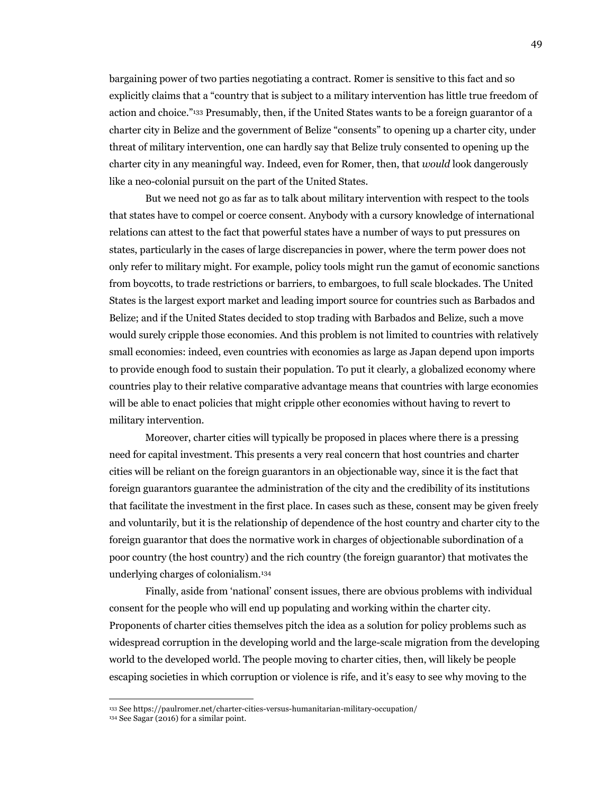bargaining power of two parties negotiating a contract. Romer is sensitive to this fact and so explicitly claims that a "country that is subject to a military intervention has little true freedom of action and choice."133 Presumably, then, if the United States wants to be a foreign guarantor of a charter city in Belize and the government of Belize "consents" to opening up a charter city, under threat of military intervention, one can hardly say that Belize truly consented to opening up the charter city in any meaningful way. Indeed, even for Romer, then, that *would* look dangerously like a neo-colonial pursuit on the part of the United States.

But we need not go as far as to talk about military intervention with respect to the tools that states have to compel or coerce consent. Anybody with a cursory knowledge of international relations can attest to the fact that powerful states have a number of ways to put pressures on states, particularly in the cases of large discrepancies in power, where the term power does not only refer to military might. For example, policy tools might run the gamut of economic sanctions from boycotts, to trade restrictions or barriers, to embargoes, to full scale blockades. The United States is the largest export market and leading import source for countries such as Barbados and Belize; and if the United States decided to stop trading with Barbados and Belize, such a move would surely cripple those economies. And this problem is not limited to countries with relatively small economies: indeed, even countries with economies as large as Japan depend upon imports to provide enough food to sustain their population. To put it clearly, a globalized economy where countries play to their relative comparative advantage means that countries with large economies will be able to enact policies that might cripple other economies without having to revert to military intervention.

Moreover, charter cities will typically be proposed in places where there is a pressing need for capital investment. This presents a very real concern that host countries and charter cities will be reliant on the foreign guarantors in an objectionable way, since it is the fact that foreign guarantors guarantee the administration of the city and the credibility of its institutions that facilitate the investment in the first place. In cases such as these, consent may be given freely and voluntarily, but it is the relationship of dependence of the host country and charter city to the foreign guarantor that does the normative work in charges of objectionable subordination of a poor country (the host country) and the rich country (the foreign guarantor) that motivates the underlying charges of colonialism.134

Finally, aside from 'national' consent issues, there are obvious problems with individual consent for the people who will end up populating and working within the charter city. Proponents of charter cities themselves pitch the idea as a solution for policy problems such as widespread corruption in the developing world and the large-scale migration from the developing world to the developed world. The people moving to charter cities, then, will likely be people escaping societies in which corruption or violence is rife, and it's easy to see why moving to the

<sup>133</sup> See https://paulromer.net/charter-cities-versus-humanitarian-military-occupation/

 $134$  See Sagar (2016) for a similar point.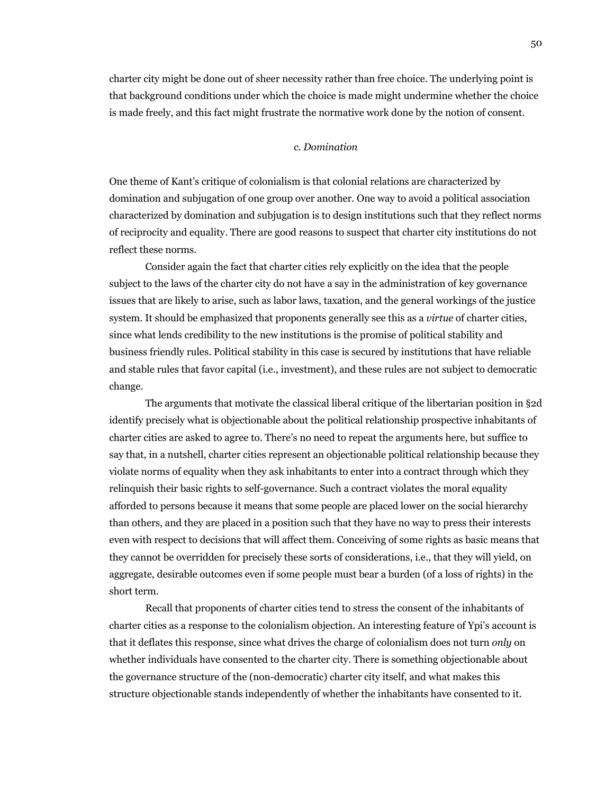charter city might be done out of sheer necessity rather than free choice. The underlying point is that background conditions under which the choice is made might undermine whether the choice is made freely, and this fact might frustrate the normative work done by the notion of consent.

#### *c. Domination*

One theme of Kant's critique of colonialism is that colonial relations are characterized by domination and subjugation of one group over another. One way to avoid a political association characterized by domination and subjugation is to design institutions such that they reflect norms of reciprocity and equality. There are good reasons to suspect that charter city institutions do not reflect these norms.

Consider again the fact that charter cities rely explicitly on the idea that the people subject to the laws of the charter city do not have a say in the administration of key governance issues that are likely to arise, such as labor laws, taxation, and the general workings of the justice system. It should be emphasized that proponents generally see this as a *virtue* of charter cities, since what lends credibility to the new institutions is the promise of political stability and business friendly rules. Political stability in this case is secured by institutions that have reliable and stable rules that favor capital (i.e., investment), and these rules are not subject to democratic change.

The arguments that motivate the classical liberal critique of the libertarian position in §2d identify precisely what is objectionable about the political relationship prospective inhabitants of charter cities are asked to agree to. There's no need to repeat the arguments here, but suffice to say that, in a nutshell, charter cities represent an objectionable political relationship because they violate norms of equality when they ask inhabitants to enter into a contract through which they relinquish their basic rights to self-governance. Such a contract violates the moral equality afforded to persons because it means that some people are placed lower on the social hierarchy than others, and they are placed in a position such that they have no way to press their interests even with respect to decisions that will affect them. Conceiving of some rights as basic means that they cannot be overridden for precisely these sorts of considerations, i.e., that they will yield, on aggregate, desirable outcomes even if some people must bear a burden (of a loss of rights) in the short term.

Recall that proponents of charter cities tend to stress the consent of the inhabitants of charter cities as a response to the colonialism objection. An interesting feature of Ypi's account is that it deflates this response, since what drives the charge of colonialism does not turn *only* on whether individuals have consented to the charter city. There is something objectionable about the governance structure of the (non-democratic) charter city itself, and what makes this structure objectionable stands independently of whether the inhabitants have consented to it.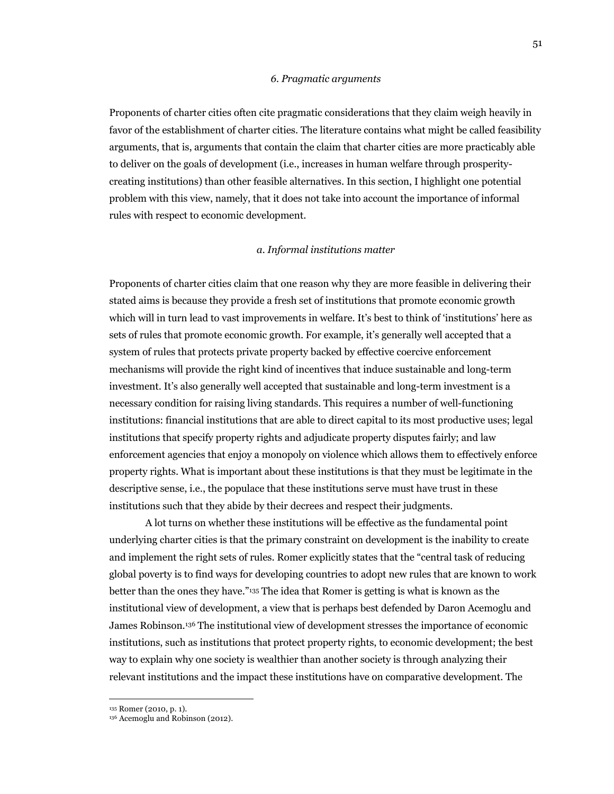#### *6. Pragmatic arguments*

Proponents of charter cities often cite pragmatic considerations that they claim weigh heavily in favor of the establishment of charter cities. The literature contains what might be called feasibility arguments, that is, arguments that contain the claim that charter cities are more practicably able to deliver on the goals of development (i.e., increases in human welfare through prosperitycreating institutions) than other feasible alternatives. In this section, I highlight one potential problem with this view, namely, that it does not take into account the importance of informal rules with respect to economic development.

#### *a. Informal institutions matter*

Proponents of charter cities claim that one reason why they are more feasible in delivering their stated aims is because they provide a fresh set of institutions that promote economic growth which will in turn lead to vast improvements in welfare. It's best to think of 'institutions' here as sets of rules that promote economic growth. For example, it's generally well accepted that a system of rules that protects private property backed by effective coercive enforcement mechanisms will provide the right kind of incentives that induce sustainable and long-term investment. It's also generally well accepted that sustainable and long-term investment is a necessary condition for raising living standards. This requires a number of well-functioning institutions: financial institutions that are able to direct capital to its most productive uses; legal institutions that specify property rights and adjudicate property disputes fairly; and law enforcement agencies that enjoy a monopoly on violence which allows them to effectively enforce property rights. What is important about these institutions is that they must be legitimate in the descriptive sense, i.e., the populace that these institutions serve must have trust in these institutions such that they abide by their decrees and respect their judgments.

A lot turns on whether these institutions will be effective as the fundamental point underlying charter cities is that the primary constraint on development is the inability to create and implement the right sets of rules. Romer explicitly states that the "central task of reducing global poverty is to find ways for developing countries to adopt new rules that are known to work better than the ones they have."135 The idea that Romer is getting is what is known as the institutional view of development, a view that is perhaps best defended by Daron Acemoglu and James Robinson.136 The institutional view of development stresses the importance of economic institutions, such as institutions that protect property rights, to economic development; the best way to explain why one society is wealthier than another society is through analyzing their relevant institutions and the impact these institutions have on comparative development. The

<sup>&</sup>lt;sup>135</sup> Romer (2010, p. 1).<br><sup>136</sup> Acemoglu and Robinson (2012).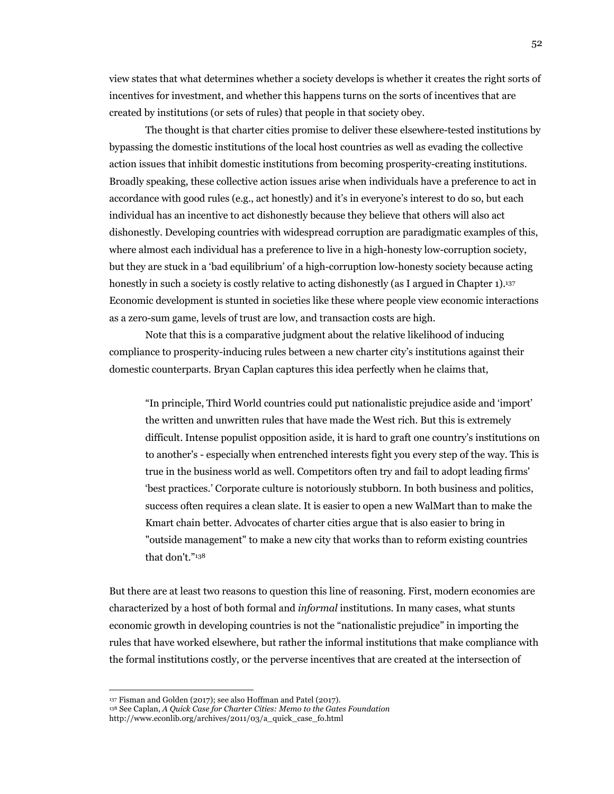view states that what determines whether a society develops is whether it creates the right sorts of incentives for investment, and whether this happens turns on the sorts of incentives that are created by institutions (or sets of rules) that people in that society obey.

The thought is that charter cities promise to deliver these elsewhere-tested institutions by bypassing the domestic institutions of the local host countries as well as evading the collective action issues that inhibit domestic institutions from becoming prosperity-creating institutions. Broadly speaking, these collective action issues arise when individuals have a preference to act in accordance with good rules (e.g., act honestly) and it's in everyone's interest to do so, but each individual has an incentive to act dishonestly because they believe that others will also act dishonestly. Developing countries with widespread corruption are paradigmatic examples of this, where almost each individual has a preference to live in a high-honesty low-corruption society, but they are stuck in a 'bad equilibrium' of a high-corruption low-honesty society because acting honestly in such a society is costly relative to acting dishonestly (as I argued in Chapter 1).<sup>137</sup> Economic development is stunted in societies like these where people view economic interactions as a zero-sum game, levels of trust are low, and transaction costs are high.

Note that this is a comparative judgment about the relative likelihood of inducing compliance to prosperity-inducing rules between a new charter city's institutions against their domestic counterparts. Bryan Caplan captures this idea perfectly when he claims that,

"In principle, Third World countries could put nationalistic prejudice aside and 'import' the written and unwritten rules that have made the West rich. But this is extremely difficult. Intense populist opposition aside, it is hard to graft one country's institutions on to another's - especially when entrenched interests fight you every step of the way. This is true in the business world as well. Competitors often try and fail to adopt leading firms' 'best practices.' Corporate culture is notoriously stubborn. In both business and politics, success often requires a clean slate. It is easier to open a new WalMart than to make the Kmart chain better. Advocates of charter cities argue that is also easier to bring in "outside management" to make a new city that works than to reform existing countries that don't."138

But there are at least two reasons to question this line of reasoning. First, modern economies are characterized by a host of both formal and *informal* institutions. In many cases, what stunts economic growth in developing countries is not the "nationalistic prejudice" in importing the rules that have worked elsewhere, but rather the informal institutions that make compliance with the formal institutions costly, or the perverse incentives that are created at the intersection of

<sup>137</sup> Fisman and Golden (2017); see also Hoffman and Patel (2017). 138 See Caplan, *A Quick Case for Charter Cities: Memo to the Gates Foundation*

http://www.econlib.org/archives/2011/03/a\_quick\_case\_fo.html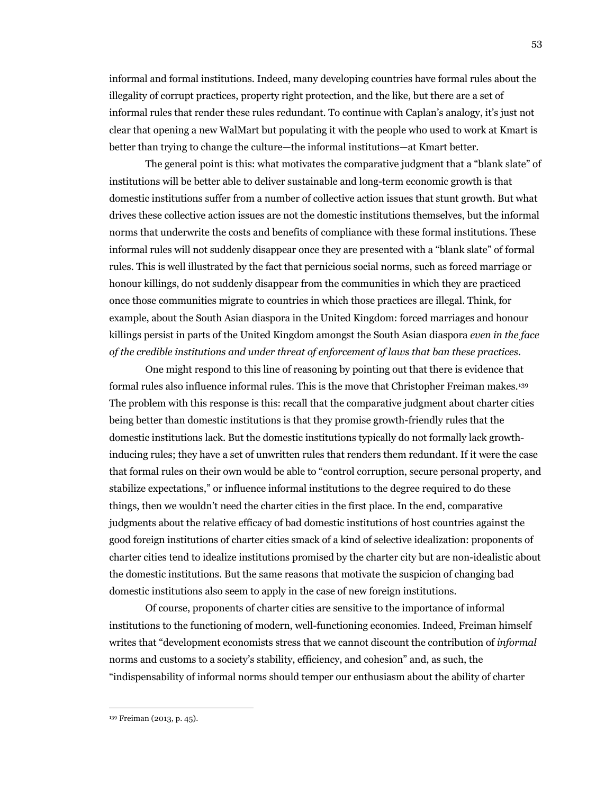informal and formal institutions. Indeed, many developing countries have formal rules about the illegality of corrupt practices, property right protection, and the like, but there are a set of informal rules that render these rules redundant. To continue with Caplan's analogy, it's just not clear that opening a new WalMart but populating it with the people who used to work at Kmart is better than trying to change the culture—the informal institutions—at Kmart better.

The general point is this: what motivates the comparative judgment that a "blank slate" of institutions will be better able to deliver sustainable and long-term economic growth is that domestic institutions suffer from a number of collective action issues that stunt growth. But what drives these collective action issues are not the domestic institutions themselves, but the informal norms that underwrite the costs and benefits of compliance with these formal institutions. These informal rules will not suddenly disappear once they are presented with a "blank slate" of formal rules. This is well illustrated by the fact that pernicious social norms, such as forced marriage or honour killings, do not suddenly disappear from the communities in which they are practiced once those communities migrate to countries in which those practices are illegal. Think, for example, about the South Asian diaspora in the United Kingdom: forced marriages and honour killings persist in parts of the United Kingdom amongst the South Asian diaspora *even in the face of the credible institutions and under threat of enforcement of laws that ban these practices*.

One might respond to this line of reasoning by pointing out that there is evidence that formal rules also influence informal rules. This is the move that Christopher Freiman makes.139 The problem with this response is this: recall that the comparative judgment about charter cities being better than domestic institutions is that they promise growth-friendly rules that the domestic institutions lack. But the domestic institutions typically do not formally lack growthinducing rules; they have a set of unwritten rules that renders them redundant. If it were the case that formal rules on their own would be able to "control corruption, secure personal property, and stabilize expectations," or influence informal institutions to the degree required to do these things, then we wouldn't need the charter cities in the first place. In the end, comparative judgments about the relative efficacy of bad domestic institutions of host countries against the good foreign institutions of charter cities smack of a kind of selective idealization: proponents of charter cities tend to idealize institutions promised by the charter city but are non-idealistic about the domestic institutions. But the same reasons that motivate the suspicion of changing bad domestic institutions also seem to apply in the case of new foreign institutions.

Of course, proponents of charter cities are sensitive to the importance of informal institutions to the functioning of modern, well-functioning economies. Indeed, Freiman himself writes that "development economists stress that we cannot discount the contribution of *informal*  norms and customs to a society's stability, efficiency, and cohesion" and, as such, the "indispensability of informal norms should temper our enthusiasm about the ability of charter

<sup>139</sup> Freiman (2013, p. 45).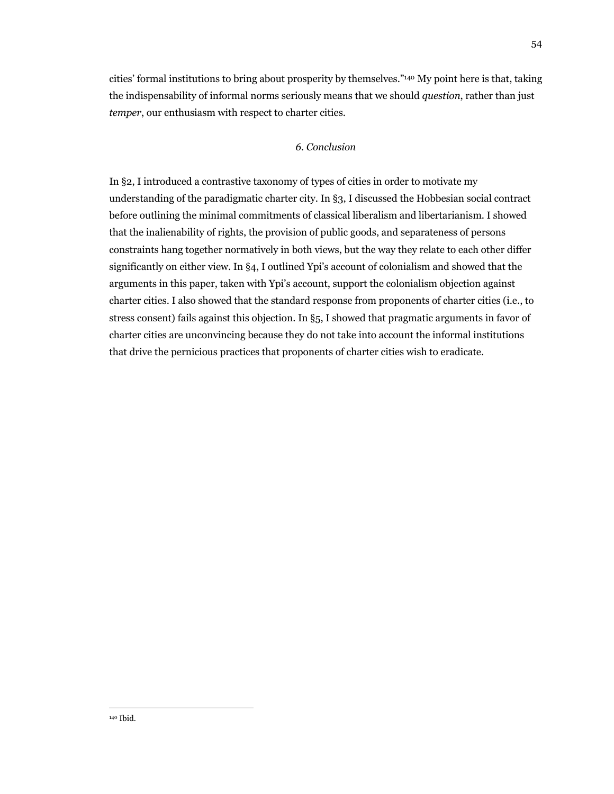cities' formal institutions to bring about prosperity by themselves."140 My point here is that, taking the indispensability of informal norms seriously means that we should *question*, rather than just *temper*, our enthusiasm with respect to charter cities.

# *6. Conclusion*

In §2, I introduced a contrastive taxonomy of types of cities in order to motivate my understanding of the paradigmatic charter city. In §3, I discussed the Hobbesian social contract before outlining the minimal commitments of classical liberalism and libertarianism. I showed that the inalienability of rights, the provision of public goods, and separateness of persons constraints hang together normatively in both views, but the way they relate to each other differ significantly on either view. In §4, I outlined Ypi's account of colonialism and showed that the arguments in this paper, taken with Ypi's account, support the colonialism objection against charter cities. I also showed that the standard response from proponents of charter cities (i.e., to stress consent) fails against this objection. In §5, I showed that pragmatic arguments in favor of charter cities are unconvincing because they do not take into account the informal institutions that drive the pernicious practices that proponents of charter cities wish to eradicate.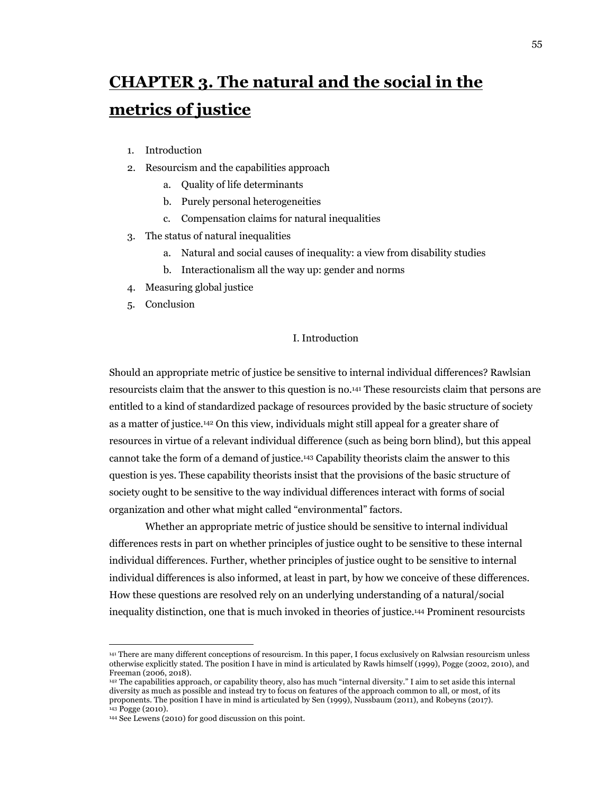# **CHAPTER 3. The natural and the social in the metrics of justice**

- 1. Introduction
- 2. Resourcism and the capabilities approach
	- a. Quality of life determinants
	- b. Purely personal heterogeneities
	- c. Compensation claims for natural inequalities
- 3. The status of natural inequalities
	- a. Natural and social causes of inequality: a view from disability studies
	- b. Interactionalism all the way up: gender and norms
- 4. Measuring global justice
- 5. Conclusion

# I. Introduction

Should an appropriate metric of justice be sensitive to internal individual differences? Rawlsian resourcists claim that the answer to this question is no.141 These resourcists claim that persons are entitled to a kind of standardized package of resources provided by the basic structure of society as a matter of justice.142 On this view, individuals might still appeal for a greater share of resources in virtue of a relevant individual difference (such as being born blind), but this appeal cannot take the form of a demand of justice.143 Capability theorists claim the answer to this question is yes. These capability theorists insist that the provisions of the basic structure of society ought to be sensitive to the way individual differences interact with forms of social organization and other what might called "environmental" factors.

Whether an appropriate metric of justice should be sensitive to internal individual differences rests in part on whether principles of justice ought to be sensitive to these internal individual differences. Further, whether principles of justice ought to be sensitive to internal individual differences is also informed, at least in part, by how we conceive of these differences. How these questions are resolved rely on an underlying understanding of a natural/social inequality distinction, one that is much invoked in theories of justice.144 Prominent resourcists

<sup>141</sup> There are many different conceptions of resourcism. In this paper, I focus exclusively on Ralwsian resourcism unless otherwise explicitly stated. The position I have in mind is articulated by Rawls himself (1999), Pogge (2002, 2010), and

<sup>142</sup> The capabilities approach, or capability theory, also has much "internal diversity." I aim to set aside this internal diversity as much as possible and instead try to focus on features of the approach common to all, or most, of its proponents. The position I have in mind is articulated by Sen (1999), Nussbaum (2011), and Robeyns (2017). 143 Pogge (2010).

<sup>144</sup> See Lewens (2010) for good discussion on this point.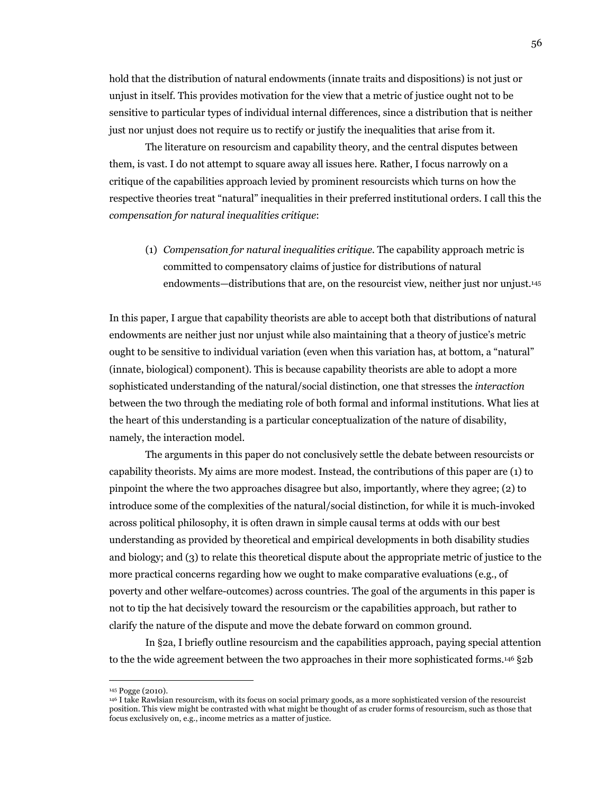hold that the distribution of natural endowments (innate traits and dispositions) is not just or unjust in itself. This provides motivation for the view that a metric of justice ought not to be sensitive to particular types of individual internal differences, since a distribution that is neither just nor unjust does not require us to rectify or justify the inequalities that arise from it.

The literature on resourcism and capability theory, and the central disputes between them, is vast. I do not attempt to square away all issues here. Rather, I focus narrowly on a critique of the capabilities approach levied by prominent resourcists which turns on how the respective theories treat "natural" inequalities in their preferred institutional orders. I call this the *compensation for natural inequalities critique*:

(1) *Compensation for natural inequalities critique*. The capability approach metric is committed to compensatory claims of justice for distributions of natural endowments—distributions that are, on the resourcist view, neither just nor unjust.145

In this paper, I argue that capability theorists are able to accept both that distributions of natural endowments are neither just nor unjust while also maintaining that a theory of justice's metric ought to be sensitive to individual variation (even when this variation has, at bottom, a "natural" (innate, biological) component). This is because capability theorists are able to adopt a more sophisticated understanding of the natural/social distinction, one that stresses the *interaction*  between the two through the mediating role of both formal and informal institutions. What lies at the heart of this understanding is a particular conceptualization of the nature of disability, namely, the interaction model.

The arguments in this paper do not conclusively settle the debate between resourcists or capability theorists. My aims are more modest. Instead, the contributions of this paper are (1) to pinpoint the where the two approaches disagree but also, importantly, where they agree; (2) to introduce some of the complexities of the natural/social distinction, for while it is much-invoked across political philosophy, it is often drawn in simple causal terms at odds with our best understanding as provided by theoretical and empirical developments in both disability studies and biology; and (3) to relate this theoretical dispute about the appropriate metric of justice to the more practical concerns regarding how we ought to make comparative evaluations (e.g., of poverty and other welfare-outcomes) across countries. The goal of the arguments in this paper is not to tip the hat decisively toward the resourcism or the capabilities approach, but rather to clarify the nature of the dispute and move the debate forward on common ground.

In §2a, I briefly outline resourcism and the capabilities approach, paying special attention to the the wide agreement between the two approaches in their more sophisticated forms.146 §2b

<sup>145</sup> Pogge (2010).

<sup>146</sup> I take Rawlsian resourcism, with its focus on social primary goods, as a more sophisticated version of the resourcist position. This view might be contrasted with what might be thought of as cruder forms of resourcism, such as those that focus exclusively on, e.g., income metrics as a matter of justice.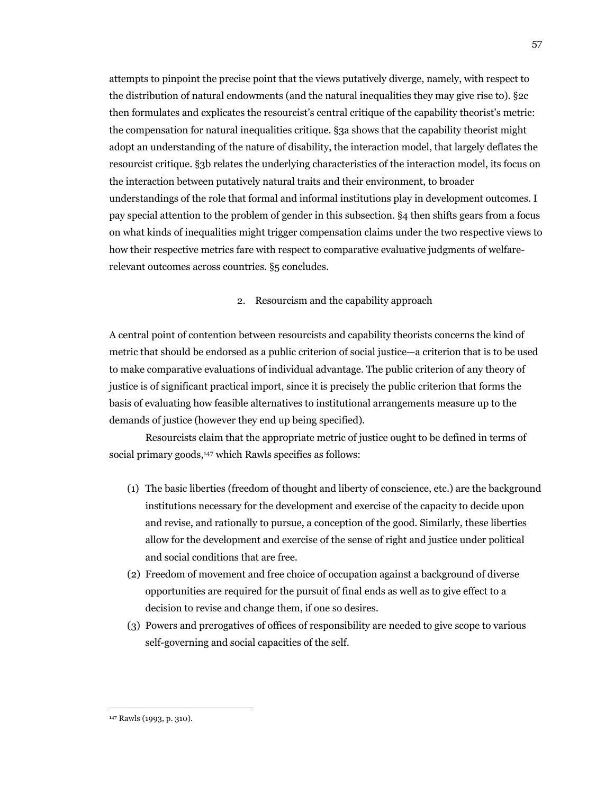attempts to pinpoint the precise point that the views putatively diverge, namely, with respect to the distribution of natural endowments (and the natural inequalities they may give rise to). §2c then formulates and explicates the resourcist's central critique of the capability theorist's metric: the compensation for natural inequalities critique. §3a shows that the capability theorist might adopt an understanding of the nature of disability, the interaction model, that largely deflates the resourcist critique. §3b relates the underlying characteristics of the interaction model, its focus on the interaction between putatively natural traits and their environment, to broader understandings of the role that formal and informal institutions play in development outcomes. I pay special attention to the problem of gender in this subsection. §4 then shifts gears from a focus on what kinds of inequalities might trigger compensation claims under the two respective views to how their respective metrics fare with respect to comparative evaluative judgments of welfarerelevant outcomes across countries. §5 concludes.

# 2. Resourcism and the capability approach

A central point of contention between resourcists and capability theorists concerns the kind of metric that should be endorsed as a public criterion of social justice—a criterion that is to be used to make comparative evaluations of individual advantage. The public criterion of any theory of justice is of significant practical import, since it is precisely the public criterion that forms the basis of evaluating how feasible alternatives to institutional arrangements measure up to the demands of justice (however they end up being specified).

Resourcists claim that the appropriate metric of justice ought to be defined in terms of social primary goods,<sup>147</sup> which Rawls specifies as follows:

- (1) The basic liberties (freedom of thought and liberty of conscience, etc.) are the background institutions necessary for the development and exercise of the capacity to decide upon and revise, and rationally to pursue, a conception of the good. Similarly, these liberties allow for the development and exercise of the sense of right and justice under political and social conditions that are free.
- (2) Freedom of movement and free choice of occupation against a background of diverse opportunities are required for the pursuit of final ends as well as to give effect to a decision to revise and change them, if one so desires.
- (3) Powers and prerogatives of offices of responsibility are needed to give scope to various self-governing and social capacities of the self.

<sup>147</sup> Rawls (1993, p. 310).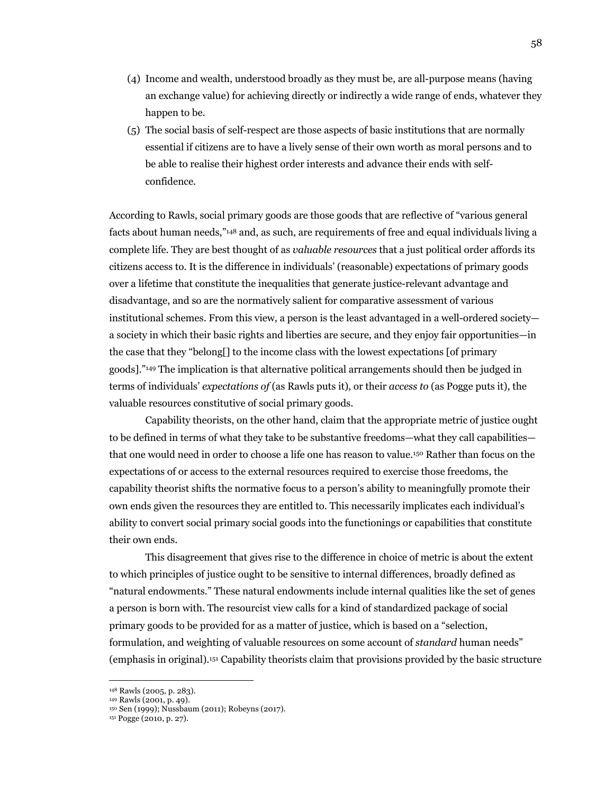- (4) Income and wealth, understood broadly as they must be, are all-purpose means (having an exchange value) for achieving directly or indirectly a wide range of ends, whatever they happen to be.
- (5) The social basis of self-respect are those aspects of basic institutions that are normally essential if citizens are to have a lively sense of their own worth as moral persons and to be able to realise their highest order interests and advance their ends with selfconfidence.

According to Rawls, social primary goods are those goods that are reflective of "various general facts about human needs,"148 and, as such, are requirements of free and equal individuals living a complete life. They are best thought of as *valuable resources* that a just political order affords its citizens access to. It is the difference in individuals' (reasonable) expectations of primary goods over a lifetime that constitute the inequalities that generate justice-relevant advantage and disadvantage, and so are the normatively salient for comparative assessment of various institutional schemes. From this view, a person is the least advantaged in a well-ordered society a society in which their basic rights and liberties are secure, and they enjoy fair opportunities—in the case that they "belong[] to the income class with the lowest expectations [of primary goods]."149 The implication is that alternative political arrangements should then be judged in terms of individuals' *expectations of* (as Rawls puts it), or their *access to* (as Pogge puts it), the valuable resources constitutive of social primary goods.

Capability theorists, on the other hand, claim that the appropriate metric of justice ought to be defined in terms of what they take to be substantive freedoms—what they call capabilities that one would need in order to choose a life one has reason to value.150 Rather than focus on the expectations of or access to the external resources required to exercise those freedoms, the capability theorist shifts the normative focus to a person's ability to meaningfully promote their own ends given the resources they are entitled to. This necessarily implicates each individual's ability to convert social primary social goods into the functionings or capabilities that constitute their own ends.

This disagreement that gives rise to the difference in choice of metric is about the extent to which principles of justice ought to be sensitive to internal differences, broadly defined as "natural endowments." These natural endowments include internal qualities like the set of genes a person is born with. The resourcist view calls for a kind of standardized package of social primary goods to be provided for as a matter of justice, which is based on a "selection, formulation, and weighting of valuable resources on some account of *standard* human needs" (emphasis in original).151 Capability theorists claim that provisions provided by the basic structure

<sup>148</sup> Rawls (2005, p. 283).

<sup>149</sup> Rawls (2001, p. 49).

<sup>150</sup> Sen (1999); Nussbaum (2011); Robeyns (2017). 151 Pogge (2010, p. 27).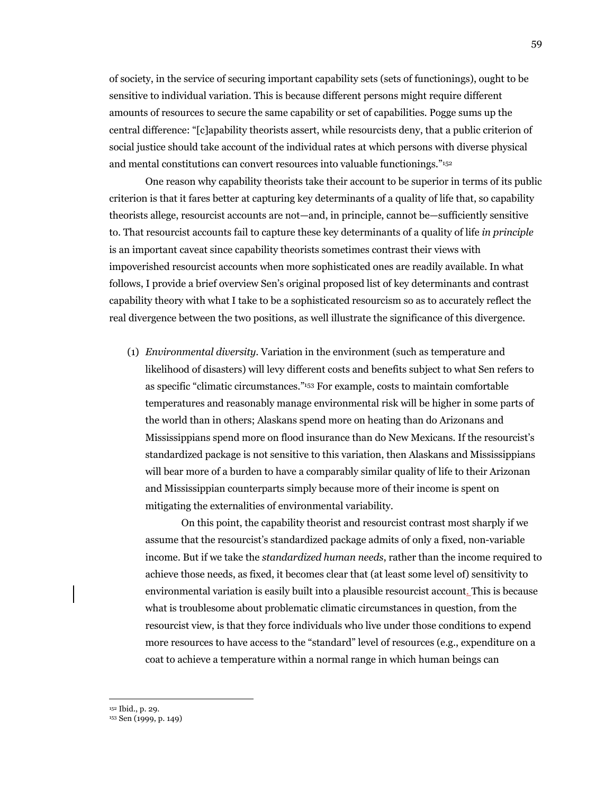of society, in the service of securing important capability sets (sets of functionings), ought to be sensitive to individual variation. This is because different persons might require different amounts of resources to secure the same capability or set of capabilities. Pogge sums up the central difference: "[c]apability theorists assert, while resourcists deny, that a public criterion of social justice should take account of the individual rates at which persons with diverse physical and mental constitutions can convert resources into valuable functionings."152

One reason why capability theorists take their account to be superior in terms of its public criterion is that it fares better at capturing key determinants of a quality of life that, so capability theorists allege, resourcist accounts are not—and, in principle, cannot be—sufficiently sensitive to. That resourcist accounts fail to capture these key determinants of a quality of life *in principle*  is an important caveat since capability theorists sometimes contrast their views with impoverished resourcist accounts when more sophisticated ones are readily available. In what follows, I provide a brief overview Sen's original proposed list of key determinants and contrast capability theory with what I take to be a sophisticated resourcism so as to accurately reflect the real divergence between the two positions, as well illustrate the significance of this divergence.

(1) *Environmental diversity*. Variation in the environment (such as temperature and likelihood of disasters) will levy different costs and benefits subject to what Sen refers to as specific "climatic circumstances."153 For example, costs to maintain comfortable temperatures and reasonably manage environmental risk will be higher in some parts of the world than in others; Alaskans spend more on heating than do Arizonans and Mississippians spend more on flood insurance than do New Mexicans. If the resourcist's standardized package is not sensitive to this variation, then Alaskans and Mississippians will bear more of a burden to have a comparably similar quality of life to their Arizonan and Mississippian counterparts simply because more of their income is spent on mitigating the externalities of environmental variability.

On this point, the capability theorist and resourcist contrast most sharply if we assume that the resourcist's standardized package admits of only a fixed, non-variable income. But if we take the *standardized human needs*, rather than the income required to achieve those needs, as fixed, it becomes clear that (at least some level of) sensitivity to environmental variation is easily built into a plausible resourcist account. This is because what is troublesome about problematic climatic circumstances in question, from the resourcist view, is that they force individuals who live under those conditions to expend more resources to have access to the "standard" level of resources (e.g., expenditure on a coat to achieve a temperature within a normal range in which human beings can

<sup>&</sup>lt;sup>152</sup> Ibid., p. 29.<br><sup>153</sup> Sen (1999, p. 149)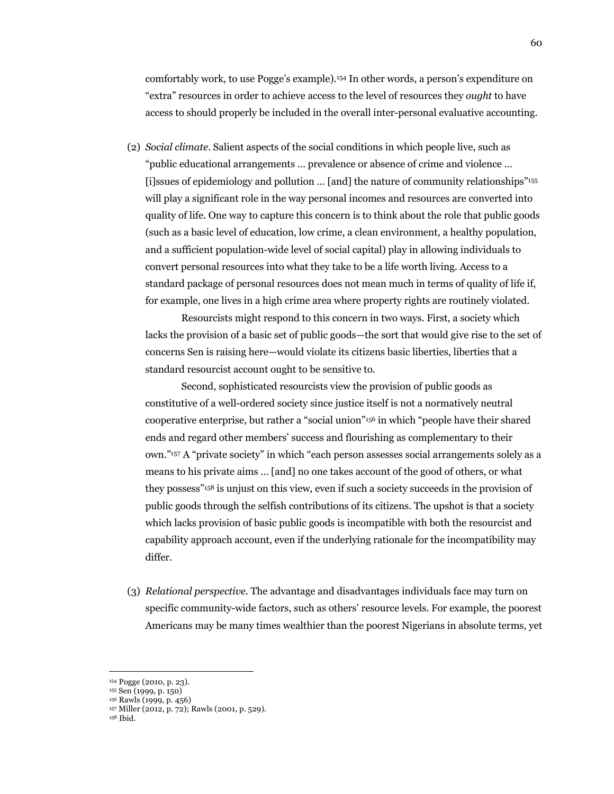comfortably work, to use Pogge's example).154 In other words, a person's expenditure on "extra" resources in order to achieve access to the level of resources they *ought* to have access to should properly be included in the overall inter-personal evaluative accounting.

(2) *Social climate*. Salient aspects of the social conditions in which people live, such as "public educational arrangements … prevalence or absence of crime and violence … [i]ssues of epidemiology and pollution ... [and] the nature of community relationships"<sup>155</sup> will play a significant role in the way personal incomes and resources are converted into quality of life. One way to capture this concern is to think about the role that public goods (such as a basic level of education, low crime, a clean environment, a healthy population, and a sufficient population-wide level of social capital) play in allowing individuals to convert personal resources into what they take to be a life worth living. Access to a standard package of personal resources does not mean much in terms of quality of life if, for example, one lives in a high crime area where property rights are routinely violated.

Resourcists might respond to this concern in two ways. First, a society which lacks the provision of a basic set of public goods—the sort that would give rise to the set of concerns Sen is raising here—would violate its citizens basic liberties, liberties that a standard resourcist account ought to be sensitive to.

Second, sophisticated resourcists view the provision of public goods as constitutive of a well-ordered society since justice itself is not a normatively neutral cooperative enterprise, but rather a "social union"156 in which "people have their shared ends and regard other members' success and flourishing as complementary to their own."157 A "private society" in which "each person assesses social arrangements solely as a means to his private aims … [and] no one takes account of the good of others, or what they possess"158 is unjust on this view, even if such a society succeeds in the provision of public goods through the selfish contributions of its citizens. The upshot is that a society which lacks provision of basic public goods is incompatible with both the resourcist and capability approach account, even if the underlying rationale for the incompatibility may differ.

(3) *Relational perspective*. The advantage and disadvantages individuals face may turn on specific community-wide factors, such as others' resource levels. For example, the poorest Americans may be many times wealthier than the poorest Nigerians in absolute terms, yet

<sup>156</sup> Rawls (1999, p. 456)

<sup>154</sup> Pogge (2010, p. 23). 155 Sen (1999, p. 150)

<sup>157</sup> Miller (2012, p. 72); Rawls (2001, p. 529). 158 Ibid.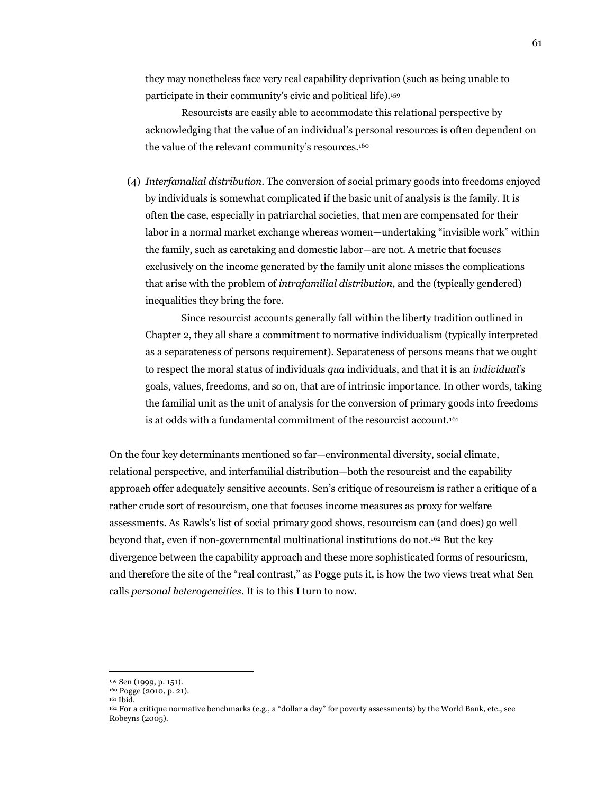they may nonetheless face very real capability deprivation (such as being unable to participate in their community's civic and political life).159

Resourcists are easily able to accommodate this relational perspective by acknowledging that the value of an individual's personal resources is often dependent on the value of the relevant community's resources.<sup>160</sup>

(4) *Interfamalial distribution*. The conversion of social primary goods into freedoms enjoyed by individuals is somewhat complicated if the basic unit of analysis is the family. It is often the case, especially in patriarchal societies, that men are compensated for their labor in a normal market exchange whereas women—undertaking "invisible work" within the family, such as caretaking and domestic labor—are not. A metric that focuses exclusively on the income generated by the family unit alone misses the complications that arise with the problem of *intrafamilial distribution*, and the (typically gendered) inequalities they bring the fore.

Since resourcist accounts generally fall within the liberty tradition outlined in Chapter 2, they all share a commitment to normative individualism (typically interpreted as a separateness of persons requirement). Separateness of persons means that we ought to respect the moral status of individuals *qua* individuals, and that it is an *individual's* goals, values, freedoms, and so on, that are of intrinsic importance. In other words, taking the familial unit as the unit of analysis for the conversion of primary goods into freedoms is at odds with a fundamental commitment of the resourcist account.<sup>161</sup>

On the four key determinants mentioned so far—environmental diversity, social climate, relational perspective, and interfamilial distribution—both the resourcist and the capability approach offer adequately sensitive accounts. Sen's critique of resourcism is rather a critique of a rather crude sort of resourcism, one that focuses income measures as proxy for welfare assessments. As Rawls's list of social primary good shows, resourcism can (and does) go well beyond that, even if non-governmental multinational institutions do not.162 But the key divergence between the capability approach and these more sophisticated forms of resouricsm, and therefore the site of the "real contrast," as Pogge puts it, is how the two views treat what Sen calls *personal heterogeneities*. It is to this I turn to now.

<sup>159</sup> Sen (1999, p. 151).<br><sup>160</sup> Pogge (2010, p. 21).<br><sup>161</sup> Ibid. 161 Ibid. 161 Ibid. 161 Ibid. 162 For a critique normative benchmarks (e.g., a "dollar a day" for poverty assessments) by the World Bank, etc., see Robeyns (2005).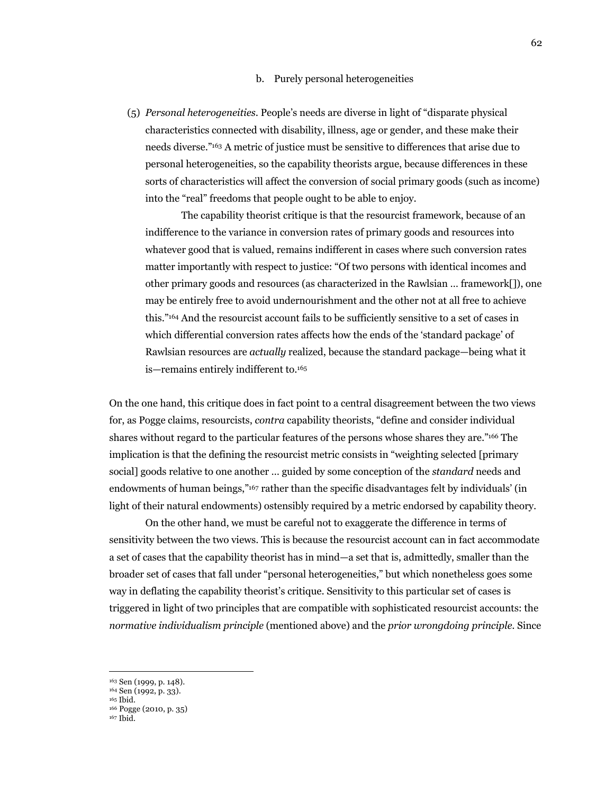#### b. Purely personal heterogeneities

(5) *Personal heterogeneities*. People's needs are diverse in light of "disparate physical characteristics connected with disability, illness, age or gender, and these make their needs diverse."163 A metric of justice must be sensitive to differences that arise due to personal heterogeneities, so the capability theorists argue, because differences in these sorts of characteristics will affect the conversion of social primary goods (such as income) into the "real" freedoms that people ought to be able to enjoy.

The capability theorist critique is that the resourcist framework, because of an indifference to the variance in conversion rates of primary goods and resources into whatever good that is valued, remains indifferent in cases where such conversion rates matter importantly with respect to justice: "Of two persons with identical incomes and other primary goods and resources (as characterized in the Rawlsian … framework[]), one may be entirely free to avoid undernourishment and the other not at all free to achieve this."164 And the resourcist account fails to be sufficiently sensitive to a set of cases in which differential conversion rates affects how the ends of the 'standard package' of Rawlsian resources are *actually* realized, because the standard package—being what it is—remains entirely indifferent to.165

On the one hand, this critique does in fact point to a central disagreement between the two views for, as Pogge claims, resourcists, *contra* capability theorists, "define and consider individual shares without regard to the particular features of the persons whose shares they are."166 The implication is that the defining the resourcist metric consists in "weighting selected [primary social] goods relative to one another … guided by some conception of the *standard* needs and endowments of human beings,"167 rather than the specific disadvantages felt by individuals' (in light of their natural endowments) ostensibly required by a metric endorsed by capability theory.

On the other hand, we must be careful not to exaggerate the difference in terms of sensitivity between the two views. This is because the resourcist account can in fact accommodate a set of cases that the capability theorist has in mind—a set that is, admittedly, smaller than the broader set of cases that fall under "personal heterogeneities," but which nonetheless goes some way in deflating the capability theorist's critique. Sensitivity to this particular set of cases is triggered in light of two principles that are compatible with sophisticated resourcist accounts: the *normative individualism principle* (mentioned above) and the *prior wrongdoing principle*. Since

<sup>&</sup>lt;sup>163</sup> Sen (1999, p. 148).<br><sup>164</sup> Sen (1992, p. 33).<br><sup>165</sup> Ibid.

<sup>166</sup> Pogge (2010, p. 35)

 $167$  Ibid.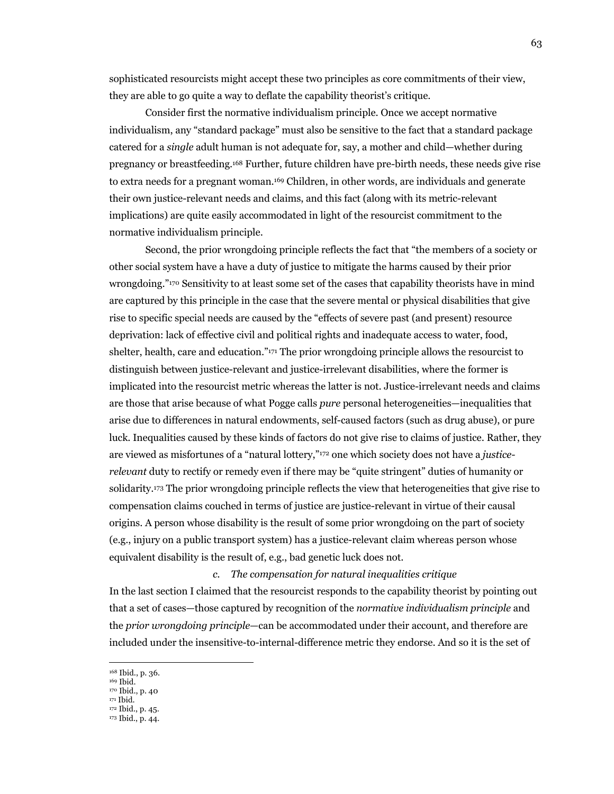sophisticated resourcists might accept these two principles as core commitments of their view, they are able to go quite a way to deflate the capability theorist's critique.

Consider first the normative individualism principle. Once we accept normative individualism, any "standard package" must also be sensitive to the fact that a standard package catered for a *single* adult human is not adequate for, say, a mother and child—whether during pregnancy or breastfeeding.168 Further, future children have pre-birth needs, these needs give rise to extra needs for a pregnant woman.169 Children, in other words, are individuals and generate their own justice-relevant needs and claims, and this fact (along with its metric-relevant implications) are quite easily accommodated in light of the resourcist commitment to the normative individualism principle.

Second, the prior wrongdoing principle reflects the fact that "the members of a society or other social system have a have a duty of justice to mitigate the harms caused by their prior wrongdoing."170 Sensitivity to at least some set of the cases that capability theorists have in mind are captured by this principle in the case that the severe mental or physical disabilities that give rise to specific special needs are caused by the "effects of severe past (and present) resource deprivation: lack of effective civil and political rights and inadequate access to water, food, shelter, health, care and education."171 The prior wrongdoing principle allows the resourcist to distinguish between justice-relevant and justice-irrelevant disabilities, where the former is implicated into the resourcist metric whereas the latter is not. Justice-irrelevant needs and claims are those that arise because of what Pogge calls *pure* personal heterogeneities—inequalities that arise due to differences in natural endowments, self-caused factors (such as drug abuse), or pure luck. Inequalities caused by these kinds of factors do not give rise to claims of justice. Rather, they are viewed as misfortunes of a "natural lottery,"172 one which society does not have a *justicerelevant* duty to rectify or remedy even if there may be "quite stringent" duties of humanity or solidarity.173 The prior wrongdoing principle reflects the view that heterogeneities that give rise to compensation claims couched in terms of justice are justice-relevant in virtue of their causal origins. A person whose disability is the result of some prior wrongdoing on the part of society (e.g., injury on a public transport system) has a justice-relevant claim whereas person whose equivalent disability is the result of, e.g., bad genetic luck does not.

#### *c. The compensation for natural inequalities critique*

In the last section I claimed that the resourcist responds to the capability theorist by pointing out that a set of cases—those captured by recognition of the *normative individualism principle* and the *prior wrongdoing principle*—can be accommodated under their account, and therefore are included under the insensitive-to-internal-difference metric they endorse. And so it is the set of

171 Ibid.

<sup>&</sup>lt;sup>168</sup> Ibid., p. 36.<br><sup>169</sup> Ibid.<br><sup>170</sup> Ibid., p. 40

<sup>172</sup> Ibid., p. 45. 173 Ibid., p. 44.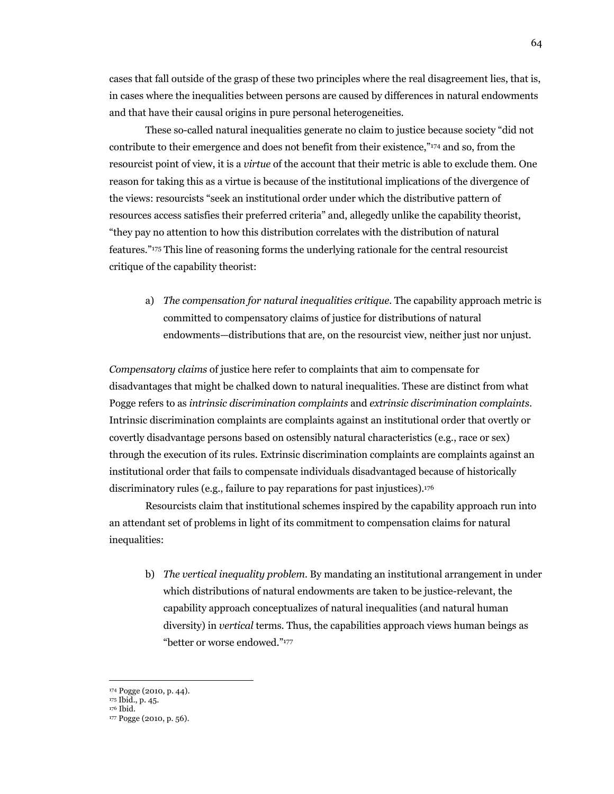cases that fall outside of the grasp of these two principles where the real disagreement lies, that is, in cases where the inequalities between persons are caused by differences in natural endowments and that have their causal origins in pure personal heterogeneities.

These so-called natural inequalities generate no claim to justice because society "did not contribute to their emergence and does not benefit from their existence,"174 and so, from the resourcist point of view, it is a *virtue* of the account that their metric is able to exclude them. One reason for taking this as a virtue is because of the institutional implications of the divergence of the views: resourcists "seek an institutional order under which the distributive pattern of resources access satisfies their preferred criteria" and, allegedly unlike the capability theorist, "they pay no attention to how this distribution correlates with the distribution of natural features."175 This line of reasoning forms the underlying rationale for the central resourcist critique of the capability theorist:

a) *The compensation for natural inequalities critique.* The capability approach metric is committed to compensatory claims of justice for distributions of natural endowments—distributions that are, on the resourcist view, neither just nor unjust.

*Compensatory claims* of justice here refer to complaints that aim to compensate for disadvantages that might be chalked down to natural inequalities. These are distinct from what Pogge refers to as *intrinsic discrimination complaints* and *extrinsic discrimination complaints*. Intrinsic discrimination complaints are complaints against an institutional order that overtly or covertly disadvantage persons based on ostensibly natural characteristics (e.g., race or sex) through the execution of its rules. Extrinsic discrimination complaints are complaints against an institutional order that fails to compensate individuals disadvantaged because of historically discriminatory rules (e.g., failure to pay reparations for past injustices).176

Resourcists claim that institutional schemes inspired by the capability approach run into an attendant set of problems in light of its commitment to compensation claims for natural inequalities:

b) *The vertical inequality problem.* By mandating an institutional arrangement in under which distributions of natural endowments are taken to be justice-relevant, the capability approach conceptualizes of natural inequalities (and natural human diversity) in *vertical* terms. Thus, the capabilities approach views human beings as "better or worse endowed."177

<sup>174</sup> Pogge (2010, p. 44).<br><sup>175</sup> Ibid., p. 45.<br><sup>176</sup> Ibid. 177 Pogge (2010, p. 56).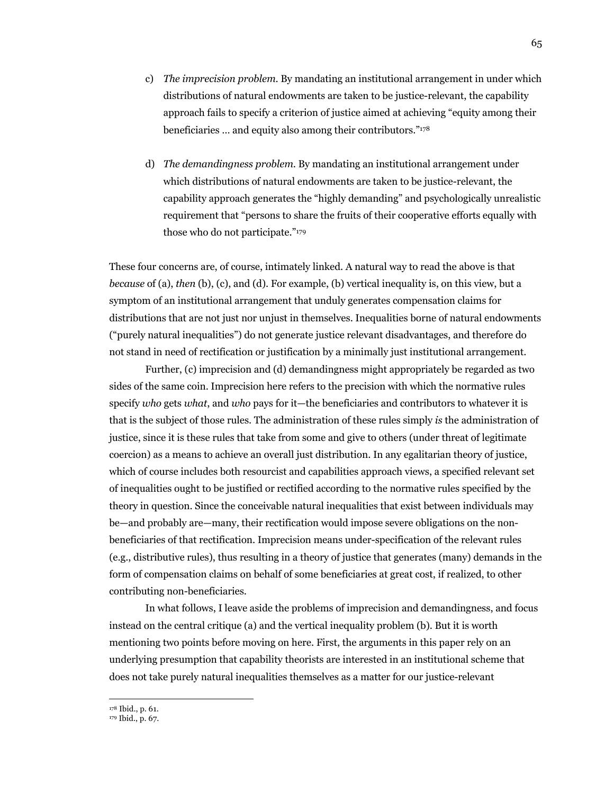- c) *The imprecision problem*. By mandating an institutional arrangement in under which distributions of natural endowments are taken to be justice-relevant, the capability approach fails to specify a criterion of justice aimed at achieving "equity among their beneficiaries … and equity also among their contributors."178
- d) *The demandingness problem*. By mandating an institutional arrangement under which distributions of natural endowments are taken to be justice-relevant, the capability approach generates the "highly demanding" and psychologically unrealistic requirement that "persons to share the fruits of their cooperative efforts equally with those who do not participate."179

These four concerns are, of course, intimately linked. A natural way to read the above is that *because* of (a), *then* (b), (c), and (d). For example, (b) vertical inequality is, on this view, but a symptom of an institutional arrangement that unduly generates compensation claims for distributions that are not just nor unjust in themselves. Inequalities borne of natural endowments ("purely natural inequalities") do not generate justice relevant disadvantages, and therefore do not stand in need of rectification or justification by a minimally just institutional arrangement.

Further, (c) imprecision and (d) demandingness might appropriately be regarded as two sides of the same coin. Imprecision here refers to the precision with which the normative rules specify *who* gets *what*, and *who* pays for it—the beneficiaries and contributors to whatever it is that is the subject of those rules. The administration of these rules simply *is* the administration of justice, since it is these rules that take from some and give to others (under threat of legitimate coercion) as a means to achieve an overall just distribution. In any egalitarian theory of justice, which of course includes both resourcist and capabilities approach views, a specified relevant set of inequalities ought to be justified or rectified according to the normative rules specified by the theory in question. Since the conceivable natural inequalities that exist between individuals may be—and probably are—many, their rectification would impose severe obligations on the nonbeneficiaries of that rectification. Imprecision means under-specification of the relevant rules (e.g., distributive rules), thus resulting in a theory of justice that generates (many) demands in the form of compensation claims on behalf of some beneficiaries at great cost, if realized, to other contributing non-beneficiaries.

In what follows, I leave aside the problems of imprecision and demandingness, and focus instead on the central critique (a) and the vertical inequality problem (b). But it is worth mentioning two points before moving on here. First, the arguments in this paper rely on an underlying presumption that capability theorists are interested in an institutional scheme that does not take purely natural inequalities themselves as a matter for our justice-relevant

<sup>178</sup> Ibid., p. 61. 179 Ibid., p. 67.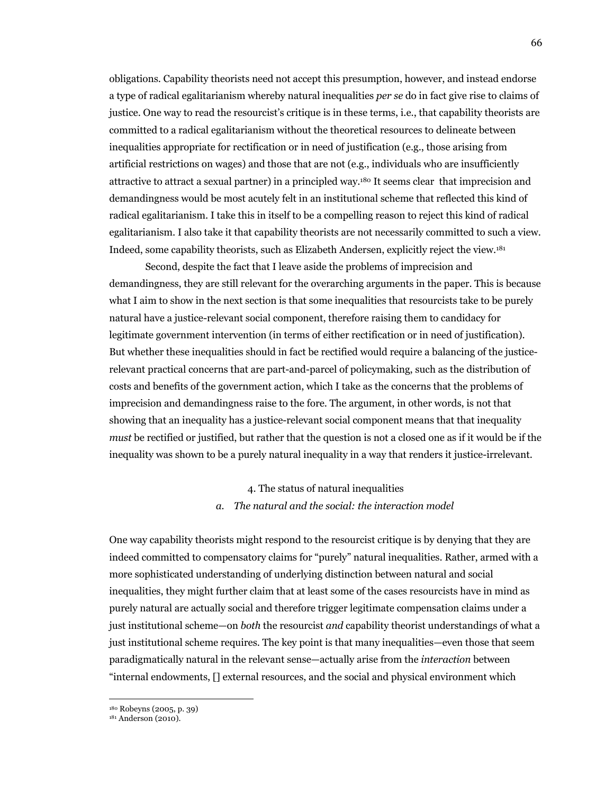obligations. Capability theorists need not accept this presumption, however, and instead endorse a type of radical egalitarianism whereby natural inequalities *per se* do in fact give rise to claims of justice. One way to read the resourcist's critique is in these terms, i.e., that capability theorists are committed to a radical egalitarianism without the theoretical resources to delineate between inequalities appropriate for rectification or in need of justification (e.g., those arising from artificial restrictions on wages) and those that are not (e.g., individuals who are insufficiently attractive to attract a sexual partner) in a principled way.180 It seems clear that imprecision and demandingness would be most acutely felt in an institutional scheme that reflected this kind of radical egalitarianism. I take this in itself to be a compelling reason to reject this kind of radical egalitarianism. I also take it that capability theorists are not necessarily committed to such a view. Indeed, some capability theorists, such as Elizabeth Andersen, explicitly reject the view.181

Second, despite the fact that I leave aside the problems of imprecision and demandingness, they are still relevant for the overarching arguments in the paper. This is because what I aim to show in the next section is that some inequalities that resourcists take to be purely natural have a justice-relevant social component, therefore raising them to candidacy for legitimate government intervention (in terms of either rectification or in need of justification). But whether these inequalities should in fact be rectified would require a balancing of the justicerelevant practical concerns that are part-and-parcel of policymaking, such as the distribution of costs and benefits of the government action, which I take as the concerns that the problems of imprecision and demandingness raise to the fore. The argument, in other words, is not that showing that an inequality has a justice-relevant social component means that that inequality *must* be rectified or justified, but rather that the question is not a closed one as if it would be if the inequality was shown to be a purely natural inequality in a way that renders it justice-irrelevant.

# 4. The status of natural inequalities *a. The natural and the social: the interaction model*

One way capability theorists might respond to the resourcist critique is by denying that they are indeed committed to compensatory claims for "purely" natural inequalities. Rather, armed with a more sophisticated understanding of underlying distinction between natural and social inequalities, they might further claim that at least some of the cases resourcists have in mind as purely natural are actually social and therefore trigger legitimate compensation claims under a just institutional scheme—on *both* the resourcist *and* capability theorist understandings of what a just institutional scheme requires. The key point is that many inequalities—even those that seem paradigmatically natural in the relevant sense—actually arise from the *interaction* between "internal endowments, [] external resources, and the social and physical environment which

<sup>180</sup> Robeyns (2005, p. 39)

<sup>181</sup> Anderson (2010).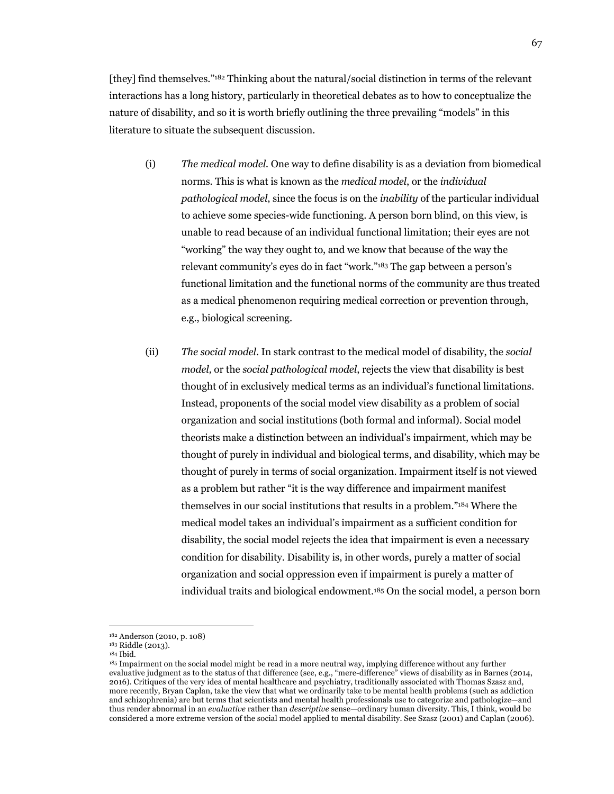[they] find themselves."182 Thinking about the natural/social distinction in terms of the relevant interactions has a long history, particularly in theoretical debates as to how to conceptualize the nature of disability, and so it is worth briefly outlining the three prevailing "models" in this literature to situate the subsequent discussion.

- (i) *The medical model.* One way to define disability is as a deviation from biomedical norms. This is what is known as the *medical model*, or the *individual pathological model*, since the focus is on the *inability* of the particular individual to achieve some species-wide functioning. A person born blind, on this view, is unable to read because of an individual functional limitation; their eyes are not "working" the way they ought to, and we know that because of the way the relevant community's eyes do in fact "work."183 The gap between a person's functional limitation and the functional norms of the community are thus treated as a medical phenomenon requiring medical correction or prevention through, e.g., biological screening.
- (ii) *The social model*. In stark contrast to the medical model of disability, the *social model,* or the *social pathological model*, rejects the view that disability is best thought of in exclusively medical terms as an individual's functional limitations. Instead, proponents of the social model view disability as a problem of social organization and social institutions (both formal and informal). Social model theorists make a distinction between an individual's impairment, which may be thought of purely in individual and biological terms, and disability, which may be thought of purely in terms of social organization. Impairment itself is not viewed as a problem but rather "it is the way difference and impairment manifest themselves in our social institutions that results in a problem."184 Where the medical model takes an individual's impairment as a sufficient condition for disability, the social model rejects the idea that impairment is even a necessary condition for disability. Disability is, in other words, purely a matter of social organization and social oppression even if impairment is purely a matter of individual traits and biological endowment.185 On the social model, a person born

<sup>182</sup> Anderson (2010, p. 108)

<sup>&</sup>lt;sup>183</sup> Riddle (2013).<br><sup>184</sup> Ibid.

<sup>&</sup>lt;sup>185</sup> Impairment on the social model might be read in a more neutral way, implying difference without any further evaluative judgment as to the status of that difference (see, e.g., "mere-difference" views of disability as in Barnes (2014, 2016). Critiques of the very idea of mental healthcare and psychiatry, traditionally associated with Thomas Szasz and, more recently, Bryan Caplan, take the view that what we ordinarily take to be mental health problems (such as addiction and schizophrenia) are but terms that scientists and mental health professionals use to categorize and pathologize—and thus render abnormal in an *evaluative* rather than *descriptive* sense—ordinary human diversity. This, I think, would be considered a more extreme version of the social model applied to mental disability. See Szasz (2001) and Caplan (2006).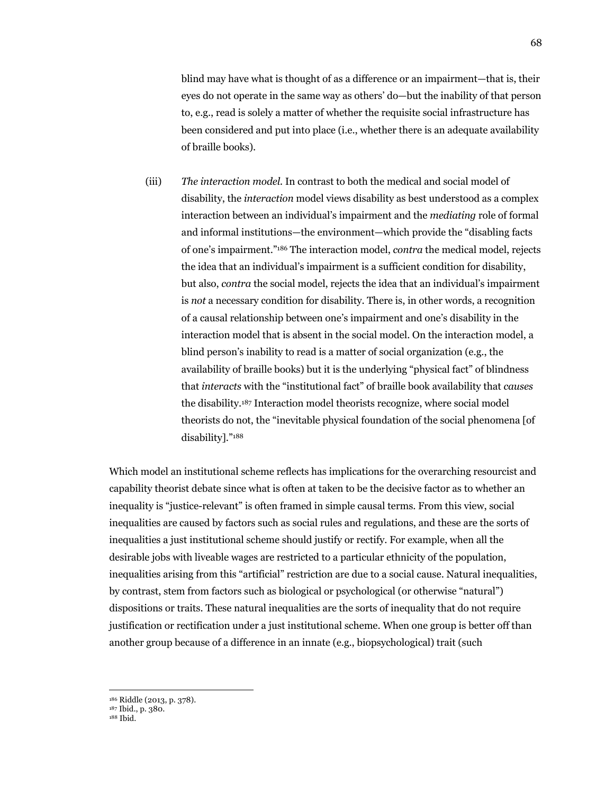blind may have what is thought of as a difference or an impairment—that is, their eyes do not operate in the same way as others' do—but the inability of that person to, e.g., read is solely a matter of whether the requisite social infrastructure has been considered and put into place (i.e., whether there is an adequate availability of braille books).

(iii) *The interaction model.* In contrast to both the medical and social model of disability, the *interaction* model views disability as best understood as a complex interaction between an individual's impairment and the *mediating* role of formal and informal institutions—the environment—which provide the "disabling facts of one's impairment."186 The interaction model, *contra* the medical model, rejects the idea that an individual's impairment is a sufficient condition for disability, but also, *contra* the social model, rejects the idea that an individual's impairment is *not* a necessary condition for disability. There is, in other words, a recognition of a causal relationship between one's impairment and one's disability in the interaction model that is absent in the social model. On the interaction model, a blind person's inability to read is a matter of social organization (e.g., the availability of braille books) but it is the underlying "physical fact" of blindness that *interacts* with the "institutional fact" of braille book availability that *causes* the disability.187 Interaction model theorists recognize, where social model theorists do not, the "inevitable physical foundation of the social phenomena [of disability]."188

Which model an institutional scheme reflects has implications for the overarching resourcist and capability theorist debate since what is often at taken to be the decisive factor as to whether an inequality is "justice-relevant" is often framed in simple causal terms. From this view, social inequalities are caused by factors such as social rules and regulations, and these are the sorts of inequalities a just institutional scheme should justify or rectify. For example, when all the desirable jobs with liveable wages are restricted to a particular ethnicity of the population, inequalities arising from this "artificial" restriction are due to a social cause. Natural inequalities, by contrast, stem from factors such as biological or psychological (or otherwise "natural") dispositions or traits. These natural inequalities are the sorts of inequality that do not require justification or rectification under a just institutional scheme. When one group is better off than another group because of a difference in an innate (e.g., biopsychological) trait (such

<sup>186</sup> Riddle (2013, p. 378). 187 Ibid., p. 380.

<sup>188</sup> Ibid.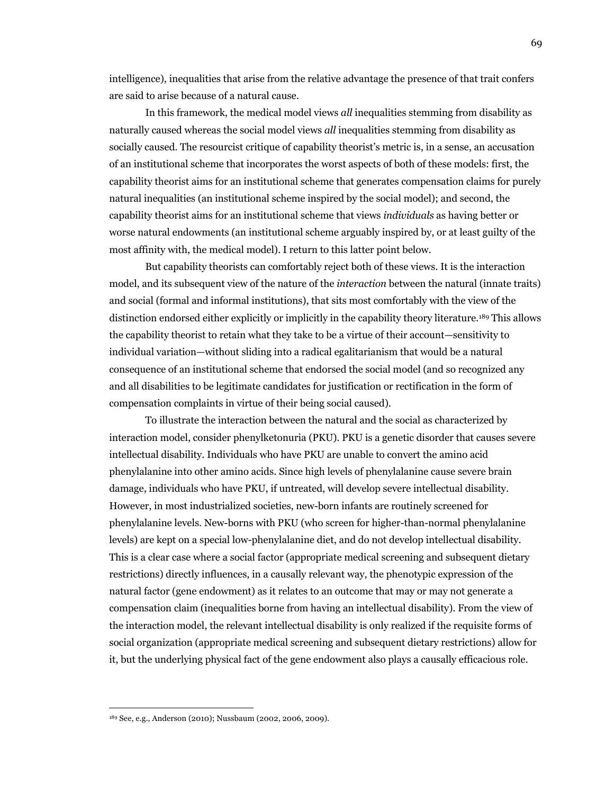intelligence), inequalities that arise from the relative advantage the presence of that trait confers are said to arise because of a natural cause.

In this framework, the medical model views *all* inequalities stemming from disability as naturally caused whereas the social model views *all* inequalities stemming from disability as socially caused. The resourcist critique of capability theorist's metric is, in a sense, an accusation of an institutional scheme that incorporates the worst aspects of both of these models: first, the capability theorist aims for an institutional scheme that generates compensation claims for purely natural inequalities (an institutional scheme inspired by the social model); and second, the capability theorist aims for an institutional scheme that views *individuals* as having better or worse natural endowments (an institutional scheme arguably inspired by, or at least guilty of the most affinity with, the medical model). I return to this latter point below.

But capability theorists can comfortably reject both of these views. It is the interaction model, and its subsequent view of the nature of the *interaction* between the natural (innate traits) and social (formal and informal institutions), that sits most comfortably with the view of the distinction endorsed either explicitly or implicitly in the capability theory literature.189 This allows the capability theorist to retain what they take to be a virtue of their account—sensitivity to individual variation—without sliding into a radical egalitarianism that would be a natural consequence of an institutional scheme that endorsed the social model (and so recognized any and all disabilities to be legitimate candidates for justification or rectification in the form of compensation complaints in virtue of their being social caused).

To illustrate the interaction between the natural and the social as characterized by interaction model, consider phenylketonuria (PKU). PKU is a genetic disorder that causes severe intellectual disability. Individuals who have PKU are unable to convert the amino acid phenylalanine into other amino acids. Since high levels of phenylalanine cause severe brain damage, individuals who have PKU, if untreated, will develop severe intellectual disability. However, in most industrialized societies, new-born infants are routinely screened for phenylalanine levels. New-borns with PKU (who screen for higher-than-normal phenylalanine levels) are kept on a special low-phenylalanine diet, and do not develop intellectual disability. This is a clear case where a social factor (appropriate medical screening and subsequent dietary restrictions) directly influences, in a causally relevant way, the phenotypic expression of the natural factor (gene endowment) as it relates to an outcome that may or may not generate a compensation claim (inequalities borne from having an intellectual disability). From the view of the interaction model, the relevant intellectual disability is only realized if the requisite forms of social organization (appropriate medical screening and subsequent dietary restrictions) allow for it, but the underlying physical fact of the gene endowment also plays a causally efficacious role.

<sup>189</sup> See, e.g., Anderson (2010); Nussbaum (2002, 2006, 2009).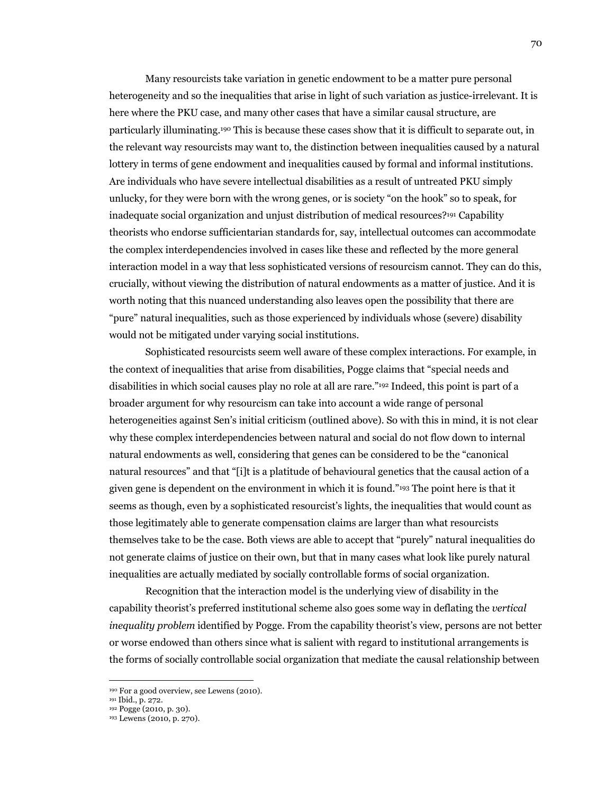Many resourcists take variation in genetic endowment to be a matter pure personal heterogeneity and so the inequalities that arise in light of such variation as justice-irrelevant. It is here where the PKU case, and many other cases that have a similar causal structure, are particularly illuminating.190 This is because these cases show that it is difficult to separate out, in the relevant way resourcists may want to, the distinction between inequalities caused by a natural lottery in terms of gene endowment and inequalities caused by formal and informal institutions. Are individuals who have severe intellectual disabilities as a result of untreated PKU simply unlucky, for they were born with the wrong genes, or is society "on the hook" so to speak, for inadequate social organization and unjust distribution of medical resources?191 Capability theorists who endorse sufficientarian standards for, say, intellectual outcomes can accommodate the complex interdependencies involved in cases like these and reflected by the more general interaction model in a way that less sophisticated versions of resourcism cannot. They can do this, crucially, without viewing the distribution of natural endowments as a matter of justice. And it is worth noting that this nuanced understanding also leaves open the possibility that there are "pure" natural inequalities, such as those experienced by individuals whose (severe) disability would not be mitigated under varying social institutions.

Sophisticated resourcists seem well aware of these complex interactions. For example, in the context of inequalities that arise from disabilities, Pogge claims that "special needs and disabilities in which social causes play no role at all are rare."192 Indeed, this point is part of a broader argument for why resourcism can take into account a wide range of personal heterogeneities against Sen's initial criticism (outlined above). So with this in mind, it is not clear why these complex interdependencies between natural and social do not flow down to internal natural endowments as well, considering that genes can be considered to be the "canonical natural resources" and that "[i]t is a platitude of behavioural genetics that the causal action of a given gene is dependent on the environment in which it is found."193 The point here is that it seems as though, even by a sophisticated resourcist's lights, the inequalities that would count as those legitimately able to generate compensation claims are larger than what resourcists themselves take to be the case. Both views are able to accept that "purely" natural inequalities do not generate claims of justice on their own, but that in many cases what look like purely natural inequalities are actually mediated by socially controllable forms of social organization.

Recognition that the interaction model is the underlying view of disability in the capability theorist's preferred institutional scheme also goes some way in deflating the *vertical inequality problem* identified by Pogge. From the capability theorist's view, persons are not better or worse endowed than others since what is salient with regard to institutional arrangements is the forms of socially controllable social organization that mediate the causal relationship between

<sup>&</sup>lt;sup>190</sup> For a good overview, see Lewens (2010).<br><sup>191</sup> Ibid., p. 272.<br><sup>192</sup> Pogge (2010, p. 30).<br><sup>193</sup> Lewens (2010, p. 270).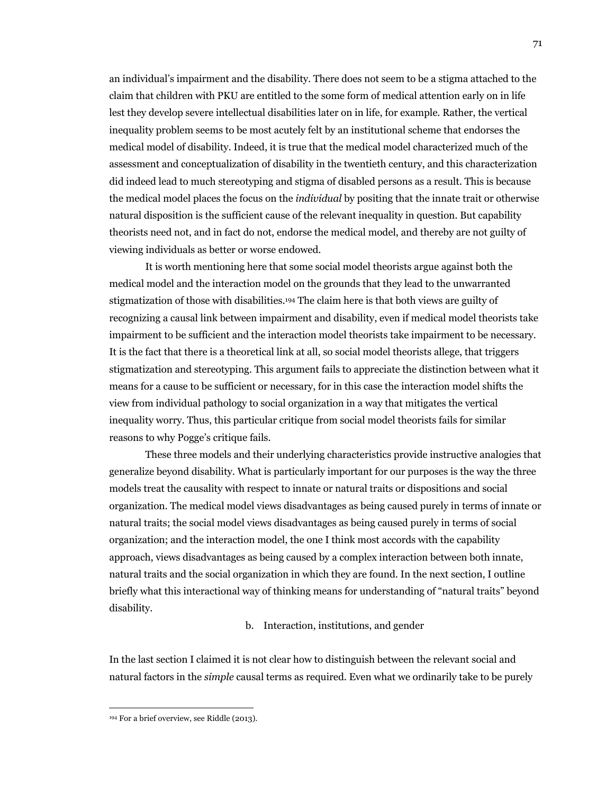an individual's impairment and the disability. There does not seem to be a stigma attached to the claim that children with PKU are entitled to the some form of medical attention early on in life lest they develop severe intellectual disabilities later on in life, for example. Rather, the vertical inequality problem seems to be most acutely felt by an institutional scheme that endorses the medical model of disability. Indeed, it is true that the medical model characterized much of the assessment and conceptualization of disability in the twentieth century, and this characterization did indeed lead to much stereotyping and stigma of disabled persons as a result. This is because the medical model places the focus on the *individual* by positing that the innate trait or otherwise natural disposition is the sufficient cause of the relevant inequality in question. But capability theorists need not, and in fact do not, endorse the medical model, and thereby are not guilty of viewing individuals as better or worse endowed.

It is worth mentioning here that some social model theorists argue against both the medical model and the interaction model on the grounds that they lead to the unwarranted stigmatization of those with disabilities.194 The claim here is that both views are guilty of recognizing a causal link between impairment and disability, even if medical model theorists take impairment to be sufficient and the interaction model theorists take impairment to be necessary. It is the fact that there is a theoretical link at all, so social model theorists allege, that triggers stigmatization and stereotyping. This argument fails to appreciate the distinction between what it means for a cause to be sufficient or necessary, for in this case the interaction model shifts the view from individual pathology to social organization in a way that mitigates the vertical inequality worry. Thus, this particular critique from social model theorists fails for similar reasons to why Pogge's critique fails.

These three models and their underlying characteristics provide instructive analogies that generalize beyond disability. What is particularly important for our purposes is the way the three models treat the causality with respect to innate or natural traits or dispositions and social organization. The medical model views disadvantages as being caused purely in terms of innate or natural traits; the social model views disadvantages as being caused purely in terms of social organization; and the interaction model, the one I think most accords with the capability approach, views disadvantages as being caused by a complex interaction between both innate, natural traits and the social organization in which they are found. In the next section, I outline briefly what this interactional way of thinking means for understanding of "natural traits" beyond disability.

#### b. Interaction, institutions, and gender

In the last section I claimed it is not clear how to distinguish between the relevant social and natural factors in the *simple* causal terms as required. Even what we ordinarily take to be purely

<sup>194</sup> For a brief overview, see Riddle (2013).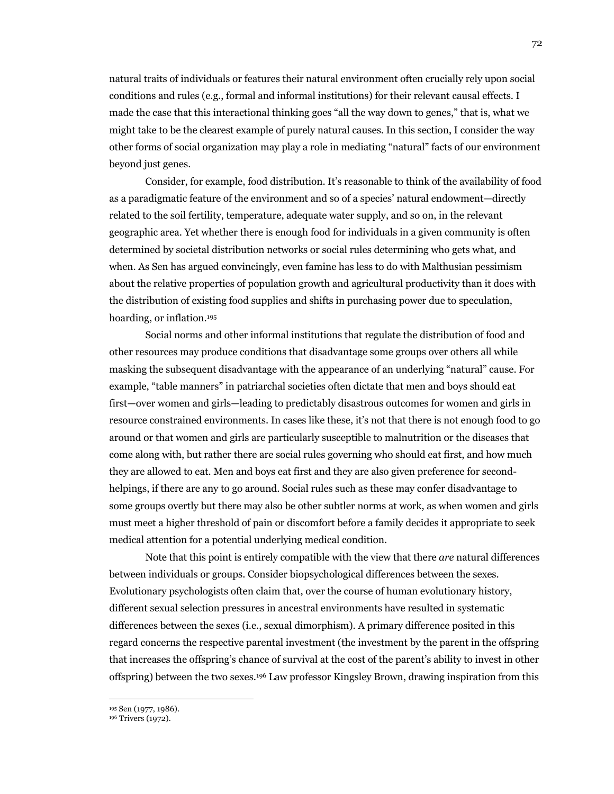natural traits of individuals or features their natural environment often crucially rely upon social conditions and rules (e.g., formal and informal institutions) for their relevant causal effects. I made the case that this interactional thinking goes "all the way down to genes," that is, what we might take to be the clearest example of purely natural causes. In this section, I consider the way other forms of social organization may play a role in mediating "natural" facts of our environment beyond just genes.

Consider, for example, food distribution. It's reasonable to think of the availability of food as a paradigmatic feature of the environment and so of a species' natural endowment—directly related to the soil fertility, temperature, adequate water supply, and so on, in the relevant geographic area. Yet whether there is enough food for individuals in a given community is often determined by societal distribution networks or social rules determining who gets what, and when. As Sen has argued convincingly, even famine has less to do with Malthusian pessimism about the relative properties of population growth and agricultural productivity than it does with the distribution of existing food supplies and shifts in purchasing power due to speculation, hoarding, or inflation.195

Social norms and other informal institutions that regulate the distribution of food and other resources may produce conditions that disadvantage some groups over others all while masking the subsequent disadvantage with the appearance of an underlying "natural" cause. For example, "table manners" in patriarchal societies often dictate that men and boys should eat first—over women and girls—leading to predictably disastrous outcomes for women and girls in resource constrained environments. In cases like these, it's not that there is not enough food to go around or that women and girls are particularly susceptible to malnutrition or the diseases that come along with, but rather there are social rules governing who should eat first, and how much they are allowed to eat. Men and boys eat first and they are also given preference for secondhelpings, if there are any to go around. Social rules such as these may confer disadvantage to some groups overtly but there may also be other subtler norms at work, as when women and girls must meet a higher threshold of pain or discomfort before a family decides it appropriate to seek medical attention for a potential underlying medical condition.

Note that this point is entirely compatible with the view that there *are* natural differences between individuals or groups. Consider biopsychological differences between the sexes. Evolutionary psychologists often claim that, over the course of human evolutionary history, different sexual selection pressures in ancestral environments have resulted in systematic differences between the sexes (i.e., sexual dimorphism). A primary difference posited in this regard concerns the respective parental investment (the investment by the parent in the offspring that increases the offspring's chance of survival at the cost of the parent's ability to invest in other offspring) between the two sexes.196 Law professor Kingsley Brown, drawing inspiration from this

<sup>195</sup> Sen (1977, 1986). 196 Trivers (1972).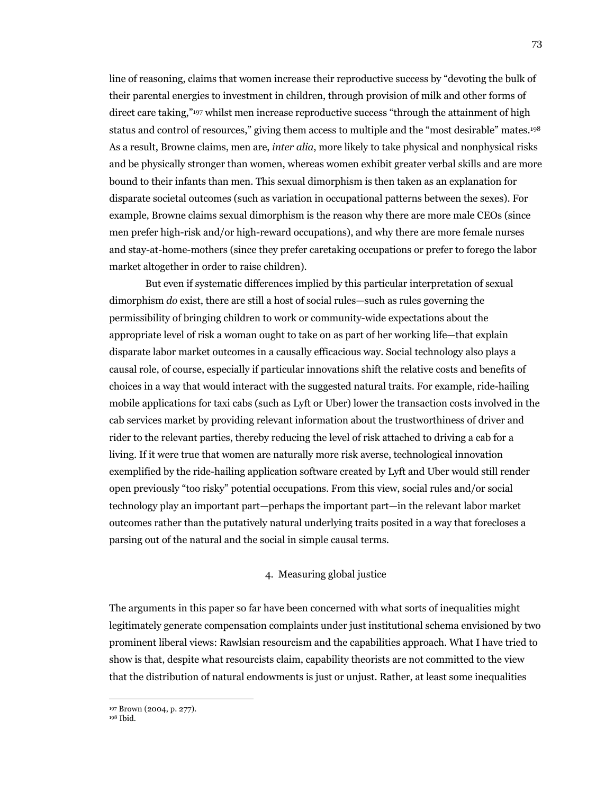line of reasoning, claims that women increase their reproductive success by "devoting the bulk of their parental energies to investment in children, through provision of milk and other forms of direct care taking,"197 whilst men increase reproductive success "through the attainment of high status and control of resources," giving them access to multiple and the "most desirable" mates.198 As a result, Browne claims, men are, *inter alia*, more likely to take physical and nonphysical risks and be physically stronger than women, whereas women exhibit greater verbal skills and are more bound to their infants than men. This sexual dimorphism is then taken as an explanation for disparate societal outcomes (such as variation in occupational patterns between the sexes). For example, Browne claims sexual dimorphism is the reason why there are more male CEOs (since men prefer high-risk and/or high-reward occupations), and why there are more female nurses and stay-at-home-mothers (since they prefer caretaking occupations or prefer to forego the labor market altogether in order to raise children).

But even if systematic differences implied by this particular interpretation of sexual dimorphism *do* exist, there are still a host of social rules—such as rules governing the permissibility of bringing children to work or community-wide expectations about the appropriate level of risk a woman ought to take on as part of her working life—that explain disparate labor market outcomes in a causally efficacious way. Social technology also plays a causal role, of course, especially if particular innovations shift the relative costs and benefits of choices in a way that would interact with the suggested natural traits. For example, ride-hailing mobile applications for taxi cabs (such as Lyft or Uber) lower the transaction costs involved in the cab services market by providing relevant information about the trustworthiness of driver and rider to the relevant parties, thereby reducing the level of risk attached to driving a cab for a living. If it were true that women are naturally more risk averse, technological innovation exemplified by the ride-hailing application software created by Lyft and Uber would still render open previously "too risky" potential occupations. From this view, social rules and/or social technology play an important part—perhaps the important part—in the relevant labor market outcomes rather than the putatively natural underlying traits posited in a way that forecloses a parsing out of the natural and the social in simple causal terms.

# 4. Measuring global justice

The arguments in this paper so far have been concerned with what sorts of inequalities might legitimately generate compensation complaints under just institutional schema envisioned by two prominent liberal views: Rawlsian resourcism and the capabilities approach. What I have tried to show is that, despite what resourcists claim, capability theorists are not committed to the view that the distribution of natural endowments is just or unjust. Rather, at least some inequalities

<sup>&</sup>lt;sup>197</sup> Brown (2004, p. 277).<br><sup>198</sup> Ibid.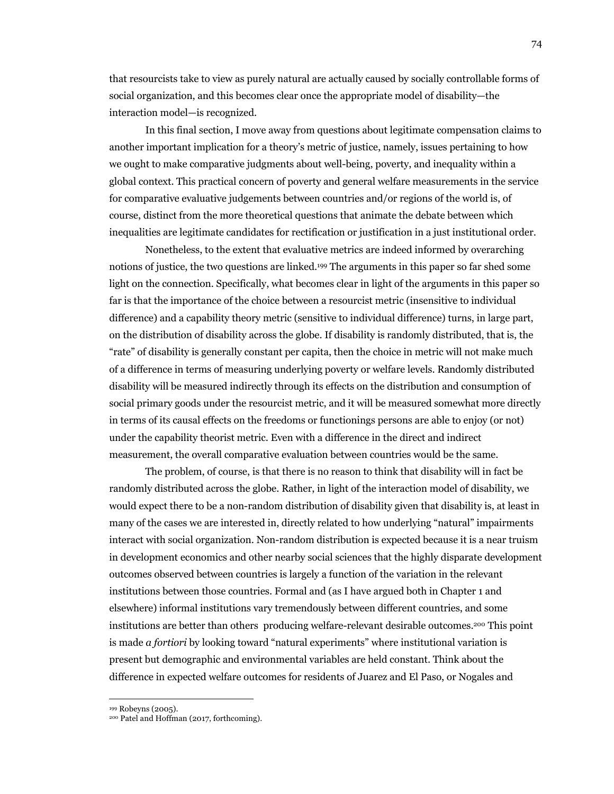that resourcists take to view as purely natural are actually caused by socially controllable forms of social organization, and this becomes clear once the appropriate model of disability—the interaction model—is recognized.

In this final section, I move away from questions about legitimate compensation claims to another important implication for a theory's metric of justice, namely, issues pertaining to how we ought to make comparative judgments about well-being, poverty, and inequality within a global context. This practical concern of poverty and general welfare measurements in the service for comparative evaluative judgements between countries and/or regions of the world is, of course, distinct from the more theoretical questions that animate the debate between which inequalities are legitimate candidates for rectification or justification in a just institutional order.

Nonetheless, to the extent that evaluative metrics are indeed informed by overarching notions of justice, the two questions are linked.199 The arguments in this paper so far shed some light on the connection. Specifically, what becomes clear in light of the arguments in this paper so far is that the importance of the choice between a resourcist metric (insensitive to individual difference) and a capability theory metric (sensitive to individual difference) turns, in large part, on the distribution of disability across the globe. If disability is randomly distributed, that is, the "rate" of disability is generally constant per capita, then the choice in metric will not make much of a difference in terms of measuring underlying poverty or welfare levels. Randomly distributed disability will be measured indirectly through its effects on the distribution and consumption of social primary goods under the resourcist metric, and it will be measured somewhat more directly in terms of its causal effects on the freedoms or functionings persons are able to enjoy (or not) under the capability theorist metric. Even with a difference in the direct and indirect measurement, the overall comparative evaluation between countries would be the same.

The problem, of course, is that there is no reason to think that disability will in fact be randomly distributed across the globe. Rather, in light of the interaction model of disability, we would expect there to be a non-random distribution of disability given that disability is, at least in many of the cases we are interested in, directly related to how underlying "natural" impairments interact with social organization. Non-random distribution is expected because it is a near truism in development economics and other nearby social sciences that the highly disparate development outcomes observed between countries is largely a function of the variation in the relevant institutions between those countries. Formal and (as I have argued both in Chapter 1 and elsewhere) informal institutions vary tremendously between different countries, and some institutions are better than others producing welfare-relevant desirable outcomes.200 This point is made *a fortiori* by looking toward "natural experiments" where institutional variation is present but demographic and environmental variables are held constant. Think about the difference in expected welfare outcomes for residents of Juarez and El Paso, or Nogales and

<sup>199</sup> Robeyns (2005). 200 Patel and Hoffman (2017, forthcoming).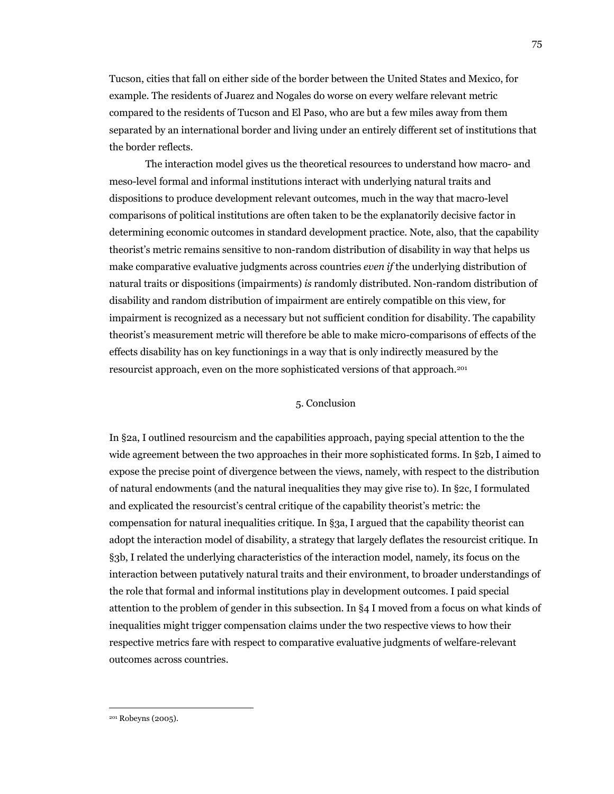Tucson, cities that fall on either side of the border between the United States and Mexico, for example. The residents of Juarez and Nogales do worse on every welfare relevant metric compared to the residents of Tucson and El Paso, who are but a few miles away from them separated by an international border and living under an entirely different set of institutions that the border reflects.

The interaction model gives us the theoretical resources to understand how macro- and meso-level formal and informal institutions interact with underlying natural traits and dispositions to produce development relevant outcomes, much in the way that macro-level comparisons of political institutions are often taken to be the explanatorily decisive factor in determining economic outcomes in standard development practice. Note, also, that the capability theorist's metric remains sensitive to non-random distribution of disability in way that helps us make comparative evaluative judgments across countries *even if* the underlying distribution of natural traits or dispositions (impairments) *is* randomly distributed. Non-random distribution of disability and random distribution of impairment are entirely compatible on this view, for impairment is recognized as a necessary but not sufficient condition for disability. The capability theorist's measurement metric will therefore be able to make micro-comparisons of effects of the effects disability has on key functionings in a way that is only indirectly measured by the resourcist approach, even on the more sophisticated versions of that approach.201

# 5. Conclusion

In §2a, I outlined resourcism and the capabilities approach, paying special attention to the the wide agreement between the two approaches in their more sophisticated forms. In §2b, I aimed to expose the precise point of divergence between the views, namely, with respect to the distribution of natural endowments (and the natural inequalities they may give rise to). In §2c, I formulated and explicated the resourcist's central critique of the capability theorist's metric: the compensation for natural inequalities critique. In §3a, I argued that the capability theorist can adopt the interaction model of disability, a strategy that largely deflates the resourcist critique. In §3b, I related the underlying characteristics of the interaction model, namely, its focus on the interaction between putatively natural traits and their environment, to broader understandings of the role that formal and informal institutions play in development outcomes. I paid special attention to the problem of gender in this subsection. In §4 I moved from a focus on what kinds of inequalities might trigger compensation claims under the two respective views to how their respective metrics fare with respect to comparative evaluative judgments of welfare-relevant outcomes across countries.

<sup>201</sup> Robeyns (2005).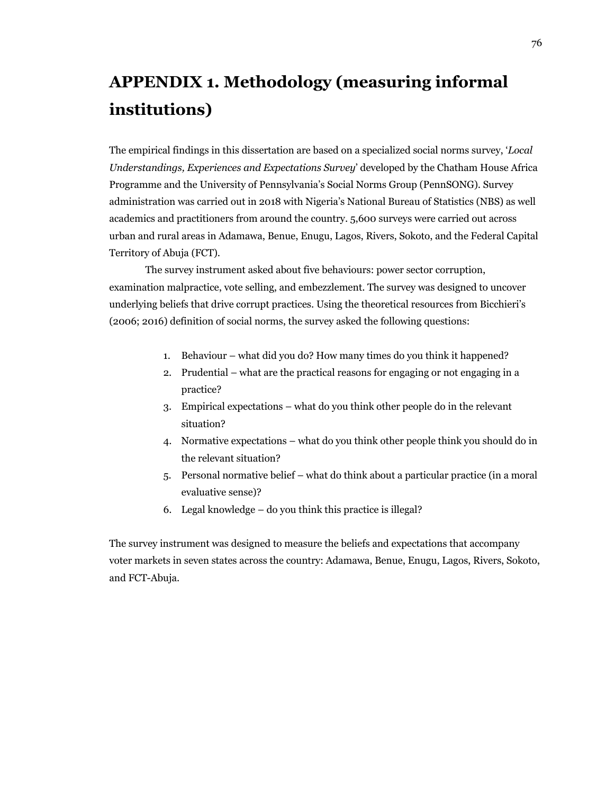# **APPENDIX 1. Methodology (measuring informal institutions)**

The empirical findings in this dissertation are based on a specialized social norms survey, '*Local Understandings, Experiences and Expectations Survey*' developed by the Chatham House Africa Programme and the University of Pennsylvania's Social Norms Group (PennSONG). Survey administration was carried out in 2018 with Nigeria's National Bureau of Statistics (NBS) as well academics and practitioners from around the country. 5,600 surveys were carried out across urban and rural areas in Adamawa, Benue, Enugu, Lagos, Rivers, Sokoto, and the Federal Capital Territory of Abuja (FCT).

The survey instrument asked about five behaviours: power sector corruption, examination malpractice, vote selling, and embezzlement. The survey was designed to uncover underlying beliefs that drive corrupt practices. Using the theoretical resources from Bicchieri's (2006; 2016) definition of social norms, the survey asked the following questions:

- 1. Behaviour what did you do? How many times do you think it happened?
- 2. Prudential what are the practical reasons for engaging or not engaging in a practice?
- 3. Empirical expectations what do you think other people do in the relevant situation?
- 4. Normative expectations what do you think other people think you should do in the relevant situation?
- 5. Personal normative belief what do think about a particular practice (in a moral evaluative sense)?
- 6. Legal knowledge do you think this practice is illegal?

The survey instrument was designed to measure the beliefs and expectations that accompany voter markets in seven states across the country: Adamawa, Benue, Enugu, Lagos, Rivers, Sokoto, and FCT-Abuja.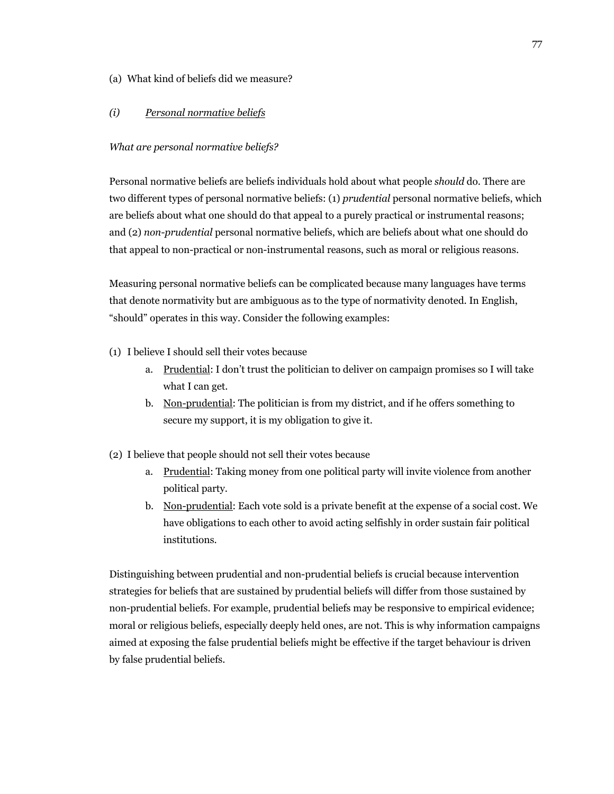# (a) What kind of beliefs did we measure?

# *(i) Personal normative beliefs*

### *What are personal normative beliefs?*

Personal normative beliefs are beliefs individuals hold about what people *should* do. There are two different types of personal normative beliefs: (1) *prudential* personal normative beliefs, which are beliefs about what one should do that appeal to a purely practical or instrumental reasons; and (2) *non-prudential* personal normative beliefs, which are beliefs about what one should do that appeal to non-practical or non-instrumental reasons, such as moral or religious reasons.

Measuring personal normative beliefs can be complicated because many languages have terms that denote normativity but are ambiguous as to the type of normativity denoted. In English, "should" operates in this way. Consider the following examples:

- (1) I believe I should sell their votes because
	- a. Prudential: I don't trust the politician to deliver on campaign promises so I will take what I can get.
	- b. Non-prudential: The politician is from my district, and if he offers something to secure my support, it is my obligation to give it.
- (2) I believe that people should not sell their votes because
	- a. Prudential: Taking money from one political party will invite violence from another political party.
	- b. Non-prudential: Each vote sold is a private benefit at the expense of a social cost. We have obligations to each other to avoid acting selfishly in order sustain fair political institutions.

Distinguishing between prudential and non-prudential beliefs is crucial because intervention strategies for beliefs that are sustained by prudential beliefs will differ from those sustained by non-prudential beliefs. For example, prudential beliefs may be responsive to empirical evidence; moral or religious beliefs, especially deeply held ones, are not. This is why information campaigns aimed at exposing the false prudential beliefs might be effective if the target behaviour is driven by false prudential beliefs.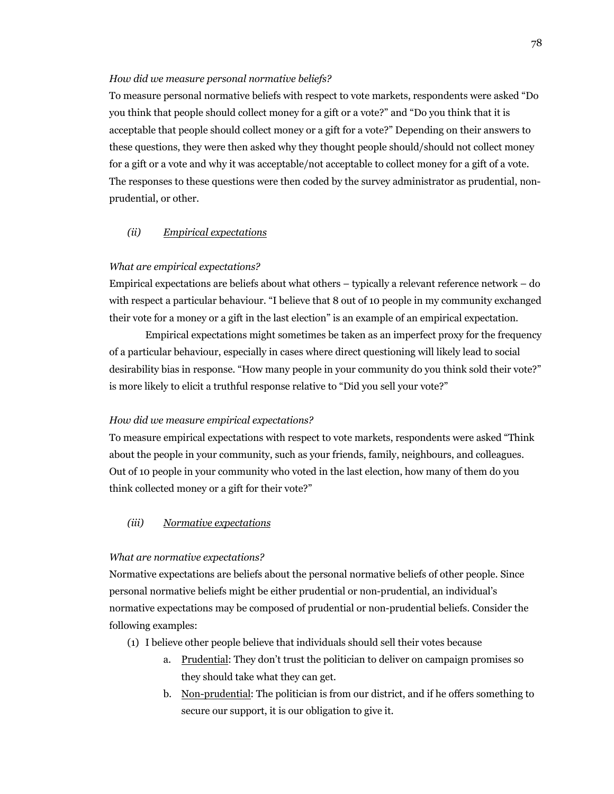#### *How did we measure personal normative beliefs?*

To measure personal normative beliefs with respect to vote markets, respondents were asked "Do you think that people should collect money for a gift or a vote?" and "Do you think that it is acceptable that people should collect money or a gift for a vote?" Depending on their answers to these questions, they were then asked why they thought people should/should not collect money for a gift or a vote and why it was acceptable/not acceptable to collect money for a gift of a vote. The responses to these questions were then coded by the survey administrator as prudential, nonprudential, or other.

### *(ii) Empirical expectations*

#### *What are empirical expectations?*

Empirical expectations are beliefs about what others – typically a relevant reference network – do with respect a particular behaviour. "I believe that 8 out of 10 people in my community exchanged their vote for a money or a gift in the last election" is an example of an empirical expectation.

Empirical expectations might sometimes be taken as an imperfect proxy for the frequency of a particular behaviour, especially in cases where direct questioning will likely lead to social desirability bias in response. "How many people in your community do you think sold their vote?" is more likely to elicit a truthful response relative to "Did you sell your vote?"

#### *How did we measure empirical expectations?*

To measure empirical expectations with respect to vote markets, respondents were asked "Think about the people in your community, such as your friends, family, neighbours, and colleagues. Out of 10 people in your community who voted in the last election, how many of them do you think collected money or a gift for their vote?"

# *(iii) Normative expectations*

#### *What are normative expectations?*

Normative expectations are beliefs about the personal normative beliefs of other people. Since personal normative beliefs might be either prudential or non-prudential, an individual's normative expectations may be composed of prudential or non-prudential beliefs. Consider the following examples:

- (1) I believe other people believe that individuals should sell their votes because
	- a. Prudential: They don't trust the politician to deliver on campaign promises so they should take what they can get.
	- b. Non-prudential: The politician is from our district, and if he offers something to secure our support, it is our obligation to give it.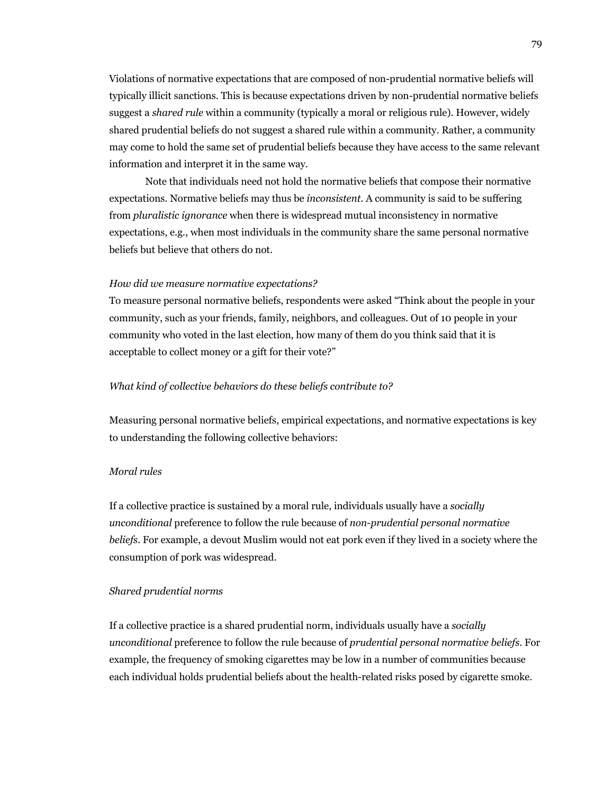Violations of normative expectations that are composed of non-prudential normative beliefs will typically illicit sanctions. This is because expectations driven by non-prudential normative beliefs suggest a *shared rule* within a community (typically a moral or religious rule). However, widely shared prudential beliefs do not suggest a shared rule within a community. Rather, a community may come to hold the same set of prudential beliefs because they have access to the same relevant information and interpret it in the same way.

Note that individuals need not hold the normative beliefs that compose their normative expectations. Normative beliefs may thus be *inconsistent*. A community is said to be suffering from *pluralistic ignorance* when there is widespread mutual inconsistency in normative expectations, e.g., when most individuals in the community share the same personal normative beliefs but believe that others do not.

#### *How did we measure normative expectations?*

To measure personal normative beliefs, respondents were asked "Think about the people in your community, such as your friends, family, neighbors, and colleagues. Out of 10 people in your community who voted in the last election, how many of them do you think said that it is acceptable to collect money or a gift for their vote?"

#### *What kind of collective behaviors do these beliefs contribute to?*

Measuring personal normative beliefs, empirical expectations, and normative expectations is key to understanding the following collective behaviors:

#### *Moral rules*

If a collective practice is sustained by a moral rule, individuals usually have a *socially unconditional* preference to follow the rule because of *non-prudential personal normative beliefs*. For example, a devout Muslim would not eat pork even if they lived in a society where the consumption of pork was widespread.

#### *Shared prudential norms*

If a collective practice is a shared prudential norm, individuals usually have a *socially unconditional* preference to follow the rule because of *prudential personal normative beliefs*. For example, the frequency of smoking cigarettes may be low in a number of communities because each individual holds prudential beliefs about the health-related risks posed by cigarette smoke.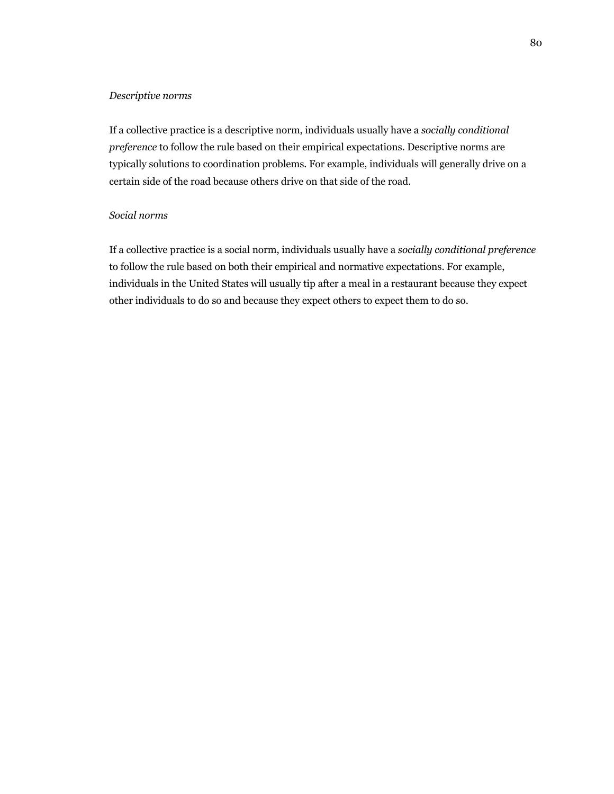#### *Descriptive norms*

If a collective practice is a descriptive norm, individuals usually have a *socially conditional preference* to follow the rule based on their empirical expectations. Descriptive norms are typically solutions to coordination problems. For example, individuals will generally drive on a certain side of the road because others drive on that side of the road.

# *Social norms*

If a collective practice is a social norm, individuals usually have a *socially conditional preference*  to follow the rule based on both their empirical and normative expectations. For example, individuals in the United States will usually tip after a meal in a restaurant because they expect other individuals to do so and because they expect others to expect them to do so.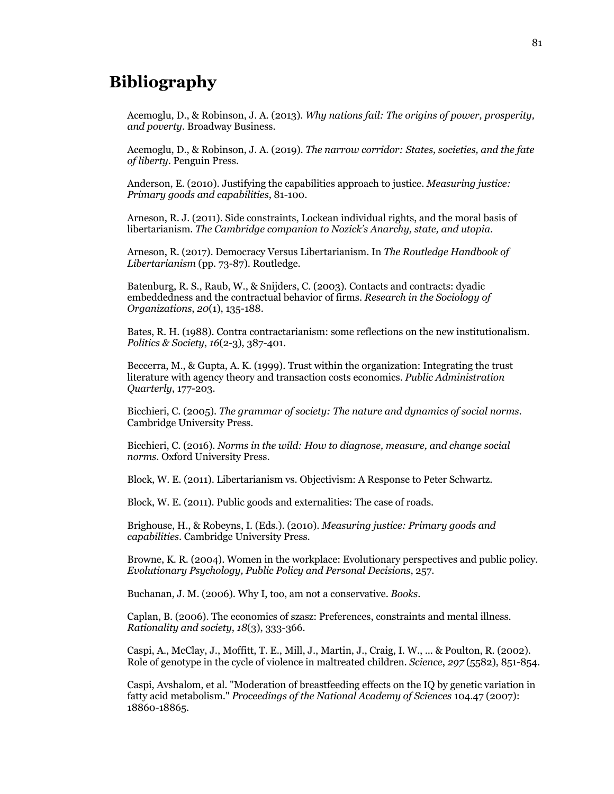# **Bibliography**

Acemoglu, D., & Robinson, J. A. (2013). *Why nations fail: The origins of power, prosperity, and poverty*. Broadway Business.

Acemoglu, D., & Robinson, J. A. (2019). *The narrow corridor: States, societies, and the fate of liberty*. Penguin Press.

Anderson, E. (2010). Justifying the capabilities approach to justice. *Measuring justice: Primary goods and capabilities*, 81-100.

Arneson, R. J. (2011). Side constraints, Lockean individual rights, and the moral basis of libertarianism. *The Cambridge companion to Nozick's Anarchy, state, and utopia*.

Arneson, R. (2017). Democracy Versus Libertarianism. In *The Routledge Handbook of Libertarianism* (pp. 73-87). Routledge.

Batenburg, R. S., Raub, W., & Snijders, C. (2003). Contacts and contracts: dyadic embeddedness and the contractual behavior of firms. *Research in the Sociology of Organizations*, *20*(1), 135-188.

Bates, R. H. (1988). Contra contractarianism: some reflections on the new institutionalism. *Politics & Society*, *16*(2-3), 387-401.

Beccerra, M., & Gupta, A. K. (1999). Trust within the organization: Integrating the trust literature with agency theory and transaction costs economics. *Public Administration Quarterly*, 177-203.

Bicchieri, C. (2005). *The grammar of society: The nature and dynamics of social norms*. Cambridge University Press.

Bicchieri, C. (2016). *Norms in the wild: How to diagnose, measure, and change social norms*. Oxford University Press.

Block, W. E. (2011). Libertarianism vs. Objectivism: A Response to Peter Schwartz.

Block, W. E. (2011). Public goods and externalities: The case of roads.

Brighouse, H., & Robeyns, I. (Eds.). (2010). *Measuring justice: Primary goods and capabilities*. Cambridge University Press.

Browne, K. R. (2004). Women in the workplace: Evolutionary perspectives and public policy. *Evolutionary Psychology, Public Policy and Personal Decisions*, 257.

Buchanan, J. M. (2006). Why I, too, am not a conservative. *Books*.

Caplan, B. (2006). The economics of szasz: Preferences, constraints and mental illness. *Rationality and society*, *18*(3), 333-366.

Caspi, A., McClay, J., Moffitt, T. E., Mill, J., Martin, J., Craig, I. W., ... & Poulton, R. (2002). Role of genotype in the cycle of violence in maltreated children. *Science*, *297* (5582), 851-854.

Caspi, Avshalom, et al. "Moderation of breastfeeding effects on the IQ by genetic variation in fatty acid metabolism." *Proceedings of the National Academy of Sciences* 104.47 (2007): 18860-18865.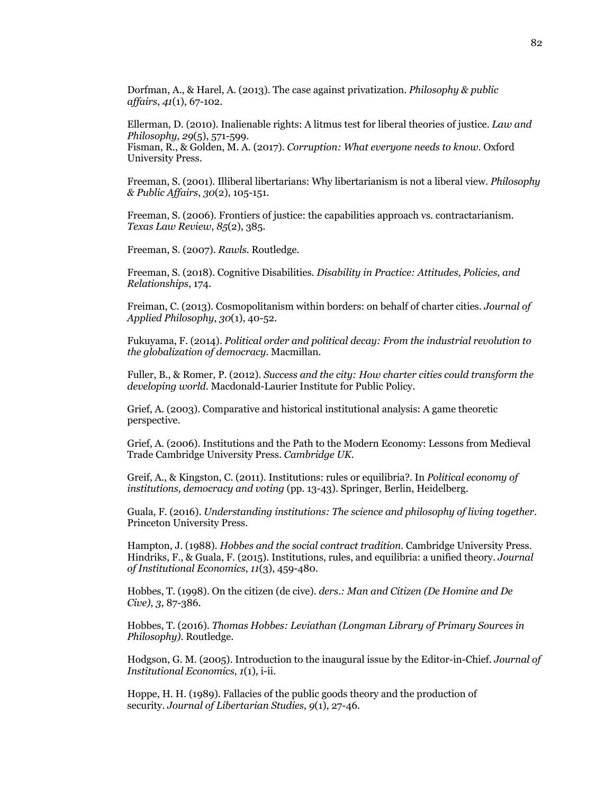Dorfman, A., & Harel, A. (2013). The case against privatization. *Philosophy & public affairs*, *41*(1), 67-102.

Ellerman, D. (2010). Inalienable rights: A litmus test for liberal theories of justice. *Law and Philosophy*, *29*(5), 571-599. Fisman, R., & Golden, M. A. (2017). *Corruption: What everyone needs to know*. Oxford University Press.

Freeman, S. (2001). Illiberal libertarians: Why libertarianism is not a liberal view. *Philosophy & Public Affairs*, *30*(2), 105-151.

Freeman, S. (2006). Frontiers of justice: the capabilities approach vs. contractarianism. *Texas Law Review*, *85*(2), 385.

Freeman, S. (2007). *Rawls*. Routledge.

Freeman, S. (2018). Cognitive Disabilities. *Disability in Practice: Attitudes, Policies, and Relationships*, 174.

Freiman, C. (2013). Cosmopolitanism within borders: on behalf of charter cities. *Journal of Applied Philosophy*, *30*(1), 40-52.

Fukuyama, F. (2014). *Political order and political decay: From the industrial revolution to the globalization of democracy*. Macmillan.

Fuller, B., & Romer, P. (2012). *Success and the city: How charter cities could transform the developing world*. Macdonald-Laurier Institute for Public Policy.

Grief, A. (2003). Comparative and historical institutional analysis: A game theoretic perspective.

Grief, A. (2006). Institutions and the Path to the Modern Economy: Lessons from Medieval Trade Cambridge University Press. *Cambridge UK*.

Greif, A., & Kingston, C. (2011). Institutions: rules or equilibria?. In *Political economy of institutions, democracy and voting* (pp. 13-43). Springer, Berlin, Heidelberg.

Guala, F. (2016). *Understanding institutions: The science and philosophy of living together*. Princeton University Press.

Hampton, J. (1988). *Hobbes and the social contract tradition*. Cambridge University Press. Hindriks, F., & Guala, F. (2015). Institutions, rules, and equilibria: a unified theory. *Journal of Institutional Economics*, *11*(3), 459-480.

Hobbes, T. (1998). On the citizen (de cive). *ders.: Man and Citizen (De Homine and De Cive)*, *3*, 87-386.

Hobbes, T. (2016). *Thomas Hobbes: Leviathan (Longman Library of Primary Sources in Philosophy)*. Routledge.

Hodgson, G. M. (2005). Introduction to the inaugural issue by the Editor-in-Chief. *Journal of Institutional Economics*, *1*(1), i-ii.

Hoppe, H. H. (1989). Fallacies of the public goods theory and the production of security. *Journal of Libertarian Studies*, *9*(1), 27-46.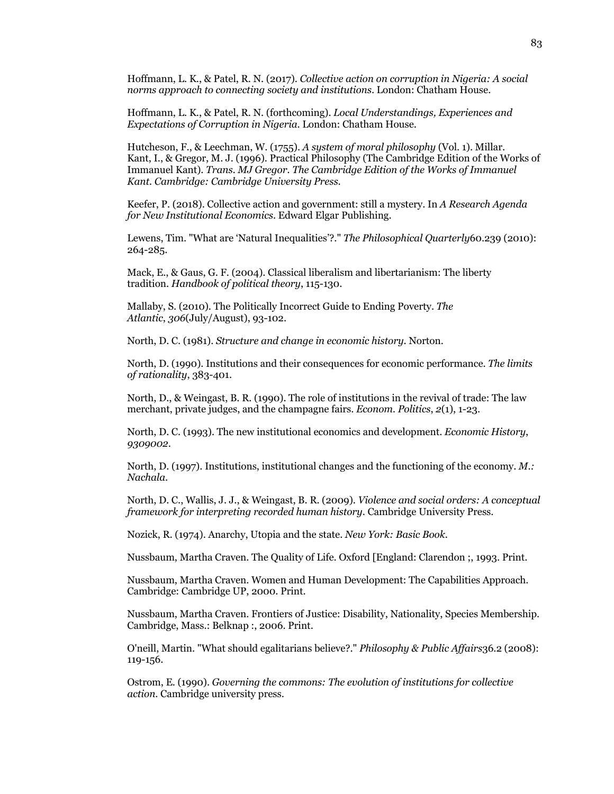Hoffmann, L. K., & Patel, R. N. (2017). *Collective action on corruption in Nigeria: A social norms approach to connecting society and institutions*. London: Chatham House.

Hoffmann, L. K., & Patel, R. N. (forthcoming). *Local Understandings, Experiences and Expectations of Corruption in Nigeria*. London: Chatham House.

Hutcheson, F., & Leechman, W. (1755). *A system of moral philosophy* (Vol. 1). Millar. Kant, I., & Gregor, M. J. (1996). Practical Philosophy (The Cambridge Edition of the Works of Immanuel Kant). *Trans. MJ Gregor. The Cambridge Edition of the Works of Immanuel Kant. Cambridge: Cambridge University Press*.

Keefer, P. (2018). Collective action and government: still a mystery. In *A Research Agenda for New Institutional Economics*. Edward Elgar Publishing.

Lewens, Tim. "What are 'Natural Inequalities'?." *The Philosophical Quarterly*60.239 (2010): 264-285.

Mack, E., & Gaus, G. F. (2004). Classical liberalism and libertarianism: The liberty tradition. *Handbook of political theory*, 115-130.

Mallaby, S. (2010). The Politically Incorrect Guide to Ending Poverty. *The Atlantic*, *306*(July/August), 93-102.

North, D. C. (1981). *Structure and change in economic history*. Norton.

North, D. (1990). Institutions and their consequences for economic performance. *The limits of rationality*, 383-401.

North, D., & Weingast, B. R. (1990). The role of institutions in the revival of trade: The law merchant, private judges, and the champagne fairs. *Econom. Politics*, *2*(1), 1-23.

North, D. C. (1993). The new institutional economics and development. *Economic History*, *9309002*.

North, D. (1997). Institutions, institutional changes and the functioning of the economy. *M.: Nachala*.

North, D. C., Wallis, J. J., & Weingast, B. R. (2009). *Violence and social orders: A conceptual framework for interpreting recorded human history*. Cambridge University Press.

Nozick, R. (1974). Anarchy, Utopia and the state. *New York: Basic Book*.

Nussbaum, Martha Craven. The Quality of Life. Oxford [England: Clarendon ;, 1993. Print.

Nussbaum, Martha Craven. Women and Human Development: The Capabilities Approach. Cambridge: Cambridge UP, 2000. Print.

Nussbaum, Martha Craven. Frontiers of Justice: Disability, Nationality, Species Membership. Cambridge, Mass.: Belknap :, 2006. Print.

O'neill, Martin. "What should egalitarians believe?." *Philosophy & Public Affairs*36.2 (2008): 119-156.

Ostrom, E. (1990). *Governing the commons: The evolution of institutions for collective action*. Cambridge university press.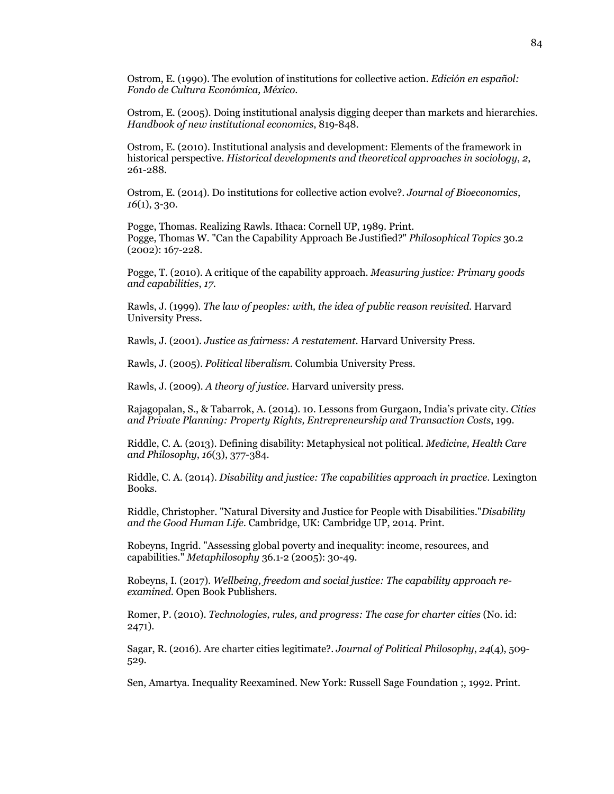Ostrom, E. (1990). The evolution of institutions for collective action. *Edición en español: Fondo de Cultura Económica, México*.

Ostrom, E. (2005). Doing institutional analysis digging deeper than markets and hierarchies. *Handbook of new institutional economics*, 819-848.

Ostrom, E. (2010). Institutional analysis and development: Elements of the framework in historical perspective. *Historical developments and theoretical approaches in sociology*, *2*, 261-288.

Ostrom, E. (2014). Do institutions for collective action evolve?. *Journal of Bioeconomics*, *16*(1), 3-30.

Pogge, Thomas. Realizing Rawls. Ithaca: Cornell UP, 1989. Print. Pogge, Thomas W. "Can the Capability Approach Be Justified?" *Philosophical Topics* 30.2 (2002): 167-228.

Pogge, T. (2010). A critique of the capability approach. *Measuring justice: Primary goods and capabilities*, *17*.

Rawls, J. (1999). *The law of peoples: with, the idea of public reason revisited*. Harvard University Press.

Rawls, J. (2001). *Justice as fairness: A restatement*. Harvard University Press.

Rawls, J. (2005). *Political liberalism*. Columbia University Press.

Rawls, J. (2009). *A theory of justice*. Harvard university press.

Rajagopalan, S., & Tabarrok, A. (2014). 10. Lessons from Gurgaon, India's private city. *Cities and Private Planning: Property Rights, Entrepreneurship and Transaction Costs*, 199.

Riddle, C. A. (2013). Defining disability: Metaphysical not political. *Medicine, Health Care and Philosophy*, *16*(3), 377-384.

Riddle, C. A. (2014). *Disability and justice: The capabilities approach in practice*. Lexington Books.

Riddle, Christopher. "Natural Diversity and Justice for People with Disabilities."*Disability and the Good Human Life*. Cambridge, UK: Cambridge UP, 2014. Print.

Robeyns, Ingrid. "Assessing global poverty and inequality: income, resources, and capabilities." *Metaphilosophy* 36.1-2 (2005): 30-49.

Robeyns, I. (2017). *Wellbeing, freedom and social justice: The capability approach reexamined*. Open Book Publishers.

Romer, P. (2010). *Technologies, rules, and progress: The case for charter cities* (No. id: 2471).

Sagar, R. (2016). Are charter cities legitimate?. *Journal of Political Philosophy*, *24*(4), 509- 529.

Sen, Amartya. Inequality Reexamined. New York: Russell Sage Foundation ;, 1992. Print.